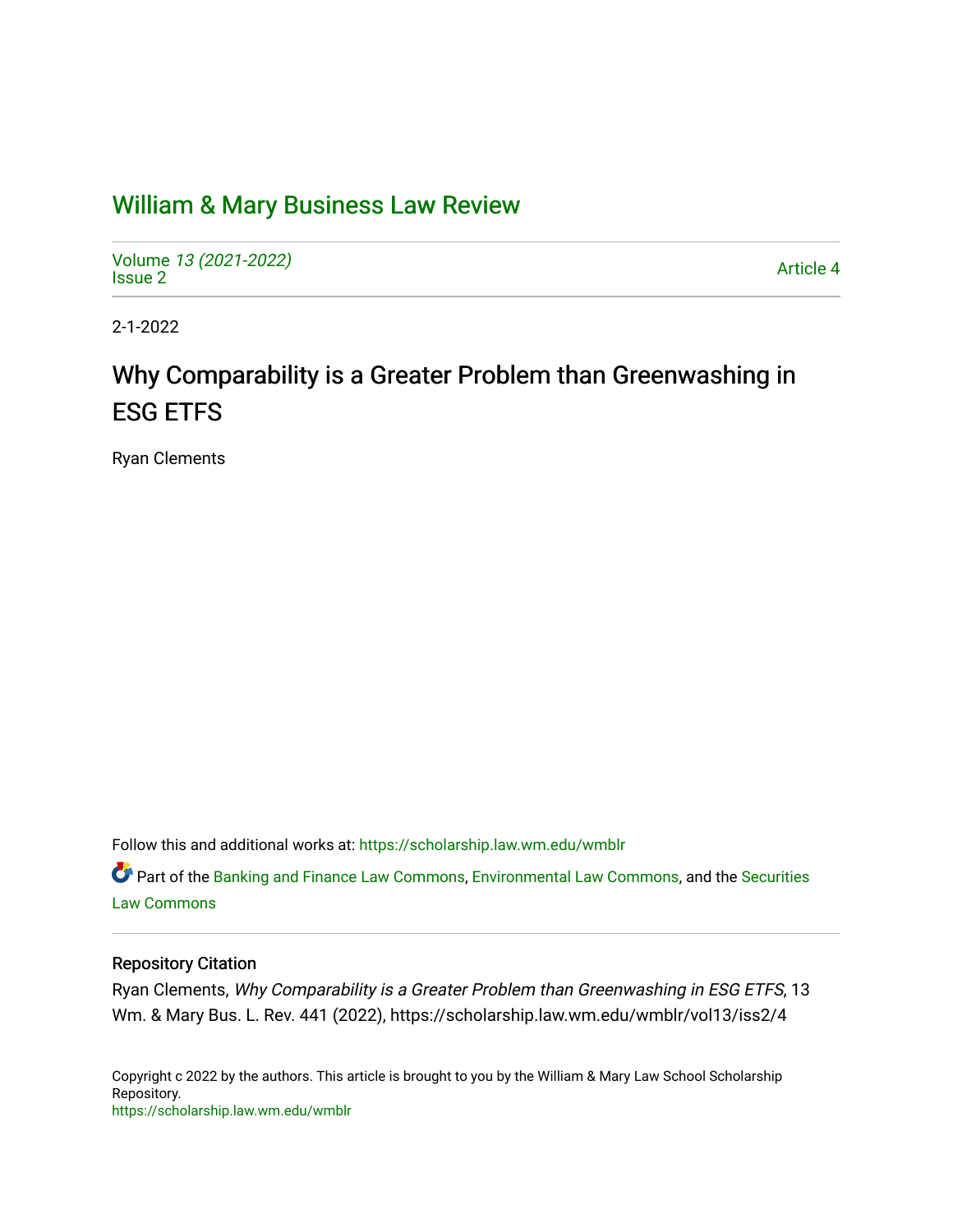## [William & Mary Business Law Review](https://scholarship.law.wm.edu/wmblr)

Volume [13 \(2021-2022\)](https://scholarship.law.wm.edu/wmblr/vol13)  volume 15 (2021-2022)<br>[Issue 2](https://scholarship.law.wm.edu/wmblr/vol13/iss2)

2-1-2022

# Why Comparability is a Greater Problem than Greenwashing in ESG ETFS

Ryan Clements

Follow this and additional works at: [https://scholarship.law.wm.edu/wmblr](https://scholarship.law.wm.edu/wmblr?utm_source=scholarship.law.wm.edu%2Fwmblr%2Fvol13%2Fiss2%2F4&utm_medium=PDF&utm_campaign=PDFCoverPages) 

Part of the [Banking and Finance Law Commons,](http://network.bepress.com/hgg/discipline/833?utm_source=scholarship.law.wm.edu%2Fwmblr%2Fvol13%2Fiss2%2F4&utm_medium=PDF&utm_campaign=PDFCoverPages) [Environmental Law Commons](http://network.bepress.com/hgg/discipline/599?utm_source=scholarship.law.wm.edu%2Fwmblr%2Fvol13%2Fiss2%2F4&utm_medium=PDF&utm_campaign=PDFCoverPages), and the [Securities](http://network.bepress.com/hgg/discipline/619?utm_source=scholarship.law.wm.edu%2Fwmblr%2Fvol13%2Fiss2%2F4&utm_medium=PDF&utm_campaign=PDFCoverPages) [Law Commons](http://network.bepress.com/hgg/discipline/619?utm_source=scholarship.law.wm.edu%2Fwmblr%2Fvol13%2Fiss2%2F4&utm_medium=PDF&utm_campaign=PDFCoverPages) 

## Repository Citation

Ryan Clements, Why Comparability is a Greater Problem than Greenwashing in ESG ETFS, 13 Wm. & Mary Bus. L. Rev. 441 (2022), https://scholarship.law.wm.edu/wmblr/vol13/iss2/4

Copyright c 2022 by the authors. This article is brought to you by the William & Mary Law School Scholarship Repository. <https://scholarship.law.wm.edu/wmblr>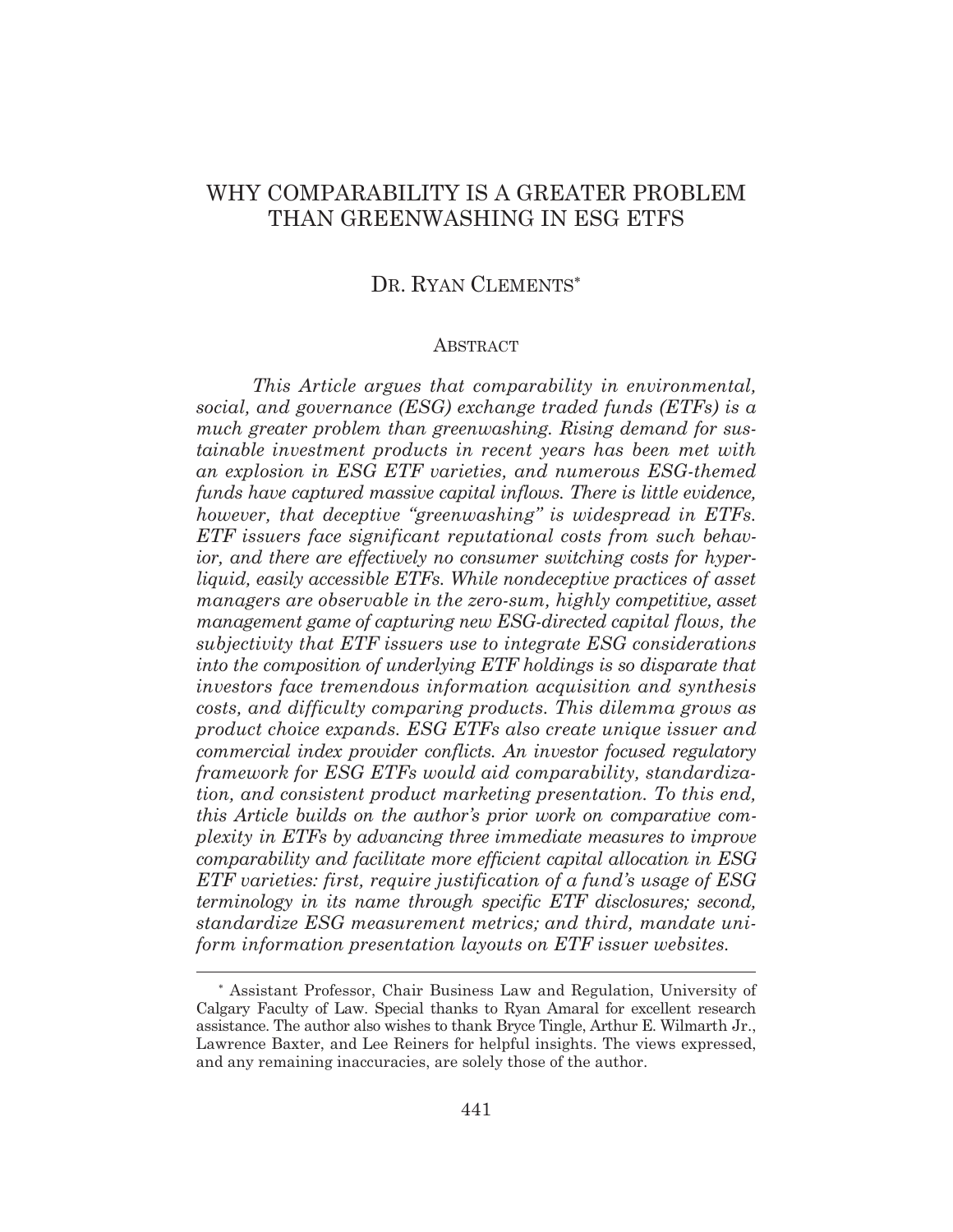## WHY COMPARABILITY IS A GREATER PROBLEM THAN GREENWASHING IN ESG ETFS

## DR. RYAN CLEMENTS\*

#### **ABSTRACT**

*This Article argues that comparability in environmental, social, and governance (ESG) exchange traded funds (ETFs) is a much greater problem than greenwashing. Rising demand for sustainable investment products in recent years has been met with an explosion in ESG ETF varieties, and numerous ESG-themed funds have captured massive capital inflows. There is little evidence, however, that deceptive "greenwashing" is widespread in ETFs. ETF issuers face significant reputational costs from such behavior, and there are effectively no consumer switching costs for hyperliquid, easily accessible ETFs. While nondeceptive practices of asset managers are observable in the zero-sum, highly competitive, asset management game of capturing new ESG-directed capital flows, the subjectivity that ETF issuers use to integrate ESG considerations into the composition of underlying ETF holdings is so disparate that investors face tremendous information acquisition and synthesis costs, and difficulty comparing products. This dilemma grows as product choice expands. ESG ETFs also create unique issuer and commercial index provider conflicts. An investor focused regulatory framework for ESG ETFs would aid comparability, standardization, and consistent product marketing presentation. To this end, this Article builds on the author's prior work on comparative complexity in ETFs by advancing three immediate measures to improve comparability and facilitate more efficient capital allocation in ESG ETF varieties: first, require justification of a fund's usage of ESG terminology in its name through specific ETF disclosures; second, standardize ESG measurement metrics; and third, mandate uniform information presentation layouts on ETF issuer websites.* 

 Assistant Professor, Chair Business Law and Regulation, University of Calgary Faculty of Law. Special thanks to Ryan Amaral for excellent research assistance. The author also wishes to thank Bryce Tingle, Arthur E. Wilmarth Jr., Lawrence Baxter, and Lee Reiners for helpful insights. The views expressed, and any remaining inaccuracies, are solely those of the author.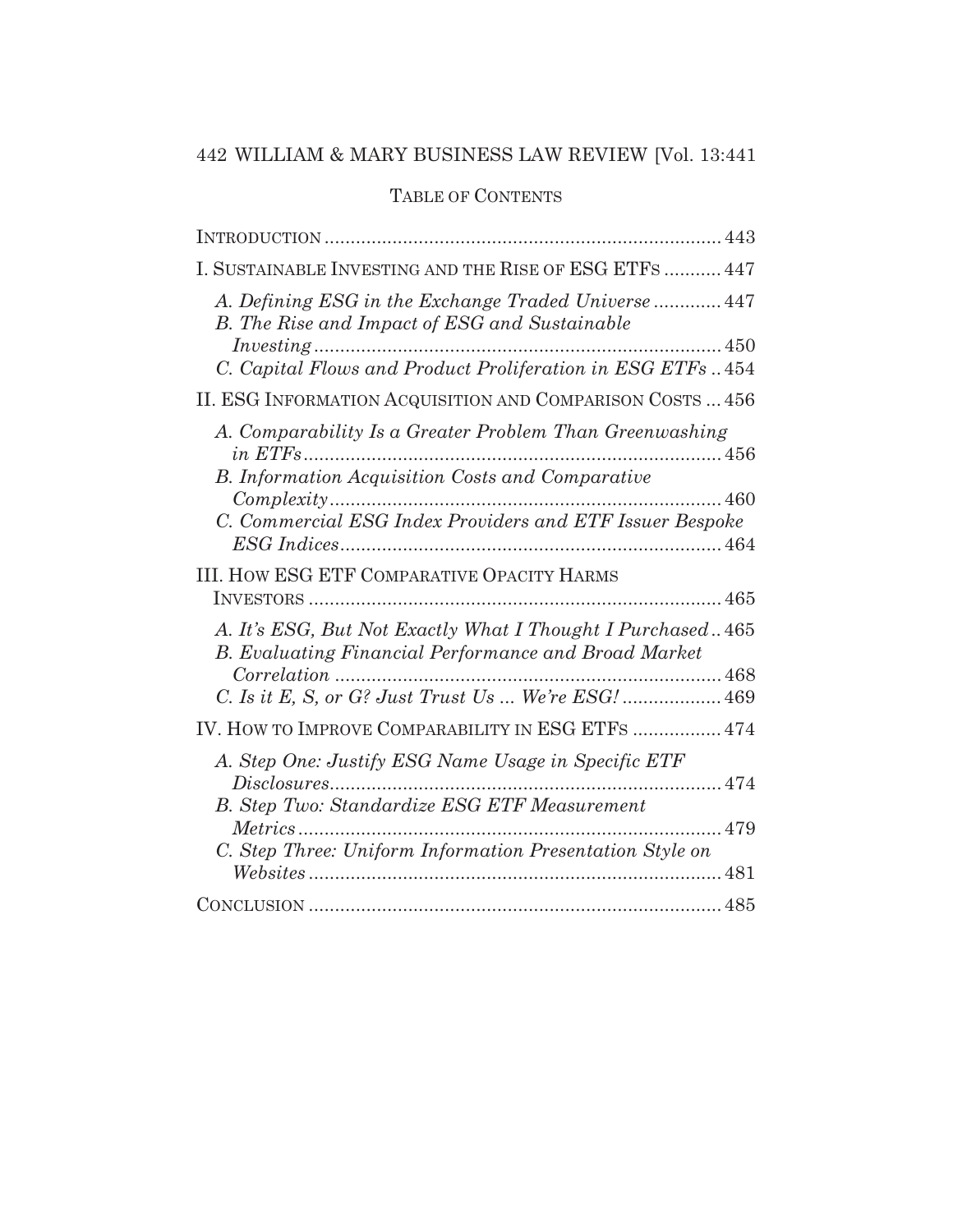## TABLE OF CONTENTS

| I. SUSTAINABLE INVESTING AND THE RISE OF ESG ETFS  447                                                             |
|--------------------------------------------------------------------------------------------------------------------|
| A. Defining ESG in the Exchange Traded Universe  447<br>B. The Rise and Impact of ESG and Sustainable              |
| C. Capital Flows and Product Proliferation in ESG ETFs454                                                          |
| II. ESG INFORMATION ACQUISITION AND COMPARISON COSTS  456                                                          |
| A. Comparability Is a Greater Problem Than Greenwashing<br>$in$ $ETFs$                                             |
| B. Information Acquisition Costs and Comparative                                                                   |
| $Complexity$<br>460<br>C. Commercial ESG Index Providers and ETF Issuer Bespoke                                    |
| <b>III. HOW ESG ETF COMPARATIVE OPACITY HARMS</b>                                                                  |
| A. It's ESG, But Not Exactly What I Thought I Purchased465<br>B. Evaluating Financial Performance and Broad Market |
| C. Is it E, S, or G? Just Trust Us  We're ESG!  469                                                                |
| IV. HOW TO IMPROVE COMPARABILITY IN ESG ETFS  474                                                                  |
| A. Step One: Justify ESG Name Usage in Specific ETF                                                                |
| Disclosures<br>B. Step Two: Standardize ESG ETF Measurement                                                        |
|                                                                                                                    |
| C. Step Three: Uniform Information Presentation Style on                                                           |
|                                                                                                                    |
|                                                                                                                    |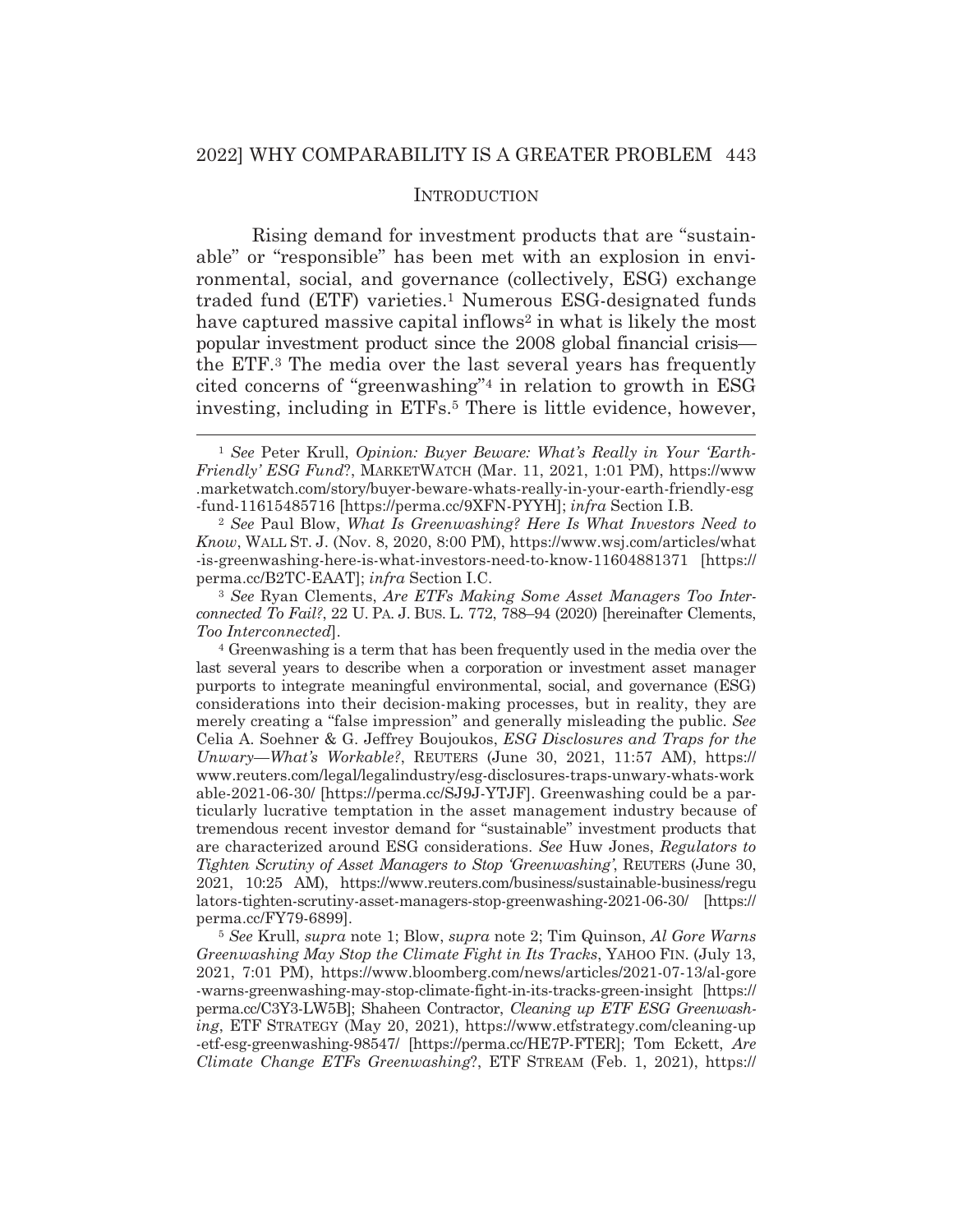#### **INTRODUCTION**

Rising demand for investment products that are "sustainable" or "responsible" has been met with an explosion in environmental, social, and governance (collectively, ESG) exchange traded fund (ETF) varieties.1 Numerous ESG-designated funds have captured massive capital inflows<sup>2</sup> in what is likely the most popular investment product since the 2008 global financial crisis the ETF.3 The media over the last several years has frequently cited concerns of "greenwashing"4 in relation to growth in ESG investing, including in ETFs.<sup>5</sup> There is little evidence, however,

<sup>1</sup> *See* Peter Krull, *Opinion: Buyer Beware: What's Really in Your 'Earth-Friendly' ESG Fund*?, MARKETWATCH (Mar. 11, 2021, 1:01 PM), https://www .marketwatch.com/story/buyer-beware-whats-really-in-your-earth-friendly-esg -fund-11615485716 [https://perma.cc/9XFN-PYYH]; *infra* Section I.B. 2 *See* Paul Blow, *What Is Greenwashing? Here Is What Investors Need to* 

*Know*, WALL ST. J. (Nov. 8, 2020, 8:00 PM), https://www.wsj.com/articles/what -is-greenwashing-here-is-what-investors-need-to-know-11604881371 [https:// perma.cc/B2TC-EAAT]; *infra* Section I.C.

<sup>3</sup> *See* Ryan Clements, *Are ETFs Making Some Asset Managers Too Interconnected To Fail?*, 22 U. PA. J. BUS. L. 772, 788–94 (2020) [hereinafter Clements, *Too Interconnected*]. 4 Greenwashing is a term that has been frequently used in the media over the

last several years to describe when a corporation or investment asset manager purports to integrate meaningful environmental, social, and governance (ESG) considerations into their decision-making processes, but in reality, they are merely creating a "false impression" and generally misleading the public. *See*  Celia A. Soehner & G. Jeffrey Boujoukos, *ESG Disclosures and Traps for the Unwary—What's Workable?*, REUTERS (June 30, 2021, 11:57 AM), https:// www.reuters.com/legal/legalindustry/esg-disclosures-traps-unwary-whats-work able-2021-06-30/ [https://perma.cc/SJ9J-YTJF]. Greenwashing could be a particularly lucrative temptation in the asset management industry because of tremendous recent investor demand for "sustainable" investment products that are characterized around ESG considerations. *See* Huw Jones, *Regulators to Tighten Scrutiny of Asset Managers to Stop 'Greenwashing'*, REUTERS (June 30, 2021, 10:25 AM), https://www.reuters.com/business/sustainable-business/regu lators-tighten-scrutiny-asset-managers-stop-greenwashing-2021-06-30/ [https:// perma.cc/FY79-6899].

<sup>5</sup> *See* Krull, *supra* note 1; Blow, *supra* note 2; Tim Quinson, *Al Gore Warns Greenwashing May Stop the Climate Fight in Its Tracks*, YAHOO FIN. (July 13, 2021, 7:01 PM), https://www.bloomberg.com/news/articles/2021-07-13/al-gore -warns-greenwashing-may-stop-climate-fight-in-its-tracks-green-insight [https:// perma.cc/C3Y3-LW5B]; Shaheen Contractor, *Cleaning up ETF ESG Greenwashing*, ETF STRATEGY (May 20, 2021), https://www.etfstrategy.com/cleaning-up -etf-esg-greenwashing-98547/ [https://perma.cc/HE7P-FTER]; Tom Eckett, *Are Climate Change ETFs Greenwashing*?, ETF STREAM (Feb. 1, 2021), https://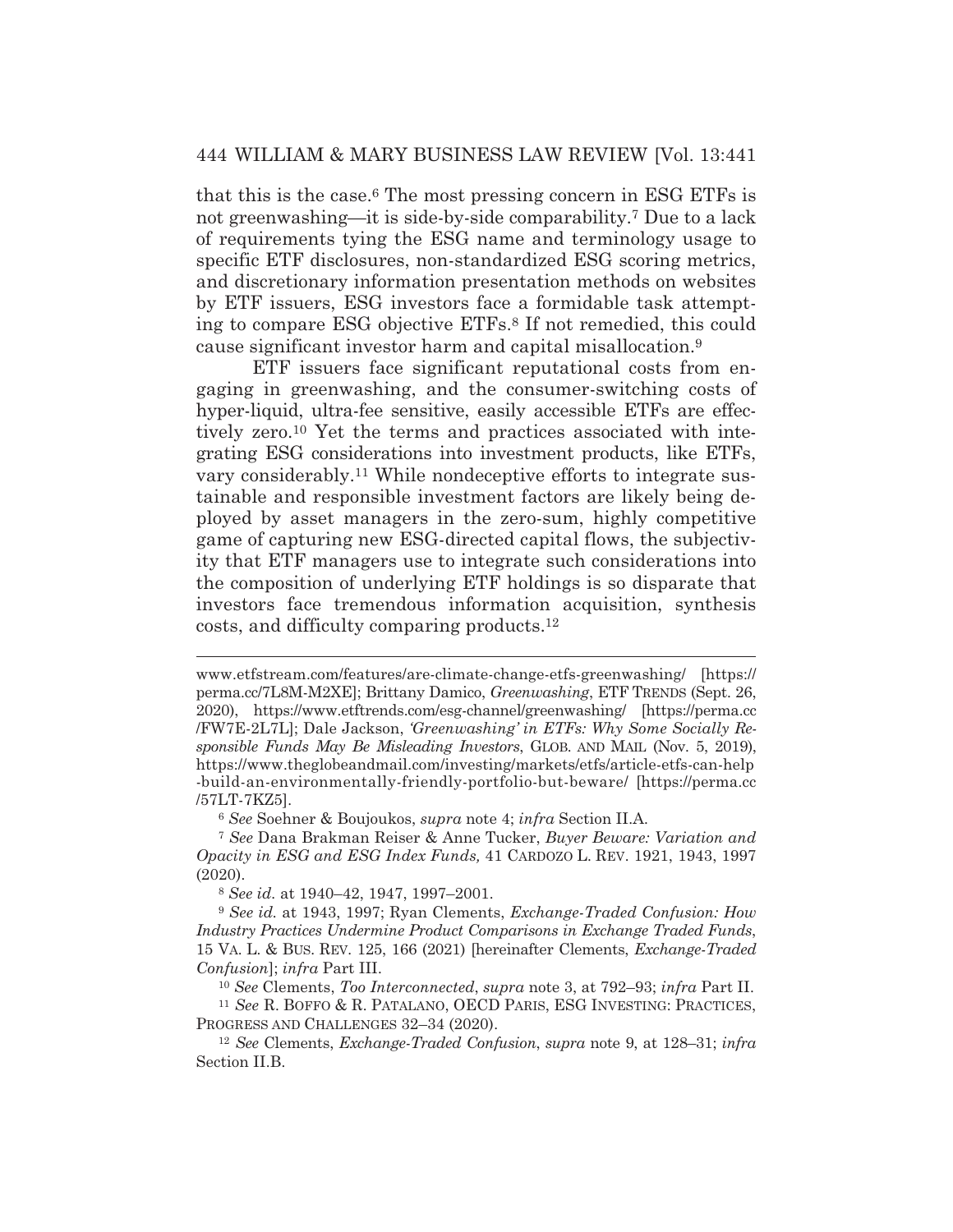that this is the case.6 The most pressing concern in ESG ETFs is not greenwashing*—*it is side-by-side comparability.7 Due to a lack of requirements tying the ESG name and terminology usage to specific ETF disclosures, non-standardized ESG scoring metrics, and discretionary information presentation methods on websites by ETF issuers, ESG investors face a formidable task attempting to compare ESG objective ETFs.8 If not remedied, this could cause significant investor harm and capital misallocation.9

 ETF issuers face significant reputational costs from engaging in greenwashing, and the consumer-switching costs of hyper-liquid, ultra-fee sensitive, easily accessible ETFs are effectively zero.10 Yet the terms and practices associated with integrating ESG considerations into investment products, like ETFs, vary considerably.11 While nondeceptive efforts to integrate sustainable and responsible investment factors are likely being deployed by asset managers in the zero-sum, highly competitive game of capturing new ESG-directed capital flows, the subjectivity that ETF managers use to integrate such considerations into the composition of underlying ETF holdings is so disparate that investors face tremendous information acquisition, synthesis costs, and difficulty comparing products.12

<sup>6</sup> *See* Soehner & Boujoukos, *supra* note 4; *infra* Section II.A.

www.etfstream.com/features/are-climate-change-etfs-greenwashing/ [https:// perma.cc/7L8M-M2XE]; Brittany Damico, *Greenwashing*, ETF TRENDS (Sept. 26, 2020), https://www.etftrends.com/esg-channel/greenwashing/ [https://perma.cc /FW7E-2L7L]; Dale Jackson, *'Greenwashing' in ETFs: Why Some Socially Responsible Funds May Be Misleading Investors*, GLOB. AND MAIL (Nov. 5, 2019), https://www.theglobeandmail.com/investing/markets/etfs/article-etfs-can-help -build-an-environmentally-friendly-portfolio-but-beware/ [https://perma.cc /57LT-7KZ5].

<sup>7</sup> *See* Dana Brakman Reiser & Anne Tucker, *Buyer Beware: Variation and Opacity in ESG and ESG Index Funds,* 41 CARDOZO L. REV. 1921, 1943, 1997 (2020).

<sup>8</sup> *See id.* at 1940–42, 1947, 1997–2001.

<sup>9</sup> *See id.* at 1943, 1997; Ryan Clements, *Exchange-Traded Confusion: How Industry Practices Undermine Product Comparisons in Exchange Traded Funds*, 15 VA. L. & BUS. REV. 125, 166 (2021) [hereinafter Clements, *Exchange-Traded Confusion*]; *infra* Part III.

<sup>10</sup> *See* Clements, *Too Interconnected*, *supra* note 3, at 792–93; *infra* Part II. 11 *See* R. BOFFO & R. PATALANO, OECD PARIS, ESG INVESTING: PRACTICES,

PROGRESS AND CHALLENGES 32–34 (2020). 12 *See* Clements, *Exchange-Traded Confusion*, *supra* note 9, at 128–31; *infra* 

Section II.B.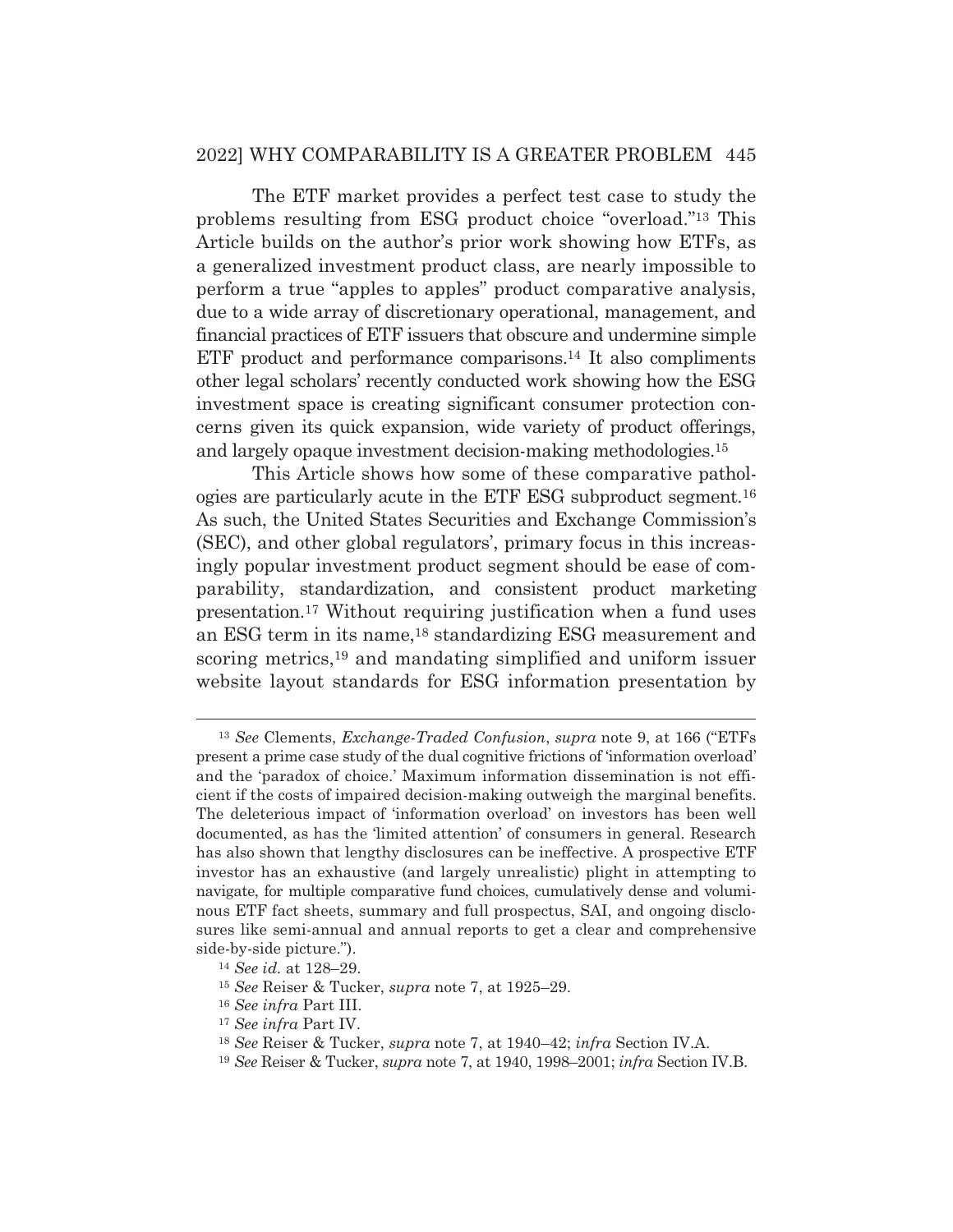## 2022] WHY COMPARABILITY IS A GREATER PROBLEM 445

 The ETF market provides a perfect test case to study the problems resulting from ESG product choice "overload."13 This Article builds on the author's prior work showing how ETFs, as a generalized investment product class, are nearly impossible to perform a true "apples to apples" product comparative analysis, due to a wide array of discretionary operational, management, and financial practices of ETF issuers that obscure and undermine simple ETF product and performance comparisons.<sup>14</sup> It also compliments other legal scholars' recently conducted work showing how the ESG investment space is creating significant consumer protection concerns given its quick expansion, wide variety of product offerings, and largely opaque investment decision-making methodologies.15

 This Article shows how some of these comparative pathologies are particularly acute in the ETF ESG subproduct segment.16 As such, the United States Securities and Exchange Commission's (SEC), and other global regulators', primary focus in this increasingly popular investment product segment should be ease of comparability, standardization, and consistent product marketing presentation.17 Without requiring justification when a fund uses an ESG term in its name,18 standardizing ESG measurement and scoring metrics,<sup>19</sup> and mandating simplified and uniform issuer website layout standards for ESG information presentation by

<sup>13</sup> *See* Clements, *Exchange-Traded Confusion*, *supra* note 9, at 166 ("ETFs present a prime case study of the dual cognitive frictions of 'information overload' and the 'paradox of choice.' Maximum information dissemination is not efficient if the costs of impaired decision-making outweigh the marginal benefits. The deleterious impact of 'information overload' on investors has been well documented, as has the 'limited attention' of consumers in general. Research has also shown that lengthy disclosures can be ineffective. A prospective ETF investor has an exhaustive (and largely unrealistic) plight in attempting to navigate, for multiple comparative fund choices, cumulatively dense and voluminous ETF fact sheets, summary and full prospectus, SAI, and ongoing disclosures like semi-annual and annual reports to get a clear and comprehensive side-by-side picture."). 14 *See id.* at 128–29.

<sup>15</sup> *See* Reiser & Tucker, *supra* note 7, at 1925–29.

<sup>16</sup> *See infra* Part III.

<sup>17</sup> *See infra* Part IV.

<sup>18</sup> *See* Reiser & Tucker, *supra* note 7, at 1940–42; *infra* Section IV.A.

<sup>19</sup> *See* Reiser & Tucker, *supra* note 7, at 1940, 1998–2001; *infra* Section IV.B.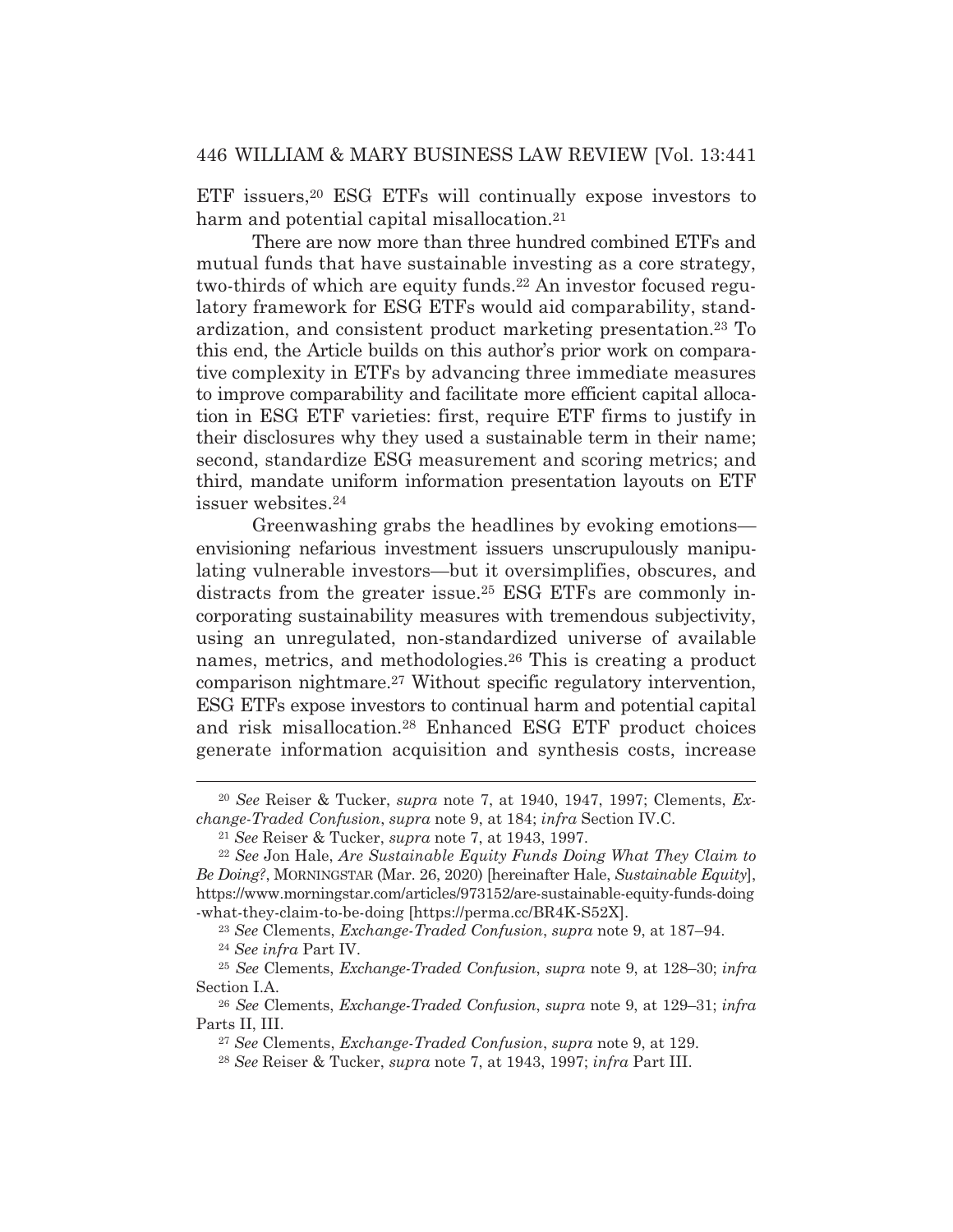ETF issuers,20 ESG ETFs will continually expose investors to harm and potential capital misallocation.<sup>21</sup>

 There are now more than three hundred combined ETFs and mutual funds that have sustainable investing as a core strategy, two-thirds of which are equity funds.<sup>22</sup> An investor focused regulatory framework for ESG ETFs would aid comparability, standardization, and consistent product marketing presentation.23 To this end, the Article builds on this author's prior work on comparative complexity in ETFs by advancing three immediate measures to improve comparability and facilitate more efficient capital allocation in ESG ETF varieties: first, require ETF firms to justify in their disclosures why they used a sustainable term in their name; second, standardize ESG measurement and scoring metrics; and third, mandate uniform information presentation layouts on ETF issuer websites.24

 Greenwashing grabs the headlines by evoking emotions envisioning nefarious investment issuers unscrupulously manipulating vulnerable investors—but it oversimplifies, obscures, and distracts from the greater issue.<sup>25</sup> ESG ETFs are commonly incorporating sustainability measures with tremendous subjectivity, using an unregulated, non-standardized universe of available names, metrics, and methodologies.26 This is creating a product comparison nightmare.27 Without specific regulatory intervention, ESG ETFs expose investors to continual harm and potential capital and risk misallocation.28 Enhanced ESG ETF product choices generate information acquisition and synthesis costs, increase

<sup>20</sup> *See* Reiser & Tucker, *supra* note 7, at 1940, 1947, 1997; Clements, *Ex*change-Traded Confusion, supra note 9, at 184; infra Section IV.C.<br><sup>21</sup> See Reiser & Tucker, supra note 7, at 1943, 1997.<br><sup>22</sup> See Jon Hale, *Are Sustainable Equity Funds Doing What They Claim to* 

*Be Doing?*, MORNINGSTAR (Mar. 26, 2020) [hereinafter Hale, *Sustainable Equity*], https://www.morningstar.com/articles/973152/are-sustainable-equity-funds-doing -what-they-claim-to-be-doing [https://perma.cc/BR4K-S52X].

<sup>23</sup> *See* Clements, *Exchange-Traded Confusion*, *supra* note 9, at 187–94. 24 *See infra* Part IV.

<sup>25</sup> *See* Clements, *Exchange-Traded Confusion*, *supra* note 9, at 128–30; *infra*  Section I.A.

<sup>26</sup> *See* Clements, *Exchange-Traded Confusion*, *supra* note 9, at 129–31; *infra*  Parts II, III.

<sup>27</sup> *See* Clements, *Exchange-Traded Confusion*, *supra* note 9, at 129.

<sup>28</sup> *See* Reiser & Tucker, *supra* note 7, at 1943, 1997; *infra* Part III.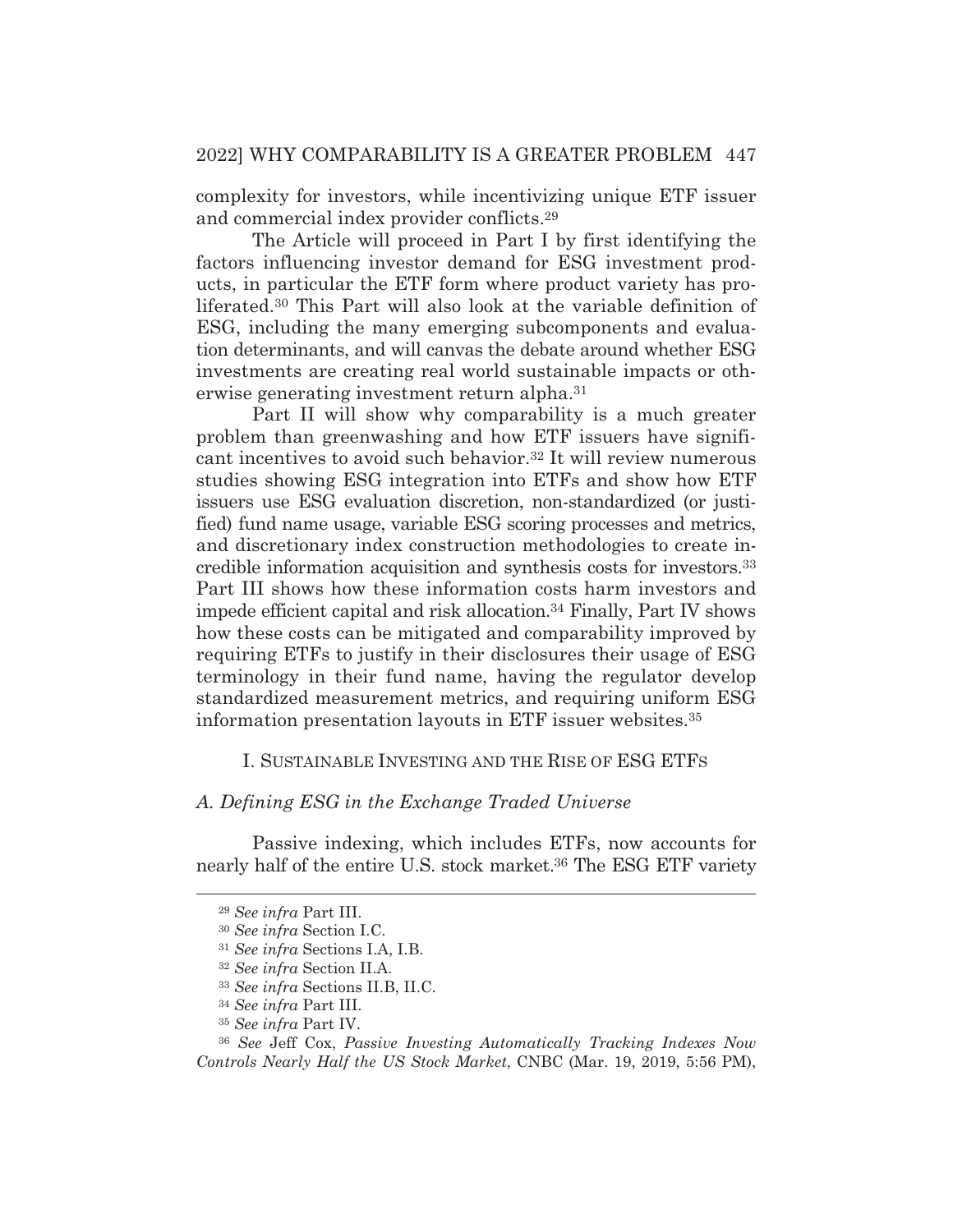complexity for investors, while incentivizing unique ETF issuer and commercial index provider conflicts.29

 The Article will proceed in Part I by first identifying the factors influencing investor demand for ESG investment products, in particular the ETF form where product variety has proliferated.30 This Part will also look at the variable definition of ESG, including the many emerging subcomponents and evaluation determinants, and will canvas the debate around whether ESG investments are creating real world sustainable impacts or otherwise generating investment return alpha.31

 Part II will show why comparability is a much greater problem than greenwashing and how ETF issuers have significant incentives to avoid such behavior.32 It will review numerous studies showing ESG integration into ETFs and show how ETF issuers use ESG evaluation discretion, non-standardized (or justified) fund name usage, variable ESG scoring processes and metrics, and discretionary index construction methodologies to create incredible information acquisition and synthesis costs for investors.33 Part III shows how these information costs harm investors and impede efficient capital and risk allocation.34 Finally, Part IV shows how these costs can be mitigated and comparability improved by requiring ETFs to justify in their disclosures their usage of ESG terminology in their fund name, having the regulator develop standardized measurement metrics, and requiring uniform ESG information presentation layouts in ETF issuer websites.35

## I. SUSTAINABLE INVESTING AND THE RISE OF ESG ETFS

## *A. Defining ESG in the Exchange Traded Universe*

Passive indexing, which includes ETFs, now accounts for nearly half of the entire U.S. stock market.36 The ESG ETF variety

<sup>29</sup> *See infra* Part III.

<sup>30</sup> *See infra* Section I.C.

<sup>31</sup> *See infra* Sections I.A, I.B.

<sup>32</sup> *See infra* Section II.A.

<sup>33</sup> *See infra* Sections II.B, II.C.

<sup>34</sup> *See infra* Part III.

<sup>35</sup> *See infra* Part IV.

<sup>36</sup> *See* Jeff Cox, *Passive Investing Automatically Tracking Indexes Now Controls Nearly Half the US Stock Market*, CNBC (Mar. 19, 2019, 5:56 PM),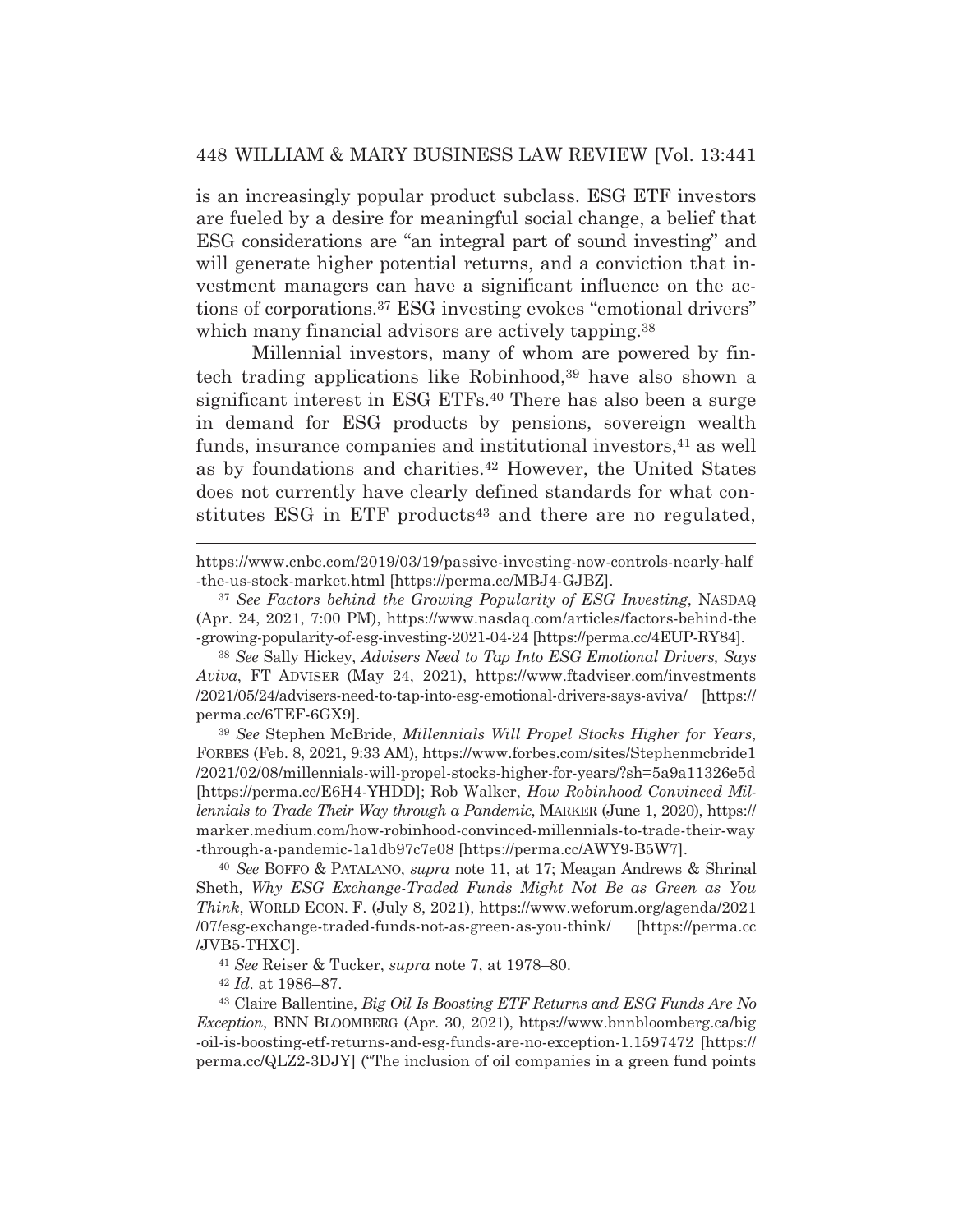is an increasingly popular product subclass. ESG ETF investors are fueled by a desire for meaningful social change, a belief that ESG considerations are "an integral part of sound investing" and will generate higher potential returns, and a conviction that investment managers can have a significant influence on the actions of corporations.37 ESG investing evokes "emotional drivers" which many financial advisors are actively tapping.<sup>38</sup>

 Millennial investors, many of whom are powered by fintech trading applications like Robinhood,<sup>39</sup> have also shown a significant interest in ESG ETFs.40 There has also been a surge in demand for ESG products by pensions, sovereign wealth funds, insurance companies and institutional investors, <sup>41</sup> as well as by foundations and charities.<sup>42</sup> However, the United States does not currently have clearly defined standards for what constitutes ESG in ETF products<sup>43</sup> and there are no regulated,

<sup>39</sup> *See* Stephen McBride, *Millennials Will Propel Stocks Higher for Years*, FORBES (Feb. 8, 2021, 9:33 AM), https://www.forbes.com/sites/Stephenmcbride1 /2021/02/08/millennials-will-propel-stocks-higher-for-years/?sh=5a9a11326e5d [https://perma.cc/E6H4-YHDD]; Rob Walker, *How Robinhood Convinced Millennials to Trade Their Way through a Pandemic*, MARKER (June 1, 2020), https:// marker.medium.com/how-robinhood-convinced-millennials-to-trade-their-way -through-a-pandemic-1a1db97c7e08 [https://perma.cc/AWY9-B5W7].

<sup>40</sup> *See* BOFFO & PATALANO, *supra* note 11, at 17; Meagan Andrews & Shrinal Sheth, *Why ESG Exchange-Traded Funds Might Not Be as Green as You Think*, WORLD ECON. F. (July 8, 2021), https://www.weforum.org/agenda/2021 /07/esg-exchange-traded-funds-not-as-green-as-you-think/ [https://perma.cc /JVB5-THXC].

<sup>41</sup> *See* Reiser & Tucker, *supra* note 7, at 1978–80. 42 *Id.* at 1986–87.

43 Claire Ballentine, *Big Oil Is Boosting ETF Returns and ESG Funds Are No Exception*, BNN BLOOMBERG (Apr. 30, 2021), https://www.bnnbloomberg.ca/big -oil-is-boosting-etf-returns-and-esg-funds-are-no-exception-1.1597472 [https:// perma.cc/QLZ2-3DJY] ("The inclusion of oil companies in a green fund points

https://www.cnbc.com/2019/03/19/passive-investing-now-controls-nearly-half -the-us-stock-market.html [https://perma.cc/MBJ4-GJBZ].

<sup>37</sup> *See Factors behind the Growing Popularity of ESG Investing*, NASDAQ (Apr. 24, 2021, 7:00 PM), https://www.nasdaq.com/articles/factors-behind-the -growing-popularity-of-esg-investing-2021-04-24 [https://perma.cc/4EUP-RY84].

<sup>38</sup> *See* Sally Hickey, *Advisers Need to Tap Into ESG Emotional Drivers, Says Aviva*, FT ADVISER (May 24, 2021), https://www.ftadviser.com/investments /2021/05/24/advisers-need-to-tap-into-esg-emotional-drivers-says-aviva/ [https:// perma.cc/6TEF-6GX9].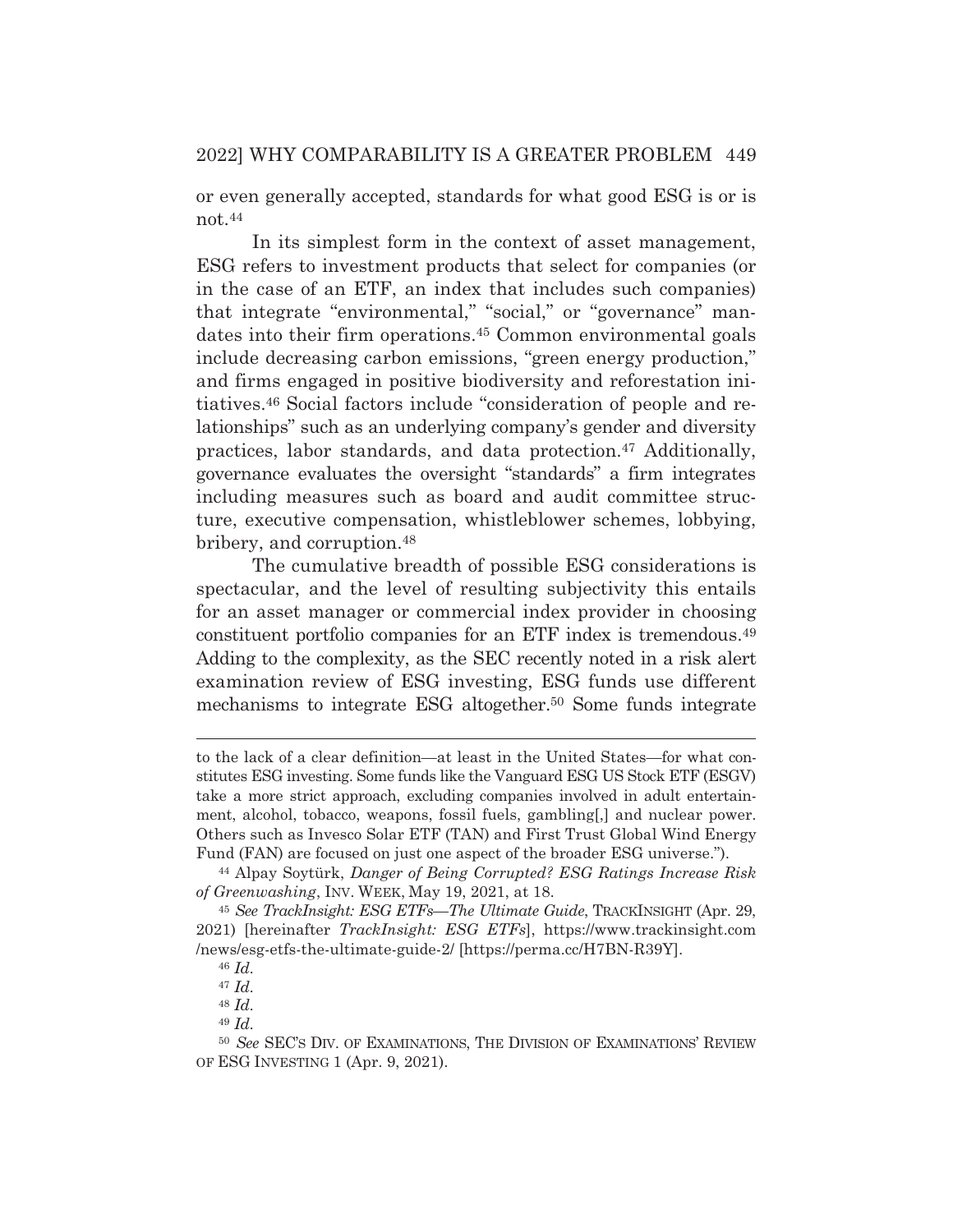or even generally accepted, standards for what good ESG is or is not.44

 In its simplest form in the context of asset management, ESG refers to investment products that select for companies (or in the case of an ETF, an index that includes such companies) that integrate "environmental," "social," or "governance" mandates into their firm operations.45 Common environmental goals include decreasing carbon emissions, "green energy production," and firms engaged in positive biodiversity and reforestation initiatives.46 Social factors include "consideration of people and relationships" such as an underlying company's gender and diversity practices, labor standards, and data protection.47 Additionally, governance evaluates the oversight "standards" a firm integrates including measures such as board and audit committee structure, executive compensation, whistleblower schemes, lobbying, bribery, and corruption.48

 The cumulative breadth of possible ESG considerations is spectacular, and the level of resulting subjectivity this entails for an asset manager or commercial index provider in choosing constituent portfolio companies for an ETF index is tremendous.49 Adding to the complexity, as the SEC recently noted in a risk alert examination review of ESG investing, ESG funds use different mechanisms to integrate ESG altogether.<sup>50</sup> Some funds integrate

to the lack of a clear definition—at least in the United States—for what constitutes ESG investing. Some funds like the Vanguard ESG US Stock ETF (ESGV) take a more strict approach, excluding companies involved in adult entertainment, alcohol, tobacco, weapons, fossil fuels, gambling[,] and nuclear power. Others such as Invesco Solar ETF (TAN) and First Trust Global Wind Energy Fund (FAN) are focused on just one aspect of the broader ESG universe."). 44 Alpay Soytürk, *Danger of Being Corrupted? ESG Ratings Increase Risk* 

*of Greenwashing*, INV. WEEK, May 19, 2021, at 18.

<sup>45</sup> *See TrackInsight: ESG ETFs—The Ultimate Guide*, TRACKINSIGHT (Apr. 29, 2021) [hereinafter *TrackInsight: ESG ETFs*], https://www.trackinsight.com /news/esg-etfs-the-ultimate-guide-2/ [https://perma.cc/H7BN-R39Y].

<sup>46</sup> *Id.*

<sup>47</sup> *Id.*

<sup>48</sup> *Id.*

<sup>49</sup> *Id.*

<sup>50</sup> *See* SEC'S DIV. OF EXAMINATIONS, THE DIVISION OF EXAMINATIONS' REVIEW OF ESG INVESTING 1 (Apr. 9, 2021).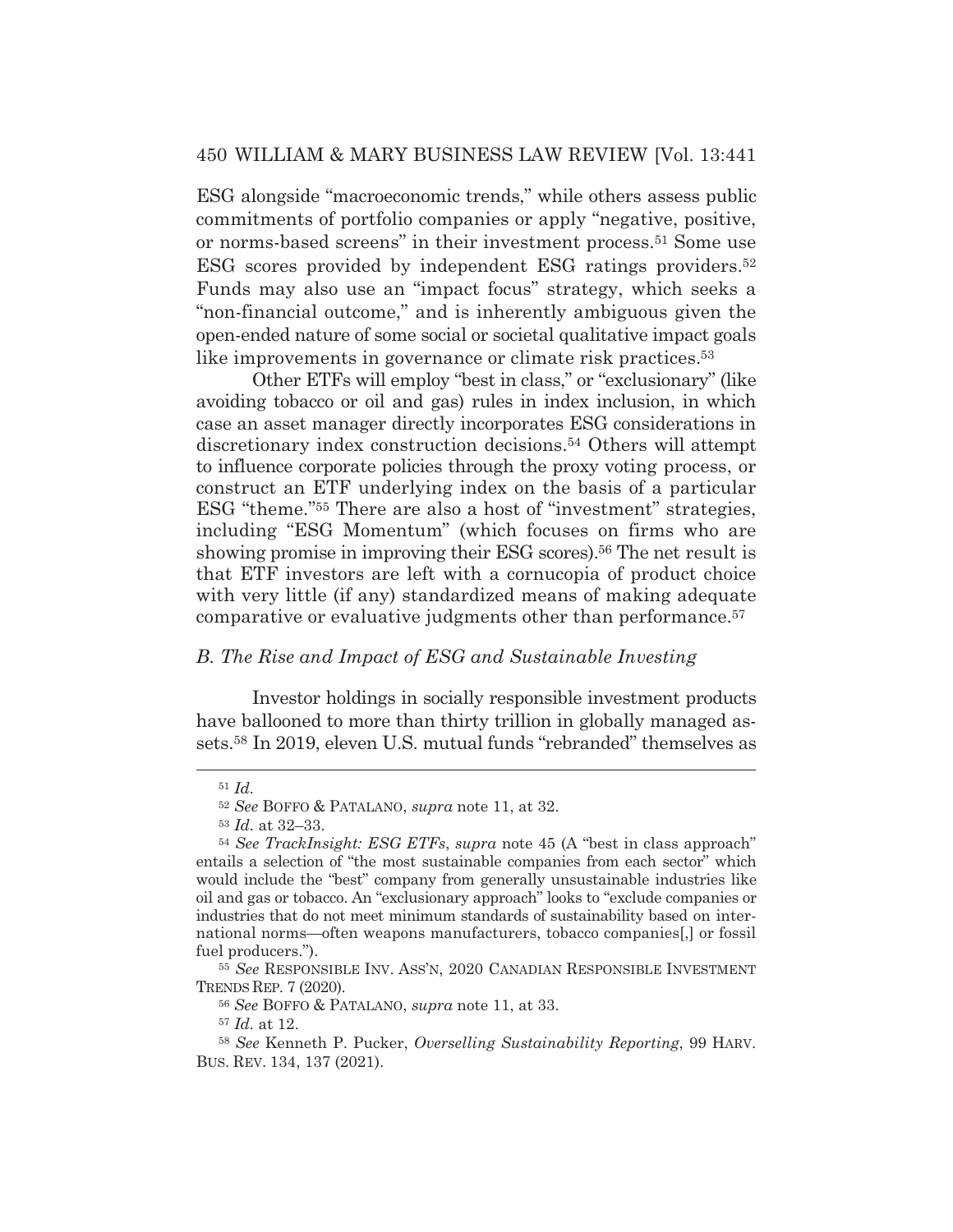ESG alongside "macroeconomic trends," while others assess public commitments of portfolio companies or apply "negative, positive, or norms-based screens" in their investment process.51 Some use ESG scores provided by independent ESG ratings providers.52 Funds may also use an "impact focus" strategy, which seeks a "non-financial outcome," and is inherently ambiguous given the open-ended nature of some social or societal qualitative impact goals like improvements in governance or climate risk practices.53

 Other ETFs will employ "best in class," or "exclusionary" (like avoiding tobacco or oil and gas) rules in index inclusion, in which case an asset manager directly incorporates ESG considerations in discretionary index construction decisions.54 Others will attempt to influence corporate policies through the proxy voting process, or construct an ETF underlying index on the basis of a particular ESG "theme."55 There are also a host of "investment" strategies, including "ESG Momentum" (which focuses on firms who are showing promise in improving their ESG scores).<sup>56</sup> The net result is that ETF investors are left with a cornucopia of product choice with very little (if any) standardized means of making adequate comparative or evaluative judgments other than performance.57

## *B. The Rise and Impact of ESG and Sustainable Investing*

Investor holdings in socially responsible investment products have ballooned to more than thirty trillion in globally managed assets.58 In 2019, eleven U.S. mutual funds "rebranded" themselves as

<sup>57</sup> *Id.* at 12.

<sup>51</sup> *Id.*

<sup>52</sup> *See* BOFFO & PATALANO, *supra* note 11, at 32.

<sup>53</sup> *Id.* at 32–33.

<sup>54</sup> *See TrackInsight: ESG ETFs*, *supra* note 45 (A "best in class approach" entails a selection of "the most sustainable companies from each sector" which would include the "best" company from generally unsustainable industries like oil and gas or tobacco. An "exclusionary approach" looks to "exclude companies or industries that do not meet minimum standards of sustainability based on international norms*—*often weapons manufacturers, tobacco companies[,] or fossil fuel producers.").

<sup>55</sup> *See* RESPONSIBLE INV. ASS'N, 2020 CANADIAN RESPONSIBLE INVESTMENT TRENDS REP. 7 (2020).

<sup>56</sup> *See* BOFFO & PATALANO, *supra* note 11, at 33.

<sup>58</sup> *See* Kenneth P. Pucker, *Overselling Sustainability Reporting*, 99 HARV. BUS. REV. 134, 137 (2021).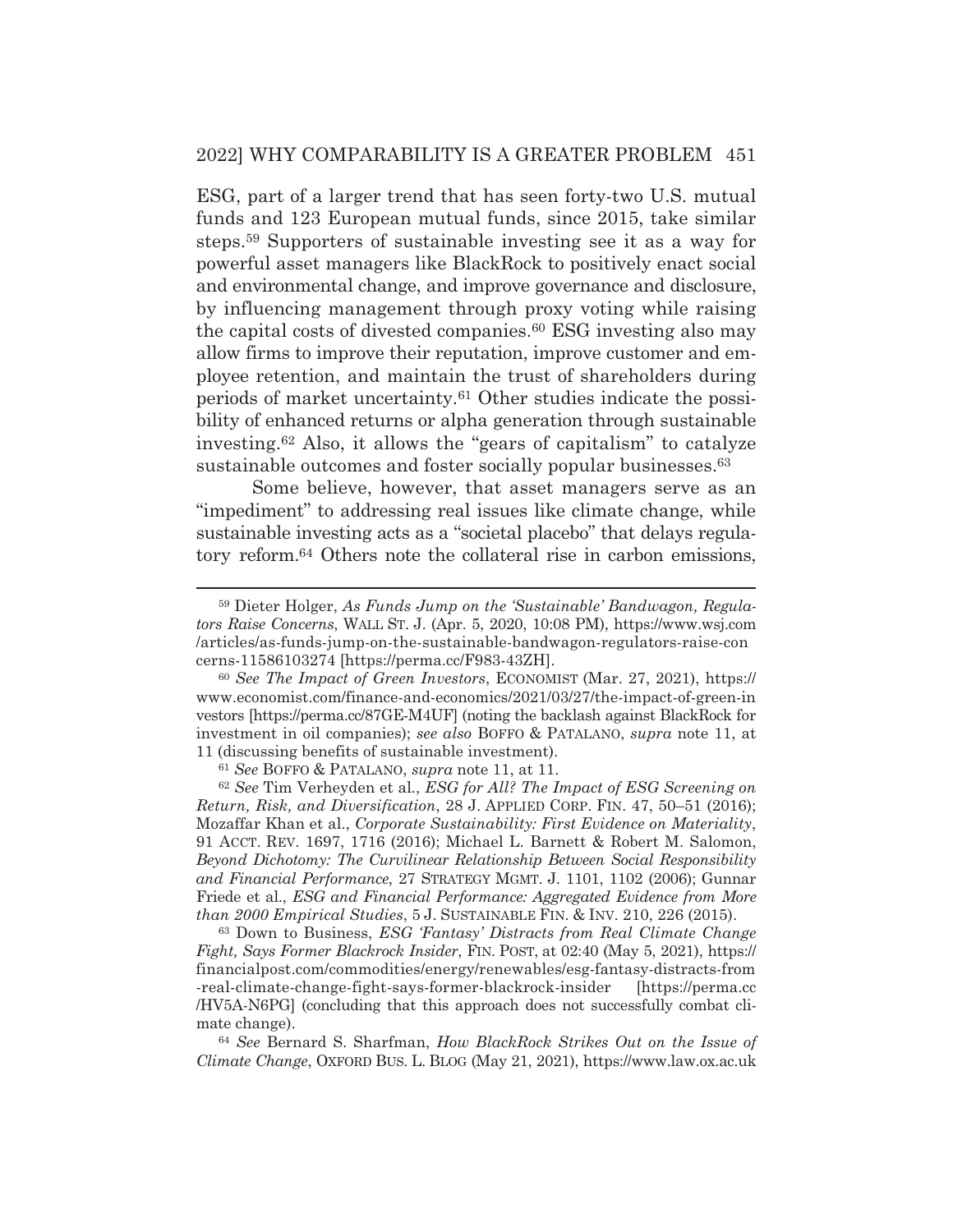ESG, part of a larger trend that has seen forty-two U.S. mutual funds and 123 European mutual funds, since 2015, take similar steps.59 Supporters of sustainable investing see it as a way for powerful asset managers like BlackRock to positively enact social and environmental change, and improve governance and disclosure, by influencing management through proxy voting while raising the capital costs of divested companies.60 ESG investing also may allow firms to improve their reputation, improve customer and employee retention, and maintain the trust of shareholders during periods of market uncertainty.61 Other studies indicate the possibility of enhanced returns or alpha generation through sustainable investing.62 Also, it allows the "gears of capitalism" to catalyze sustainable outcomes and foster socially popular businesses.<sup>63</sup>

 Some believe, however, that asset managers serve as an "impediment" to addressing real issues like climate change, while sustainable investing acts as a "societal placebo" that delays regulatory reform.64 Others note the collateral rise in carbon emissions,

<sup>59</sup> Dieter Holger, *As Funds Jump on the 'Sustainable' Bandwagon, Regulators Raise Concerns*, WALL ST. J. (Apr. 5, 2020, 10:08 PM), https://www.wsj.com /articles/as-funds-jump-on-the-sustainable-bandwagon-regulators-raise-con cerns-11586103274 [https://perma.cc/F983-43ZH].

<sup>60</sup> *See The Impact of Green Investors*, ECONOMIST (Mar. 27, 2021), https:// www.economist.com/finance-and-economics/2021/03/27/the-impact-of-green-in vestors [https://perma.cc/87GE-M4UF] (noting the backlash against BlackRock for investment in oil companies); *see also* BOFFO & PATALANO, *supra* note 11, at 11 (discussing benefits of sustainable investment).

<sup>61</sup> *See* BOFFO & PATALANO, *supra* note 11, at 11.

<sup>62</sup> *See* Tim Verheyden et al*.*, *ESG for All? The Impact of ESG Screening on Return, Risk, and Diversification*, 28 J. APPLIED CORP. FIN. 47, 50–51 (2016); Mozaffar Khan et al., *Corporate Sustainability: First Evidence on Materiality*, 91 ACCT. REV. 1697, 1716 (2016); Michael L. Barnett & Robert M. Salomon, *Beyond Dichotomy: The Curvilinear Relationship Between Social Responsibility and Financial Performance*, 27 STRATEGY MGMT. J. 1101, 1102 (2006); Gunnar Friede et al., *ESG and Financial Performance: Aggregated Evidence from More than 2000 Empirical Studies*, 5 J. SUSTAINABLE FIN.&INV. 210, 226 (2015).

<sup>63</sup> Down to Business, *ESG 'Fantasy' Distracts from Real Climate Change Fight, Says Former Blackrock Insider*, FIN. POST, at 02:40 (May 5, 2021), https:// financialpost.com/commodities/energy/renewables/esg-fantasy-distracts-from -real-climate-change-fight-says-former-blackrock-insider [https://perma.cc /HV5A-N6PG] (concluding that this approach does not successfully combat climate change).

<sup>64</sup> *See* Bernard S. Sharfman, *How BlackRock Strikes Out on the Issue of Climate Change*, OXFORD BUS. L. BLOG (May 21, 2021), https://www.law.ox.ac.uk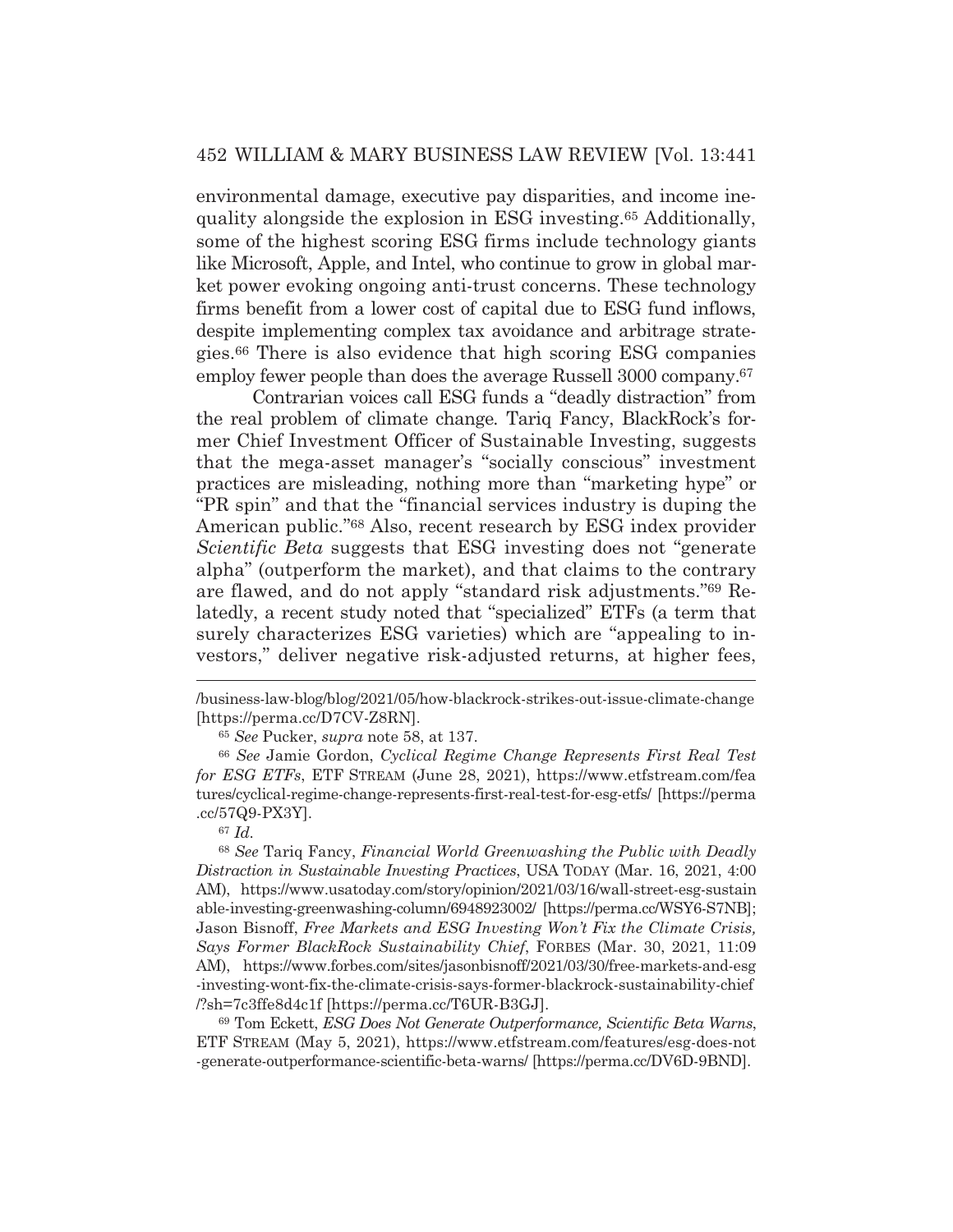environmental damage, executive pay disparities, and income inequality alongside the explosion in ESG investing.65 Additionally, some of the highest scoring ESG firms include technology giants like Microsoft, Apple, and Intel, who continue to grow in global market power evoking ongoing anti-trust concerns. These technology firms benefit from a lower cost of capital due to ESG fund inflows, despite implementing complex tax avoidance and arbitrage strategies.66 There is also evidence that high scoring ESG companies employ fewer people than does the average Russell 3000 company.<sup>67</sup>

 Contrarian voices call ESG funds a "deadly distraction" from the real problem of climate change*.* Tariq Fancy, BlackRock's former Chief Investment Officer of Sustainable Investing, suggests that the mega-asset manager's "socially conscious" investment practices are misleading, nothing more than "marketing hype" or "PR spin" and that the "financial services industry is duping the American public."68 Also, recent research by ESG index provider *Scientific Beta* suggests that ESG investing does not "generate alpha" (outperform the market), and that claims to the contrary are flawed, and do not apply "standard risk adjustments."69 Relatedly, a recent study noted that "specialized" ETFs (a term that surely characterizes ESG varieties) which are "appealing to investors," deliver negative risk-adjusted returns, at higher fees,

<sup>68</sup> *See* Tariq Fancy, *Financial World Greenwashing the Public with Deadly Distraction in Sustainable Investing Practices*, USA TODAY (Mar. 16, 2021, 4:00 AM), https://www.usatoday.com/story/opinion/2021/03/16/wall-street-esg-sustain able-investing-greenwashing-column/6948923002/ [https://perma.cc/WSY6-S7NB]; Jason Bisnoff, *Free Markets and ESG Investing Won't Fix the Climate Crisis, Says Former BlackRock Sustainability Chief*, FORBES (Mar. 30, 2021, 11:09 AM), https://www.forbes.com/sites/jasonbisnoff/2021/03/30/free-markets-and-esg -investing-wont-fix-the-climate-crisis-says-former-blackrock-sustainability-chief /?sh=7c3ffe8d4c1f [https://perma.cc/T6UR-B3GJ].

69 Tom Eckett, *ESG Does Not Generate Outperformance, Scientific Beta Warns*, ETF STREAM (May 5, 2021), https://www.etfstream.com/features/esg-does-not -generate-outperformance-scientific-beta-warns/ [https://perma.cc/DV6D-9BND].

<sup>/</sup>business-law-blog/blog/2021/05/how-blackrock-strikes-out-issue-climate-change [https://perma.cc/D7CV-Z8RN].

<sup>65</sup> *See* Pucker, *supra* note 58, at 137.

<sup>66</sup> *See* Jamie Gordon, *Cyclical Regime Change Represents First Real Test for ESG ETFs*, ETF STREAM (June 28, 2021), https://www.etfstream.com/fea tures/cyclical-regime-change-represents-first-real-test-for-esg-etfs/ [https://perma .cc/57Q9-PX3Y].

<sup>67</sup> *Id.*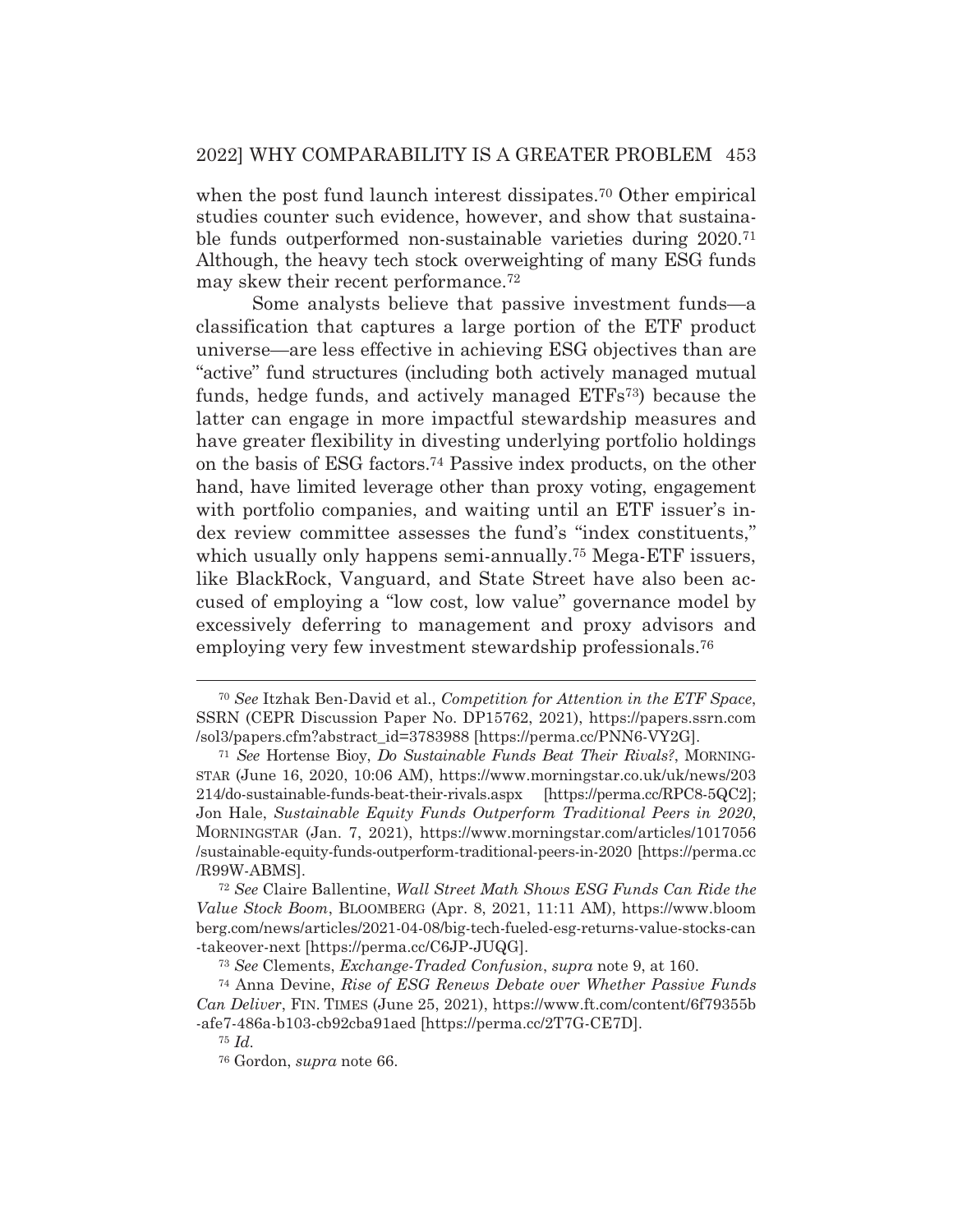when the post fund launch interest dissipates.<sup>70</sup> Other empirical studies counter such evidence, however, and show that sustainable funds outperformed non-sustainable varieties during 2020.71 Although, the heavy tech stock overweighting of many ESG funds may skew their recent performance.72

 Some analysts believe that passive investment funds—a classification that captures a large portion of the ETF product universe—are less effective in achieving ESG objectives than are "active" fund structures (including both actively managed mutual funds, hedge funds, and actively managed ETFs73) because the latter can engage in more impactful stewardship measures and have greater flexibility in divesting underlying portfolio holdings on the basis of ESG factors.74 Passive index products, on the other hand, have limited leverage other than proxy voting, engagement with portfolio companies, and waiting until an ETF issuer's index review committee assesses the fund's "index constituents," which usually only happens semi-annually.<sup>75</sup> Mega-ETF issuers, like BlackRock, Vanguard, and State Street have also been accused of employing a "low cost, low value" governance model by excessively deferring to management and proxy advisors and employing very few investment stewardship professionals.76

<sup>70</sup> *See* Itzhak Ben-David et al., *Competition for Attention in the ETF Space*, SSRN (CEPR Discussion Paper No. DP15762, 2021), https://papers.ssrn.com /sol3/papers.cfm?abstract\_id=3783988 [https://perma.cc/PNN6-VY2G].

<sup>71</sup> *See* Hortense Bioy, *Do Sustainable Funds Beat Their Rivals?*, MORNING-STAR (June 16, 2020, 10:06 AM), https://www.morningstar.co.uk/uk/news/203 214/do-sustainable-funds-beat-their-rivals.aspx [https://perma.cc/RPC8-5QC2]; Jon Hale, *Sustainable Equity Funds Outperform Traditional Peers in 2020*, MORNINGSTAR (Jan. 7, 2021), https://www.morningstar.com/articles/1017056 /sustainable-equity-funds-outperform-traditional-peers-in-2020 [https://perma.cc /R99W-ABMS].

<sup>72</sup> *See* Claire Ballentine, *Wall Street Math Shows ESG Funds Can Ride the Value Stock Boom*, BLOOMBERG (Apr. 8, 2021, 11:11 AM), https://www.bloom berg.com/news/articles/2021-04-08/big-tech-fueled-esg-returns-value-stocks-can -takeover-next [https://perma.cc/C6JP-JUQG].

<sup>73</sup> *See* Clements, *Exchange-Traded Confusion*, *supra* note 9, at 160.

<sup>74</sup> Anna Devine, *Rise of ESG Renews Debate over Whether Passive Funds Can Deliver*, FIN. TIMES (June 25, 2021), https://www.ft.com/content/6f79355b -afe7-486a-b103-cb92cba91aed [https://perma.cc/2T7G-CE7D].

<sup>75</sup> *Id.*

<sup>76</sup> Gordon, *supra* note 66.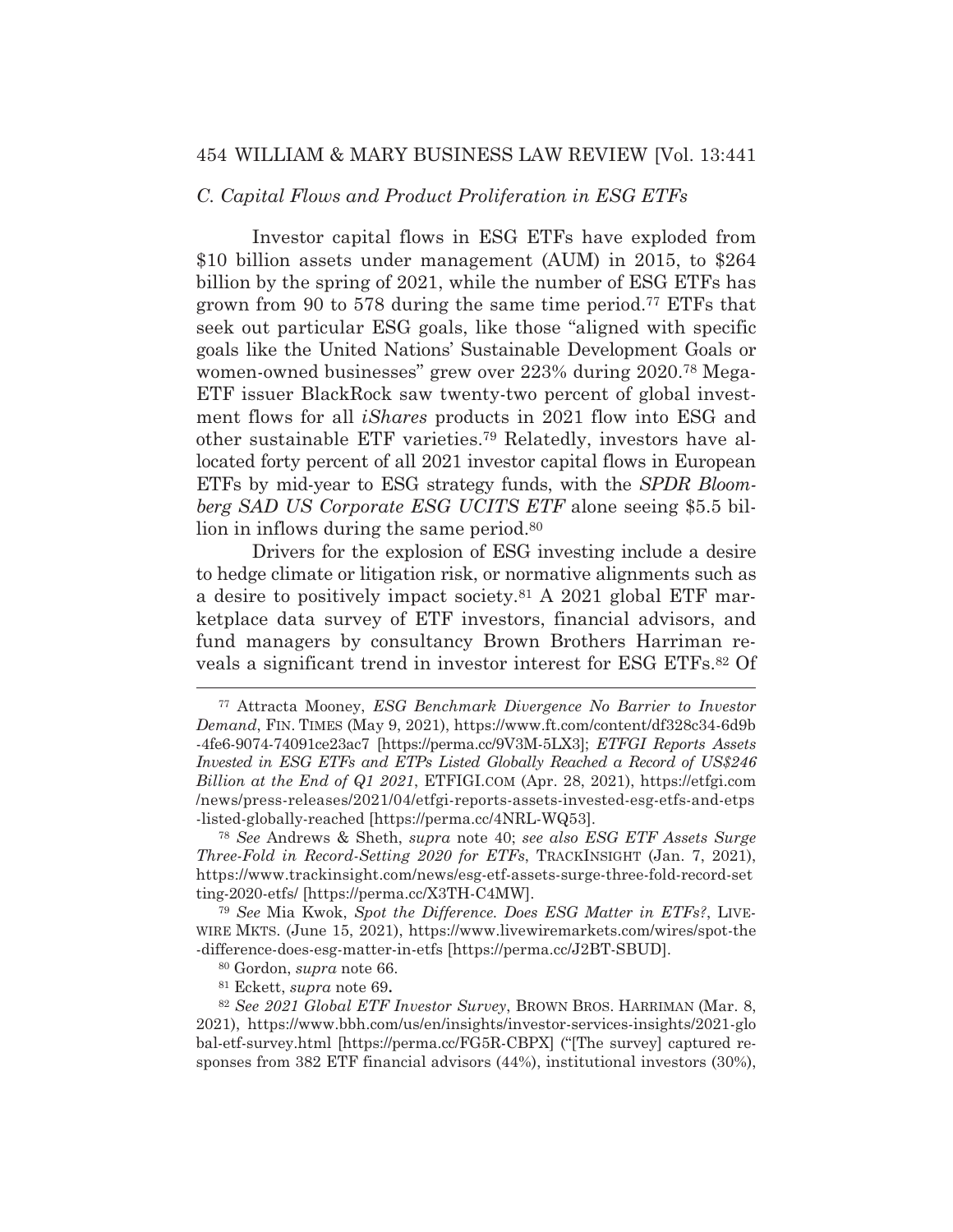#### *C. Capital Flows and Product Proliferation in ESG ETFs*

Investor capital flows in ESG ETFs have exploded from \$10 billion assets under management (AUM) in 2015, to \$264 billion by the spring of 2021, while the number of ESG ETFs has grown from 90 to 578 during the same time period.77 ETFs that seek out particular ESG goals, like those "aligned with specific goals like the United Nations' Sustainable Development Goals or women-owned businesses" grew over 223% during 2020.78 Mega-ETF issuer BlackRock saw twenty-two percent of global investment flows for all *iShares* products in 2021 flow into ESG and other sustainable ETF varieties.79 Relatedly, investors have allocated forty percent of all 2021 investor capital flows in European ETFs by mid-year to ESG strategy funds, with the *SPDR Bloomberg SAD US Corporate ESG UCITS ETF* alone seeing \$5.5 billion in inflows during the same period.<sup>80</sup>

 Drivers for the explosion of ESG investing include a desire to hedge climate or litigation risk, or normative alignments such as a desire to positively impact society.81 A 2021 global ETF marketplace data survey of ETF investors, financial advisors, and fund managers by consultancy Brown Brothers Harriman reveals a significant trend in investor interest for ESG ETFs.82 Of

<sup>78</sup> *See* Andrews & Sheth, *supra* note 40; *see also ESG ETF Assets Surge Three-Fold in Record-Setting 2020 for ETFs*, TRACKINSIGHT (Jan. 7, 2021), https://www.trackinsight.com/news/esg-etf-assets-surge-three-fold-record-set ting-2020-etfs/ [https://perma.cc/X3TH-C4MW].

<sup>79</sup> *See* Mia Kwok, *Spot the Difference. Does ESG Matter in ETFs?*, LIVE-WIRE MKTS. (June 15, 2021), https://www.livewiremarkets.com/wires/spot-the -difference-does-esg-matter-in-etfs [https://perma.cc/J2BT-SBUD].

81 Eckett, *supra* note 69**.**

<sup>82</sup> *See 2021 Global ETF Investor Survey*, BROWN BROS. HARRIMAN (Mar. 8, 2021), https://www.bbh.com/us/en/insights/investor-services-insights/2021-glo bal-etf-survey.html [https://perma.cc/FG5R-CBPX] ("[The survey] captured responses from 382 ETF financial advisors (44%), institutional investors (30%),

<sup>77</sup> Attracta Mooney, *ESG Benchmark Divergence No Barrier to Investor Demand*, FIN. TIMES (May 9, 2021), https://www.ft.com/content/df328c34-6d9b -4fe6-9074-74091ce23ac7 [https://perma.cc/9V3M-5LX3]; *ETFGI Reports Assets Invested in ESG ETFs and ETPs Listed Globally Reached a Record of US\$246 Billion at the End of Q1 2021*, ETFIGI.COM (Apr. 28, 2021), https://etfgi.com /news/press-releases/2021/04/etfgi-reports-assets-invested-esg-etfs-and-etps -listed-globally-reached [https://perma.cc/4NRL-WQ53].

<sup>80</sup> Gordon, *supra* note 66.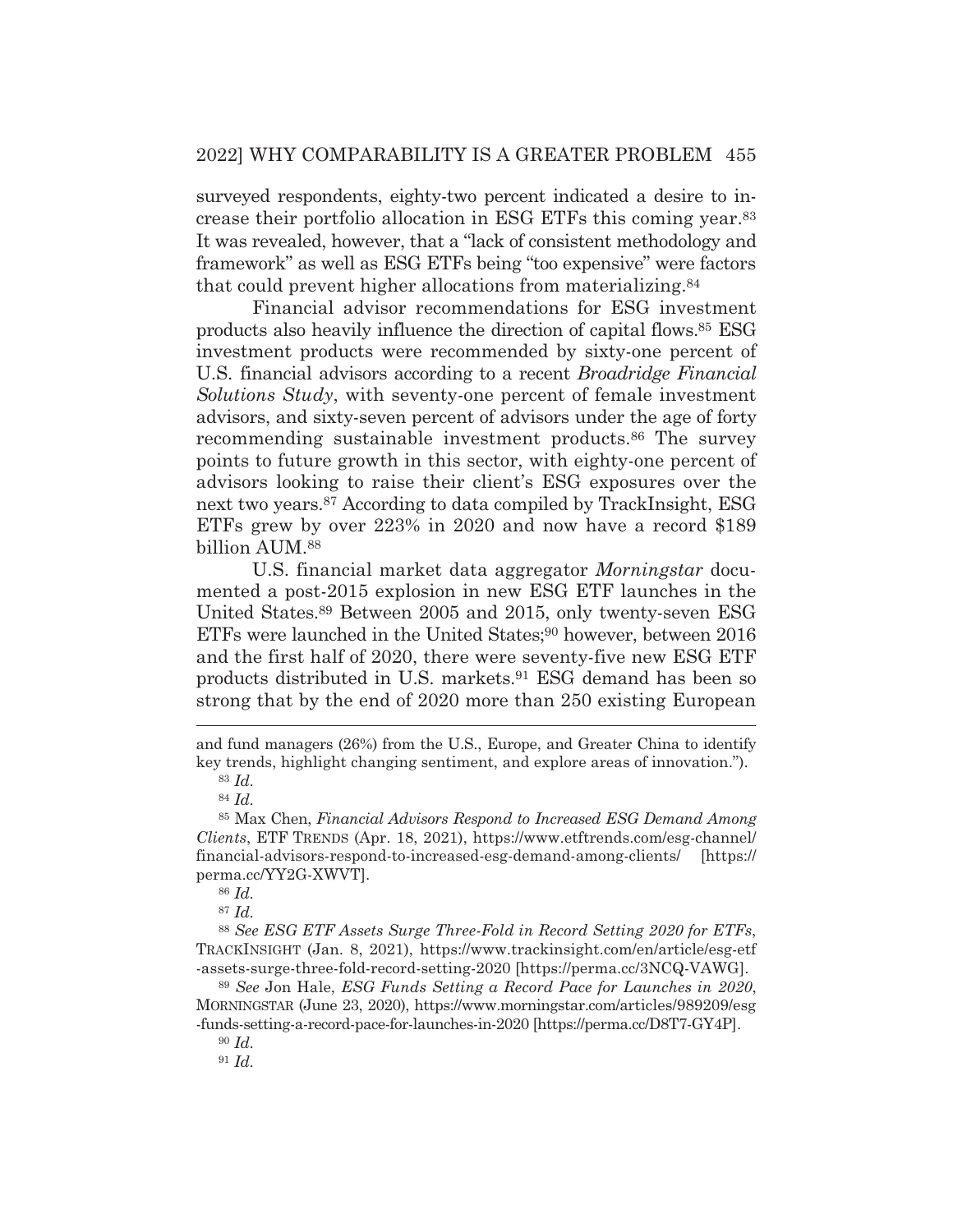surveyed respondents, eighty-two percent indicated a desire to increase their portfolio allocation in ESG ETFs this coming year.83 It was revealed, however, that a "lack of consistent methodology and framework" as well as ESG ETFs being "too expensive" were factors that could prevent higher allocations from materializing.84

 Financial advisor recommendations for ESG investment products also heavily influence the direction of capital flows.85 ESG investment products were recommended by sixty-one percent of U.S. financial advisors according to a recent *Broadridge Financial Solutions Study*, with seventy-one percent of female investment advisors, and sixty-seven percent of advisors under the age of forty recommending sustainable investment products.86 The survey points to future growth in this sector, with eighty-one percent of advisors looking to raise their client's ESG exposures over the next two years.87 According to data compiled by TrackInsight, ESG ETFs grew by over 223% in 2020 and now have a record \$189 billion AUM.88

 U.S. financial market data aggregator *Morningstar* documented a post-2015 explosion in new ESG ETF launches in the United States.89 Between 2005 and 2015, only twenty-seven ESG ETFs were launched in the United States;<sup>90</sup> however, between 2016 and the first half of 2020, there were seventy-five new ESG ETF products distributed in U.S. markets.91 ESG demand has been so strong that by the end of 2020 more than 250 existing European

<sup>88</sup> *See ESG ETF Assets Surge Three-Fold in Record Setting 2020 for ETFs*, TRACKINSIGHT (Jan. 8, 2021), https://www.trackinsight.com/en/article/esg-etf -assets-surge-three-fold-record-setting-2020 [https://perma.cc/3NCQ-VAWG].

<sup>89</sup> *See* Jon Hale, *ESG Funds Setting a Record Pace for Launches in 2020*, MORNINGSTAR (June 23, 2020), https://www.morningstar.com/articles/989209/esg -funds-setting-a-record-pace-for-launches-in-2020 [https://perma.cc/D8T7-GY4P].

and fund managers (26%) from the U.S., Europe, and Greater China to identify key trends, highlight changing sentiment, and explore areas of innovation.").

<sup>83</sup> *Id.*

<sup>84</sup> *Id.*

<sup>85</sup> Max Chen, *Financial Advisors Respond to Increased ESG Demand Among Clients*, ETF TRENDS (Apr. 18, 2021), https://www.etftrends.com/esg-channel/ financial-advisors-respond-to-increased-esg-demand-among-clients/ [https:// perma.cc/YY2G-XWVT].

<sup>86</sup> *Id.*

<sup>87</sup> *Id.*

<sup>90</sup> *Id.*

<sup>91</sup> *Id.*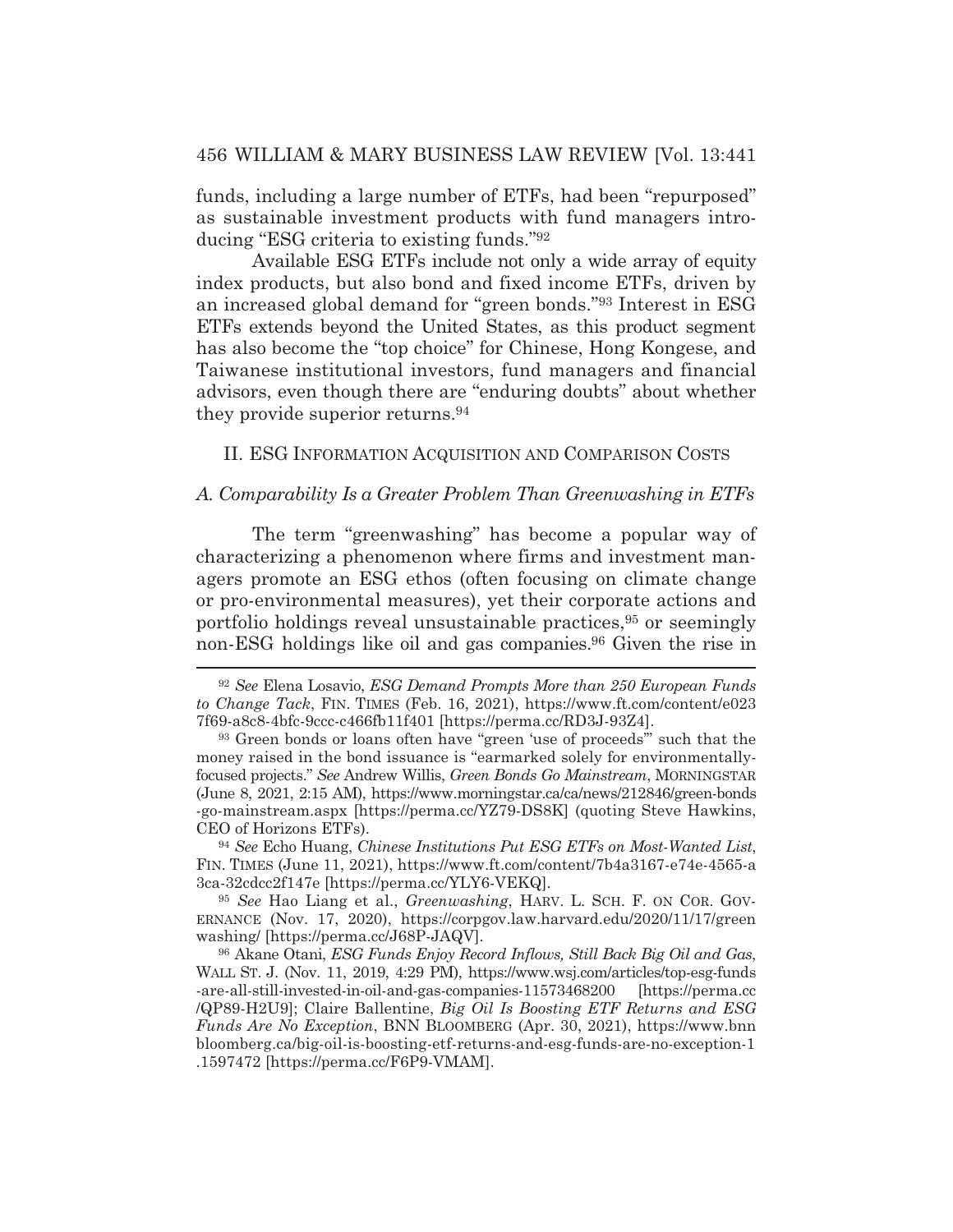funds, including a large number of ETFs, had been "repurposed" as sustainable investment products with fund managers introducing "ESG criteria to existing funds."92

 Available ESG ETFs include not only a wide array of equity index products, but also bond and fixed income ETFs, driven by an increased global demand for "green bonds."93 Interest in ESG ETFs extends beyond the United States, as this product segment has also become the "top choice" for Chinese, Hong Kongese, and Taiwanese institutional investors, fund managers and financial advisors, even though there are "enduring doubts" about whether they provide superior returns.94

II. ESG INFORMATION ACQUISITION AND COMPARISON COSTS

## *A. Comparability Is a Greater Problem Than Greenwashing in ETFs*

The term "greenwashing" has become a popular way of characterizing a phenomenon where firms and investment managers promote an ESG ethos (often focusing on climate change or pro-environmental measures), yet their corporate actions and portfolio holdings reveal unsustainable practices,95 or seemingly non-ESG holdings like oil and gas companies.96 Given the rise in

<sup>94</sup> *See* Echo Huang, *Chinese Institutions Put ESG ETFs on Most-Wanted List*, FIN. TIMES (June 11, 2021), https://www.ft.com/content/7b4a3167-e74e-4565-a 3ca-32cdcc2f147e [https://perma.cc/YLY6-VEKQ].

<sup>95</sup> *See* Hao Liang et al., *Greenwashing*, HARV. L. SCH. F. ON COR. GOV-ERNANCE (Nov. 17, 2020), https://corpgov.law.harvard.edu/2020/11/17/green washing/ [https://perma.cc/J68P-JAQV].

96 Akane Otani, *ESG Funds Enjoy Record Inflows, Still Back Big Oil and Gas*, WALL ST. J. (Nov. 11, 2019, 4:29 PM), https://www.wsj.com/articles/top-esg-funds -are-all-still-invested-in-oil-and-gas-companies-11573468200 [https://perma.cc /QP89-H2U9]; Claire Ballentine, *Big Oil Is Boosting ETF Returns and ESG Funds Are No Exception*, BNN BLOOMBERG (Apr. 30, 2021), https://www.bnn bloomberg.ca/big-oil-is-boosting-etf-returns-and-esg-funds-are-no-exception-1 .1597472 [https://perma.cc/F6P9-VMAM].

<sup>92</sup> *See* Elena Losavio, *ESG Demand Prompts More than 250 European Funds to Change Tack*, FIN. TIMES (Feb. 16, 2021), https://www.ft.com/content/e023 7f69-a8c8-4bfc-9ccc-c466fb11f401 [https://perma.cc/RD3J-93Z4].

<sup>93</sup> Green bonds or loans often have "green 'use of proceeds" such that the money raised in the bond issuance is "earmarked solely for environmentallyfocused projects." *See* Andrew Willis, *Green Bonds Go Mainstream*, MORNINGSTAR (June 8, 2021, 2:15 AM), https://www.morningstar.ca/ca/news/212846/green-bonds -go-mainstream.aspx [https://perma.cc/YZ79-DS8K] (quoting Steve Hawkins, CEO of Horizons ETFs).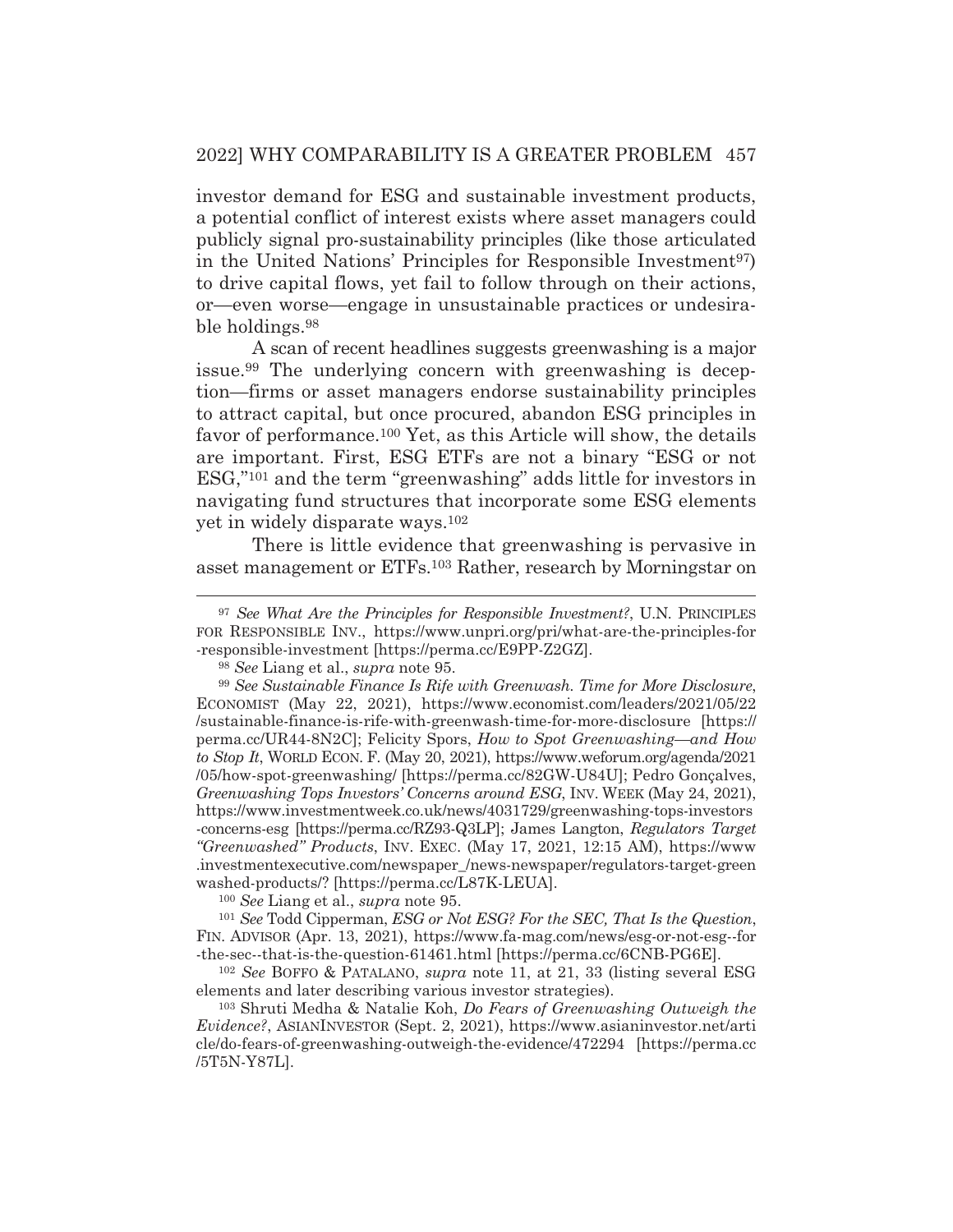investor demand for ESG and sustainable investment products, a potential conflict of interest exists where asset managers could publicly signal pro-sustainability principles (like those articulated in the United Nations' Principles for Responsible Investment<sup>97</sup>) to drive capital flows, yet fail to follow through on their actions, or—even worse—engage in unsustainable practices or undesirable holdings.98

 A scan of recent headlines suggests greenwashing is a major issue.99 The underlying concern with greenwashing is deception*—*firms or asset managers endorse sustainability principles to attract capital, but once procured, abandon ESG principles in favor of performance.100 Yet, as this Article will show, the details are important. First, ESG ETFs are not a binary "ESG or not ESG,"101 and the term "greenwashing" adds little for investors in navigating fund structures that incorporate some ESG elements yet in widely disparate ways.102

There is little evidence that greenwashing is pervasive in asset management or ETFs.103 Rather, research by Morningstar on

<sup>100</sup> *See* Liang et al., *supra* note 95.

<sup>101</sup> *See* Todd Cipperman, *ESG or Not ESG? For the SEC, That Is the Question*, FIN. ADVISOR (Apr. 13, 2021), https://www.fa-mag.com/news/esg-or-not-esg--for -the-sec--that-is-the-question-61461.html [https://perma.cc/6CNB-PG6E].

<sup>102</sup> *See* BOFFO & PATALANO, *supra* note 11, at 21, 33 (listing several ESG elements and later describing various investor strategies).

103 Shruti Medha & Natalie Koh, *Do Fears of Greenwashing Outweigh the Evidence?*, ASIANINVESTOR (Sept. 2, 2021), https://www.asianinvestor.net/arti cle/do-fears-of-greenwashing-outweigh-the-evidence/472294 [https://perma.cc /5T5N-Y87L].

<sup>97</sup> *See What Are the Principles for Responsible Investment?*, U.N. PRINCIPLES FOR RESPONSIBLE INV., https://www.unpri.org/pri/what-are-the-principles-for -responsible-investment [https://perma.cc/E9PP-Z2GZ].

<sup>98</sup> *See* Liang et al., *supra* note 95.

<sup>99</sup> *See Sustainable Finance Is Rife with Greenwash. Time for More Disclosure*, ECONOMIST (May 22, 2021), https://www.economist.com/leaders/2021/05/22 /sustainable-finance-is-rife-with-greenwash-time-for-more-disclosure [https:// perma.cc/UR44-8N2C]; Felicity Spors, *How to Spot Greenwashing—and How to Stop It*, WORLD ECON. F. (May 20, 2021), https://www.weforum.org/agenda/2021 /05/how-spot-greenwashing/ [https://perma.cc/82GW-U84U]; Pedro Gonçalves, *Greenwashing Tops Investors' Concerns around ESG*, INV. WEEK (May 24, 2021), https://www.investmentweek.co.uk/news/4031729/greenwashing-tops-investors -concerns-esg [https://perma.cc/RZ93-Q3LP]; James Langton, *Regulators Target "Greenwashed" Products*, INV. EXEC. (May 17, 2021, 12:15 AM), https://www .investmentexecutive.com/newspaper\_/news-newspaper/regulators-target-green washed-products/? [https://perma.cc/L87K-LEUA].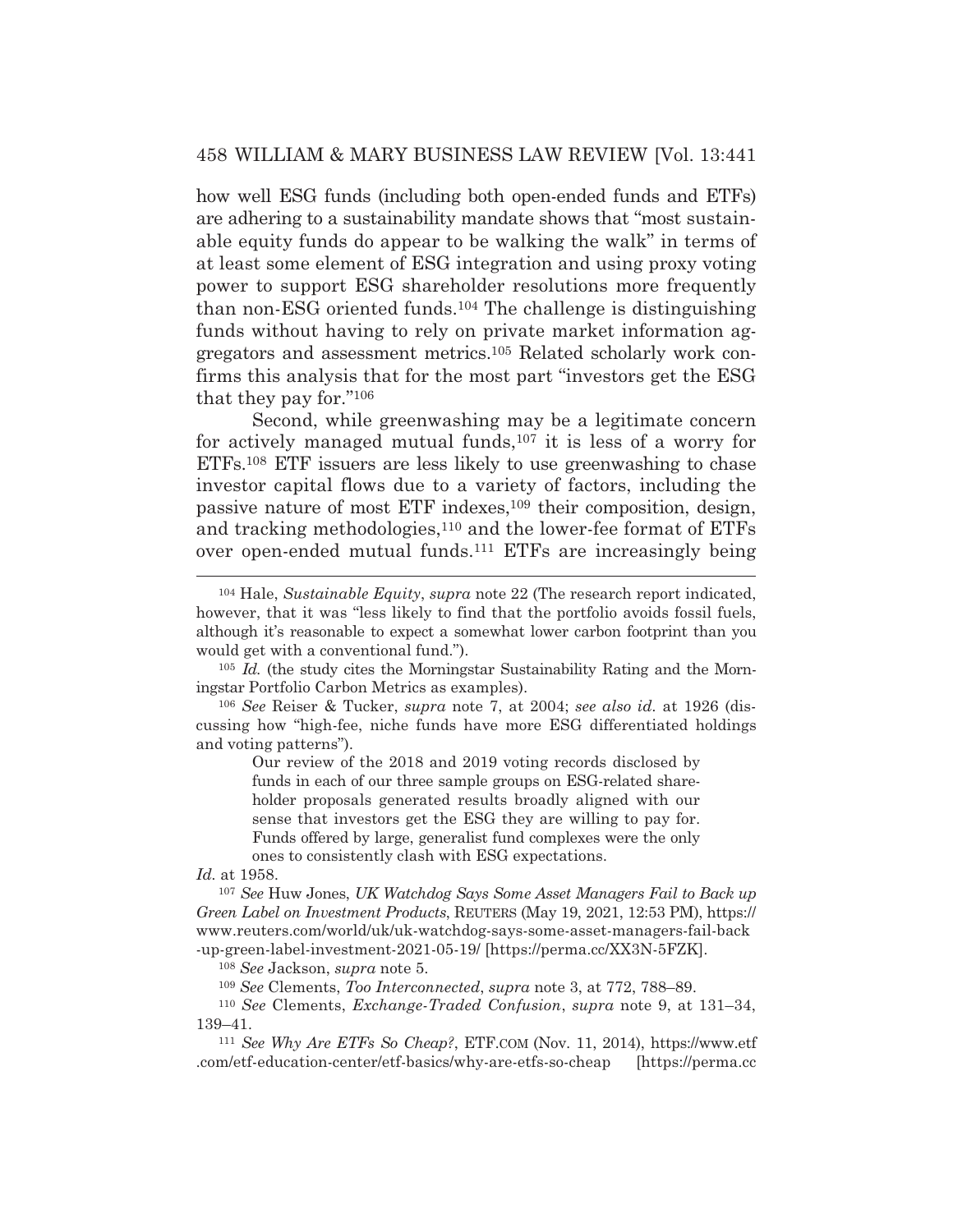how well ESG funds (including both open-ended funds and ETFs) are adhering to a sustainability mandate shows that "most sustainable equity funds do appear to be walking the walk" in terms of at least some element of ESG integration and using proxy voting power to support ESG shareholder resolutions more frequently than non-ESG oriented funds.104 The challenge is distinguishing funds without having to rely on private market information aggregators and assessment metrics.105 Related scholarly work confirms this analysis that for the most part "investors get the ESG that they pay for."106

 Second, while greenwashing may be a legitimate concern for actively managed mutual funds,<sup>107</sup> it is less of a worry for ETFs.108 ETF issuers are less likely to use greenwashing to chase investor capital flows due to a variety of factors, including the passive nature of most ETF indexes,109 their composition, design, and tracking methodologies,110 and the lower-fee format of ETFs over open-ended mutual funds.111 ETFs are increasingly being

Our review of the 2018 and 2019 voting records disclosed by funds in each of our three sample groups on ESG-related shareholder proposals generated results broadly aligned with our sense that investors get the ESG they are willing to pay for. Funds offered by large, generalist fund complexes were the only ones to consistently clash with ESG expectations.

*Id.* at 1958.

<sup>107</sup> *See* Huw Jones, *UK Watchdog Says Some Asset Managers Fail to Back up Green Label on Investment Products*, REUTERS (May 19, 2021, 12:53 PM), https:// www.reuters.com/world/uk/uk-watchdog-says-some-asset-managers-fail-back -up-green-label-investment-2021-05-19/ [https://perma.cc/XX3N-5FZK].

<sup>108</sup> *See* Jackson, *supra* note 5.

<sup>109</sup> *See* Clements, *Too Interconnected*, *supra* note 3, at 772, 788–89.

<sup>110</sup> *See* Clements, *Exchange-Traded Confusion*, *supra* note 9, at 131–34, 139–41. 111 *See Why Are ETFs So Cheap?*, ETF.COM (Nov. 11, 2014), https://www.etf

.com/etf-education-center/etf-basics/why-are-etfs-so-cheap [https://perma.cc

<sup>104</sup> Hale, *Sustainable Equity*, *supra* note 22 (The research report indicated, however, that it was "less likely to find that the portfolio avoids fossil fuels, although it's reasonable to expect a somewhat lower carbon footprint than you would get with a conventional fund.").

<sup>105</sup> *Id.* (the study cites the Morningstar Sustainability Rating and the Morningstar Portfolio Carbon Metrics as examples).

<sup>106</sup> *See* Reiser & Tucker, *supra* note 7, at 2004; *see also id.* at 1926 (discussing how "high-fee, niche funds have more ESG differentiated holdings and voting patterns").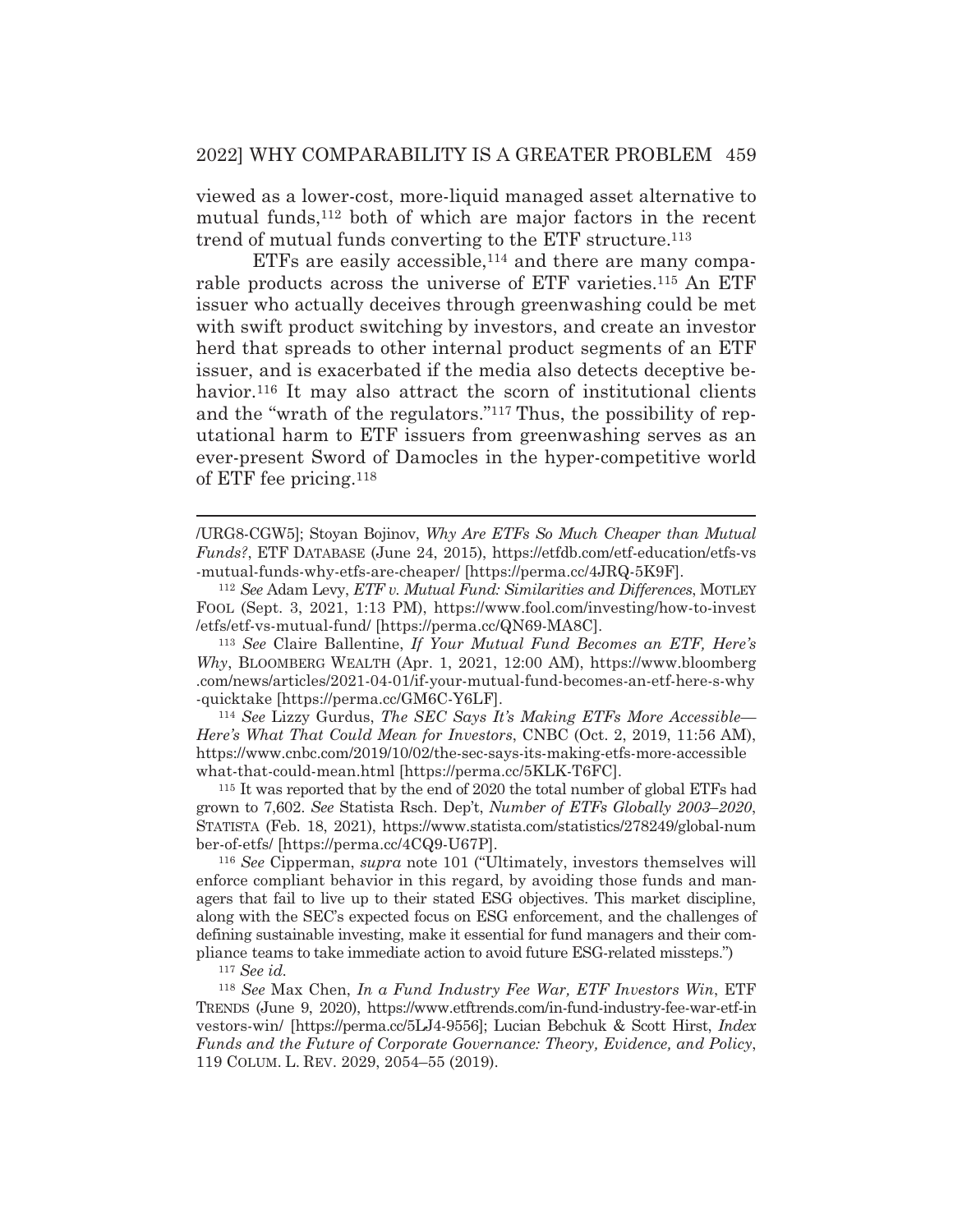viewed as a lower-cost, more-liquid managed asset alternative to mutual funds,<sup>112</sup> both of which are major factors in the recent trend of mutual funds converting to the ETF structure.113

ETFs are easily accessible, $114$  and there are many comparable products across the universe of ETF varieties.115 An ETF issuer who actually deceives through greenwashing could be met with swift product switching by investors, and create an investor herd that spreads to other internal product segments of an ETF issuer, and is exacerbated if the media also detects deceptive behavior.<sup>116</sup> It may also attract the scorn of institutional clients and the "wrath of the regulators."117 Thus, the possibility of reputational harm to ETF issuers from greenwashing serves as an ever-present Sword of Damocles in the hyper-competitive world of ETF fee pricing.118

/URG8-CGW5]; Stoyan Bojinov, *Why Are ETFs So Much Cheaper than Mutual Funds?*, ETF DATABASE (June 24, 2015), https://etfdb.com/etf-education/etfs-vs -mutual-funds-why-etfs-are-cheaper/ [https://perma.cc/4JRQ-5K9F]. 112 *See* Adam Levy, *ETF v. Mutual Fund: Similarities and Differences*, MOTLEY

FOOL (Sept. 3, 2021, 1:13 PM), https://www.fool.com/investing/how-to-invest /etfs/etf-vs-mutual-fund/ [https://perma.cc/QN69-MA8C].

<sup>113</sup> *See* Claire Ballentine, *If Your Mutual Fund Becomes an ETF, Here's Why*, BLOOMBERG WEALTH (Apr. 1, 2021, 12:00 AM), https://www.bloomberg .com/news/articles/2021-04-01/if-your-mutual-fund-becomes-an-etf-here-s-why

-quicktake [https://perma.cc/GM6C-Y6LF]. 114 *See* Lizzy Gurdus, *The SEC Says It's Making ETFs More Accessible— Here's What That Could Mean for Investors*, CNBC (Oct. 2, 2019, 11:56 AM), https://www.cnbc.com/2019/10/02/the-sec-says-its-making-etfs-more-accessible what-that-could-mean.html [https://perma.cc/5KLK-T6FC].

115 It was reported that by the end of 2020 the total number of global ETFs had grown to 7,602. *See* Statista Rsch. Dep't, *Number of ETFs Globally 2003*–*2020*, STATISTA (Feb. 18, 2021), https://www.statista.com/statistics/278249/global-num ber-of-etfs/ [https://perma.cc/4CQ9-U67P].

<sup>116</sup> *See* Cipperman, *supra* note 101 ("Ultimately, investors themselves will enforce compliant behavior in this regard, by avoiding those funds and managers that fail to live up to their stated ESG objectives. This market discipline, along with the SEC's expected focus on ESG enforcement, and the challenges of defining sustainable investing, make it essential for fund managers and their compliance teams to take immediate action to avoid future ESG-related missteps.")

<sup>117</sup> *See id.*

<sup>118</sup> *See* Max Chen, *In a Fund Industry Fee War, ETF Investors Win*, ETF TRENDS (June 9, 2020), https://www.etftrends.com/in-fund-industry-fee-war-etf-in vestors-win/ [https://perma.cc/5LJ4-9556]; Lucian Bebchuk & Scott Hirst, *Index Funds and the Future of Corporate Governance: Theory, Evidence, and Policy*, 119 COLUM. L. REV. 2029, 2054–55 (2019).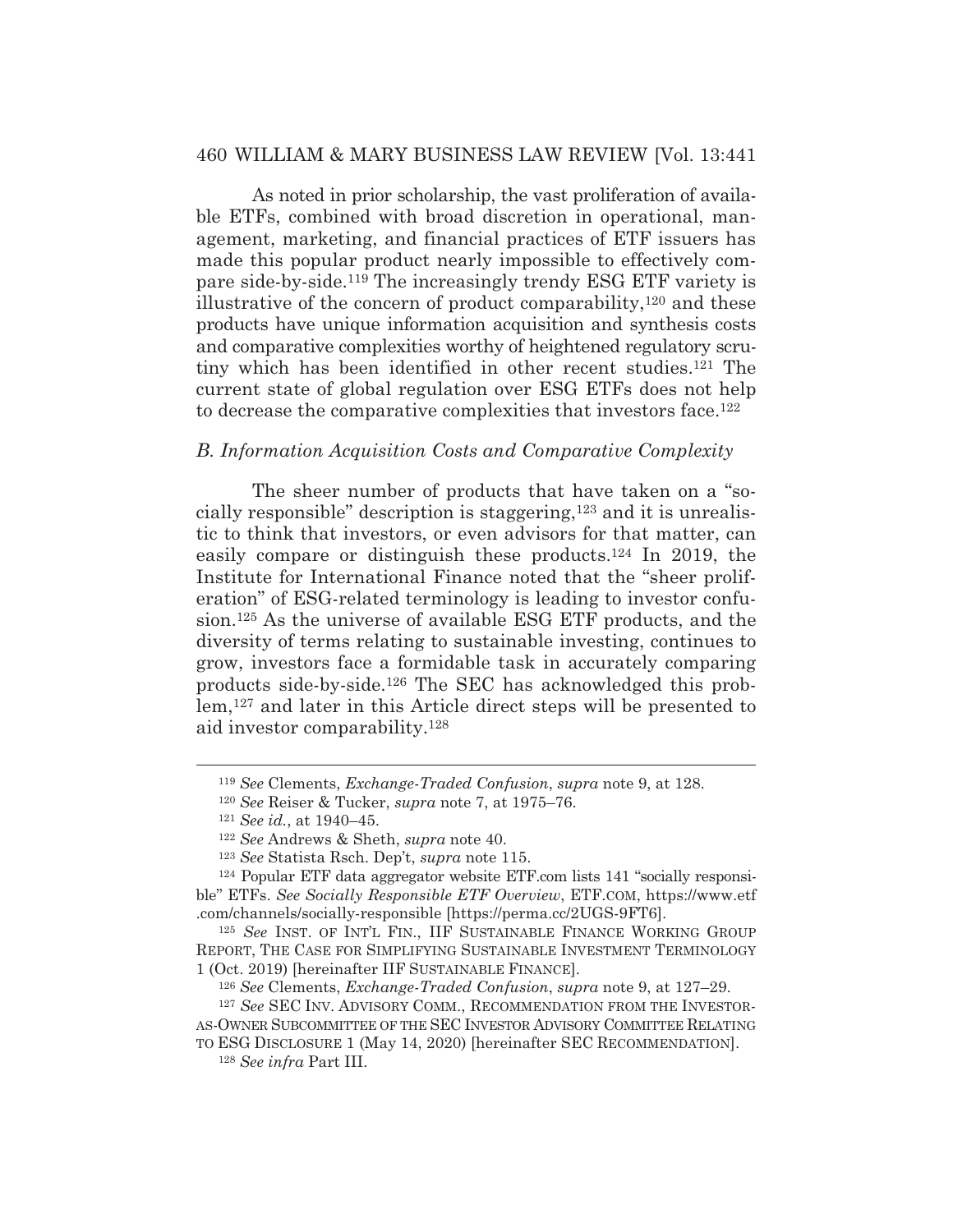As noted in prior scholarship, the vast proliferation of available ETFs, combined with broad discretion in operational, management, marketing, and financial practices of ETF issuers has made this popular product nearly impossible to effectively compare side-by-side.119 The increasingly trendy ESG ETF variety is illustrative of the concern of product comparability, $120$  and these products have unique information acquisition and synthesis costs and comparative complexities worthy of heightened regulatory scrutiny which has been identified in other recent studies.121 The current state of global regulation over ESG ETFs does not help to decrease the comparative complexities that investors face.122

#### *B. Information Acquisition Costs and Comparative Complexity*

The sheer number of products that have taken on a "socially responsible" description is staggering,123 and it is unrealistic to think that investors, or even advisors for that matter, can easily compare or distinguish these products.124 In 2019, the Institute for International Finance noted that the "sheer proliferation" of ESG-related terminology is leading to investor confusion.125 As the universe of available ESG ETF products, and the diversity of terms relating to sustainable investing, continues to grow, investors face a formidable task in accurately comparing products side-by-side.126 The SEC has acknowledged this problem,127 and later in this Article direct steps will be presented to aid investor comparability.128

<sup>119</sup> *See* Clements, *Exchange-Traded Confusion*, *supra* note 9, at 128.

<sup>120</sup> *See* Reiser & Tucker, *supra* note 7, at 1975–76. 121 *See id.*, at 1940–45.

<sup>122</sup> *See* Andrews & Sheth, *supra* note 40.

<sup>123</sup> *See* Statista Rsch. Dep't, *supra* note 115. 124 Popular ETF data aggregator website ETF.com lists 141 "socially responsible" ETFs. *See Socially Responsible ETF Overview*, ETF.COM, https://www.etf .com/channels/socially-responsible [https://perma.cc/2UGS-9FT6].

<sup>&</sup>lt;sup>125</sup> See INST. OF INT'L FIN., IIF SUSTAINABLE FINANCE WORKING GROUP REPORT, THE CASE FOR SIMPLIFYING SUSTAINABLE INVESTMENT TERMINOLOGY 1 (Oct. 2019) [hereinafter IIF SUSTAINABLE FINANCE].

<sup>126</sup> *See* Clements, *Exchange-Traded Confusion*, *supra* note 9, at 127–29.

<sup>127</sup> *See* SEC INV. ADVISORY COMM., RECOMMENDATION FROM THE INVESTOR-AS-OWNER SUBCOMMITTEE OF THE SEC INVESTOR ADVISORY COMMITTEE RELATING

TO ESG DISCLOSURE 1 (May 14, 2020) [hereinafter SEC RECOMMENDATION]. <sup>128</sup> *See infra* Part III.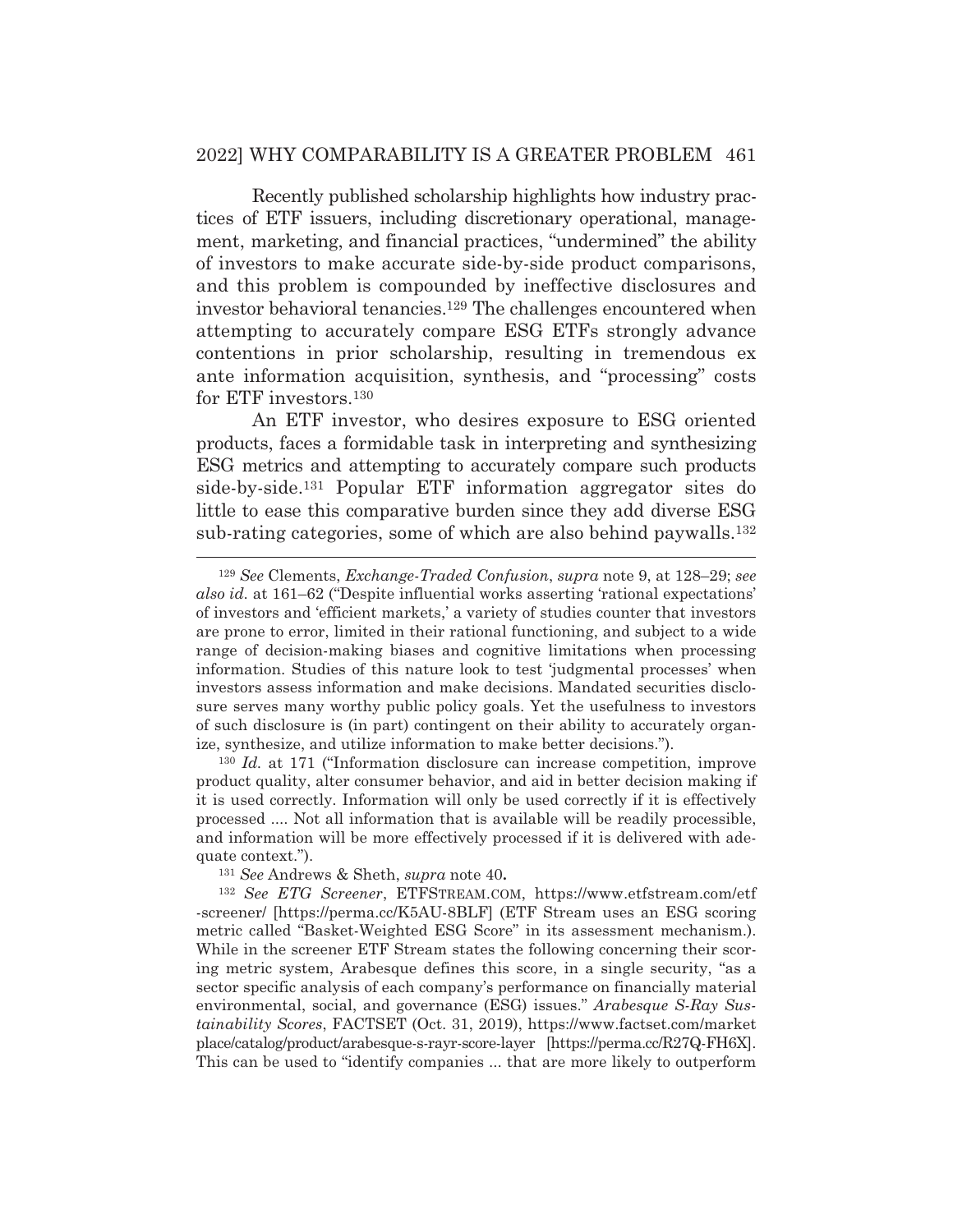#### 2022] WHY COMPARABILITY IS A GREATER PROBLEM 461

 Recently published scholarship highlights how industry practices of ETF issuers, including discretionary operational, management, marketing, and financial practices, "undermined" the ability of investors to make accurate side-by-side product comparisons, and this problem is compounded by ineffective disclosures and investor behavioral tenancies.129 The challenges encountered when attempting to accurately compare ESG ETFs strongly advance contentions in prior scholarship, resulting in tremendous ex ante information acquisition, synthesis, and "processing" costs for ETF investors.130

 An ETF investor, who desires exposure to ESG oriented products, faces a formidable task in interpreting and synthesizing ESG metrics and attempting to accurately compare such products side-by-side.131 Popular ETF information aggregator sites do little to ease this comparative burden since they add diverse ESG sub-rating categories, some of which are also behind paywalls.132

<sup>130</sup> *Id.* at 171 ("Information disclosure can increase competition, improve product quality, alter consumer behavior, and aid in better decision making if it is used correctly. Information will only be used correctly if it is effectively processed .... Not all information that is available will be readily processible, and information will be more effectively processed if it is delivered with adequate context.").

<sup>129</sup> *See* Clements, *Exchange-Traded Confusion*, *supra* note 9, at 128–29; *see also id.* at 161–62 ("Despite influential works asserting 'rational expectations' of investors and 'efficient markets,' a variety of studies counter that investors are prone to error, limited in their rational functioning, and subject to a wide range of decision-making biases and cognitive limitations when processing information. Studies of this nature look to test 'judgmental processes' when investors assess information and make decisions. Mandated securities disclosure serves many worthy public policy goals. Yet the usefulness to investors of such disclosure is (in part) contingent on their ability to accurately organize, synthesize, and utilize information to make better decisions.").

<sup>131</sup> *See* Andrews & Sheth, *supra* note 40**.**

<sup>132</sup> *See ETG Screener*, ETFSTREAM.COM, https://www.etfstream.com/etf -screener/ [https://perma.cc/K5AU-8BLF] (ETF Stream uses an ESG scoring metric called "Basket-Weighted ESG Score" in its assessment mechanism.). While in the screener ETF Stream states the following concerning their scoring metric system, Arabesque defines this score, in a single security, "as a sector specific analysis of each company's performance on financially material environmental, social, and governance (ESG) issues." *Arabesque S-Ray Sustainability Scores*, FACTSET (Oct. 31, 2019), https://www.factset.com/market place/catalog/product/arabesque-s-rayr-score-layer [https://perma.cc/R27Q-FH6X]. This can be used to "identify companies ... that are more likely to outperform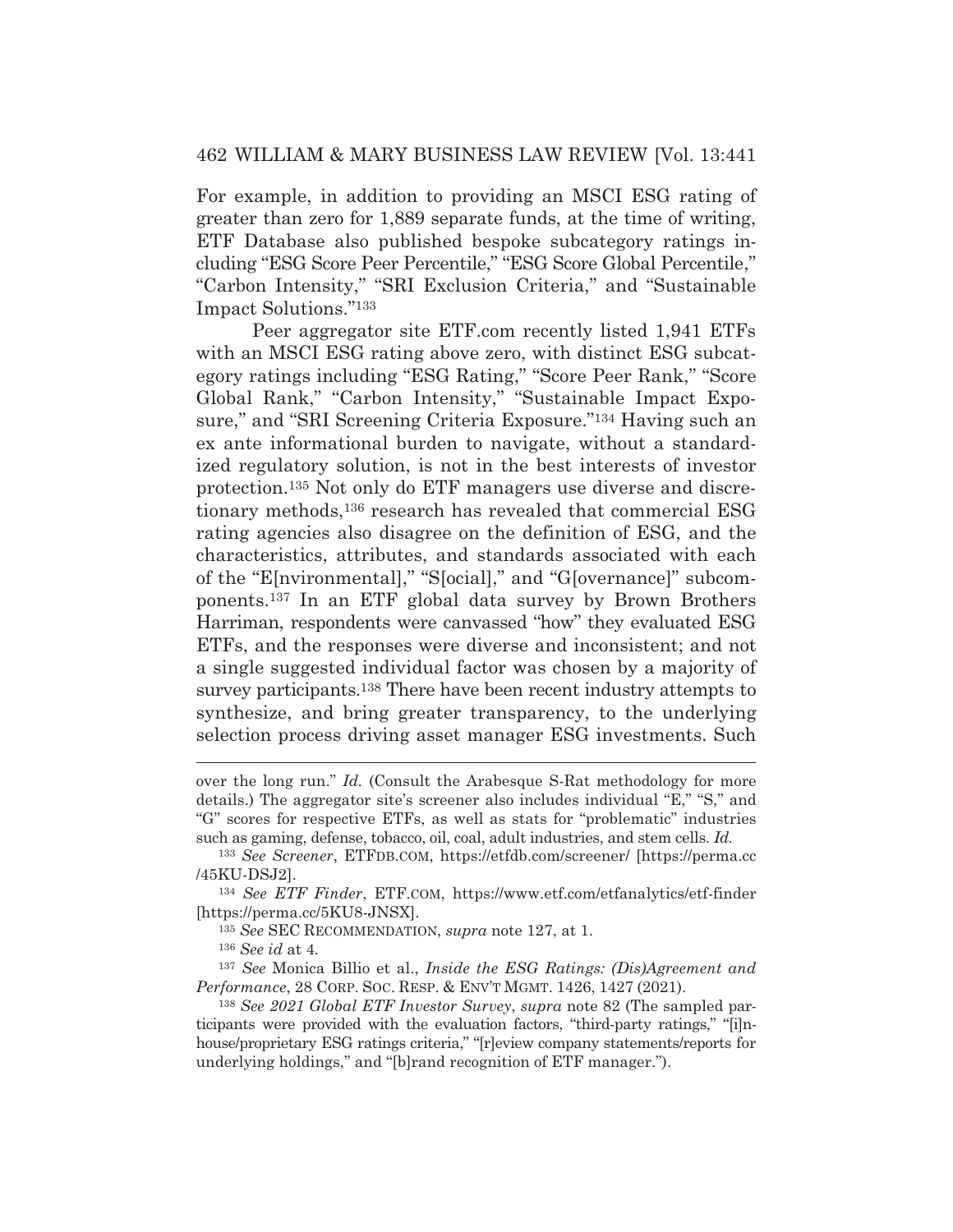For example, in addition to providing an MSCI ESG rating of greater than zero for 1,889 separate funds, at the time of writing, ETF Database also published bespoke subcategory ratings including "ESG Score Peer Percentile," "ESG Score Global Percentile," "Carbon Intensity," "SRI Exclusion Criteria," and "Sustainable Impact Solutions."133

 Peer aggregator site ETF.com recently listed 1,941 ETFs with an MSCI ESG rating above zero, with distinct ESG subcategory ratings including "ESG Rating," "Score Peer Rank," "Score Global Rank," "Carbon Intensity," "Sustainable Impact Exposure," and "SRI Screening Criteria Exposure."134 Having such an ex ante informational burden to navigate, without a standardized regulatory solution, is not in the best interests of investor protection.135 Not only do ETF managers use diverse and discretionary methods,136 research has revealed that commercial ESG rating agencies also disagree on the definition of ESG, and the characteristics, attributes, and standards associated with each of the "E[nvironmental]," "S[ocial]," and "G[overnance]" subcomponents.137 In an ETF global data survey by Brown Brothers Harriman, respondents were canvassed "how" they evaluated ESG ETFs, and the responses were diverse and inconsistent; and not a single suggested individual factor was chosen by a majority of survey participants.<sup>138</sup> There have been recent industry attempts to synthesize, and bring greater transparency, to the underlying selection process driving asset manager ESG investments. Such

over the long run." *Id.* (Consult the Arabesque S-Rat methodology for more details.) The aggregator site's screener also includes individual "E," "S," and "G" scores for respective ETFs, as well as stats for "problematic" industries such as gaming, defense, tobacco, oil, coal, adult industries, and stem cells. *Id.* 

<sup>133</sup> *See Screener*, ETFDB.COM, https://etfdb.com/screener/ [https://perma.cc /45KU-DSJ2].

<sup>134</sup> *See ETF Finder*, ETF.COM, https://www.etf.com/etfanalytics/etf-finder [https://perma.cc/5KU8-JNSX].

<sup>135</sup> *See* SEC RECOMMENDATION, *supra* note 127, at 1.

<sup>136</sup> *See id* at 4*.*

<sup>137</sup> *See* Monica Billio et al., *Inside the ESG Ratings: (Dis)Agreement and Performance*, 28 CORP. SOC. RESP.&ENV'T MGMT. 1426, 1427 (2021).

<sup>138</sup> *See 2021 Global ETF Investor Survey*, *supra* note 82 (The sampled participants were provided with the evaluation factors, "third-party ratings," "[i]nhouse/proprietary ESG ratings criteria," "[r]eview company statements/reports for underlying holdings," and "[b]rand recognition of ETF manager.").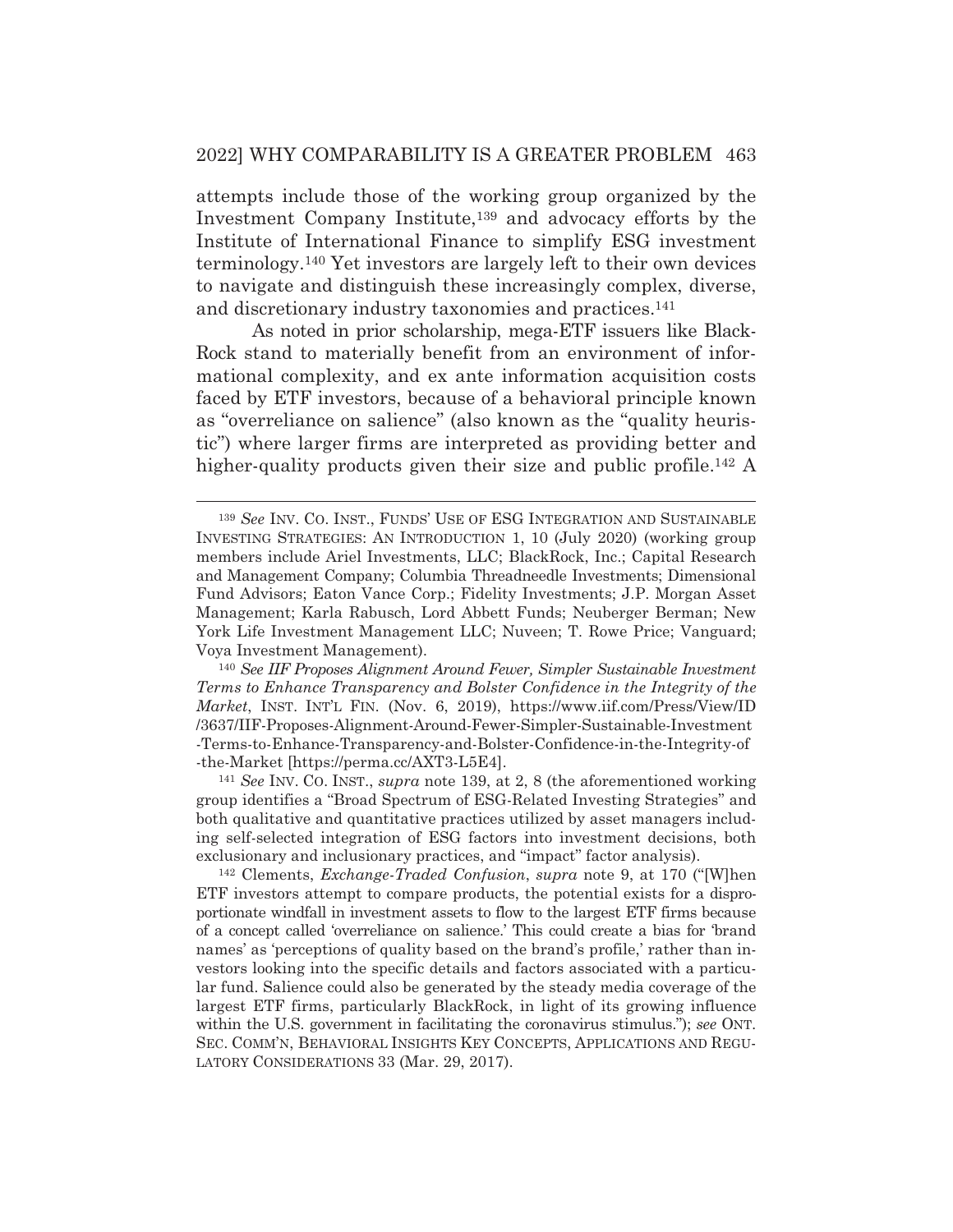attempts include those of the working group organized by the Investment Company Institute,<sup>139</sup> and advocacy efforts by the Institute of International Finance to simplify ESG investment terminology.140 Yet investors are largely left to their own devices to navigate and distinguish these increasingly complex, diverse, and discretionary industry taxonomies and practices.141

 As noted in prior scholarship, mega-ETF issuers like Black-Rock stand to materially benefit from an environment of informational complexity, and ex ante information acquisition costs faced by ETF investors, because of a behavioral principle known as "overreliance on salience" (also known as the "quality heuristic") where larger firms are interpreted as providing better and higher-quality products given their size and public profile.<sup>142</sup> A

<sup>140</sup> *See IIF Proposes Alignment Around Fewer, Simpler Sustainable Investment Terms to Enhance Transparency and Bolster Confidence in the Integrity of the Market*, INST. INT'L FIN. (Nov. 6, 2019), https://www.iif.com/Press/View/ID /3637/IIF-Proposes-Alignment-Around-Fewer-Simpler-Sustainable-Investment -Terms-to-Enhance-Transparency-and-Bolster-Confidence-in-the-Integrity-of -the-Market [https://perma.cc/AXT3-L5E4]. 141 *See* INV. CO. INST., *supra* note 139, at 2, 8 (the aforementioned working

group identifies a "Broad Spectrum of ESG-Related Investing Strategies" and both qualitative and quantitative practices utilized by asset managers including self-selected integration of ESG factors into investment decisions, both exclusionary and inclusionary practices, and "impact" factor analysis). 142 Clements, *Exchange-Traded Confusion*, *supra* note 9, at 170 ("[W]hen

ETF investors attempt to compare products, the potential exists for a disproportionate windfall in investment assets to flow to the largest ETF firms because of a concept called 'overreliance on salience.' This could create a bias for 'brand names' as 'perceptions of quality based on the brand's profile,' rather than investors looking into the specific details and factors associated with a particular fund. Salience could also be generated by the steady media coverage of the largest ETF firms, particularly BlackRock, in light of its growing influence within the U.S. government in facilitating the coronavirus stimulus."); *see* ONT. SEC. COMM'N, BEHAVIORAL INSIGHTS KEY CONCEPTS, APPLICATIONS AND REGU-LATORY CONSIDERATIONS 33 (Mar. 29, 2017).

<sup>139</sup> *See* INV. CO. INST., FUNDS' USE OF ESG INTEGRATION AND SUSTAINABLE INVESTING STRATEGIES: AN INTRODUCTION 1, 10 (July 2020) (working group members include Ariel Investments, LLC; BlackRock, Inc.; Capital Research and Management Company; Columbia Threadneedle Investments; Dimensional Fund Advisors; Eaton Vance Corp.; Fidelity Investments; J.P. Morgan Asset Management; Karla Rabusch, Lord Abbett Funds; Neuberger Berman; New York Life Investment Management LLC; Nuveen; T. Rowe Price; Vanguard; Voya Investment Management).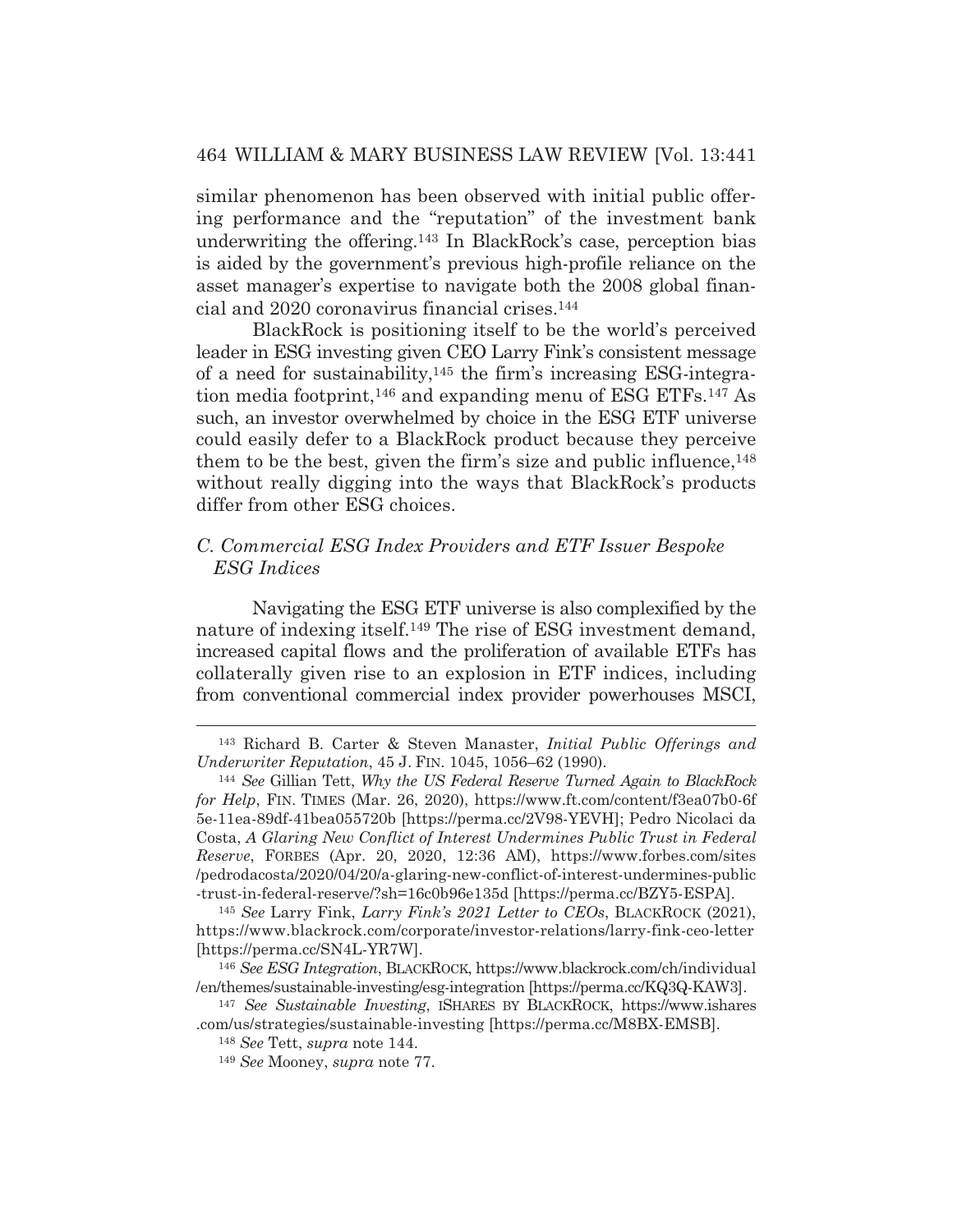similar phenomenon has been observed with initial public offering performance and the "reputation" of the investment bank underwriting the offering.143 In BlackRock's case, perception bias is aided by the government's previous high-profile reliance on the asset manager's expertise to navigate both the 2008 global financial and 2020 coronavirus financial crises.144

 BlackRock is positioning itself to be the world's perceived leader in ESG investing given CEO Larry Fink's consistent message of a need for sustainability,145 the firm's increasing ESG-integration media footprint,146 and expanding menu of ESG ETFs.147 As such, an investor overwhelmed by choice in the ESG ETF universe could easily defer to a BlackRock product because they perceive them to be the best, given the firm's size and public influence,<sup>148</sup> without really digging into the ways that BlackRock's products differ from other ESG choices.

## *C. Commercial ESG Index Providers and ETF Issuer Bespoke ESG Indices*

Navigating the ESG ETF universe is also complexified by the nature of indexing itself.149 The rise of ESG investment demand, increased capital flows and the proliferation of available ETFs has collaterally given rise to an explosion in ETF indices, including from conventional commercial index provider powerhouses MSCI,

<sup>143</sup> Richard B. Carter & Steven Manaster, *Initial Public Offerings and* 

*Underwriter Reputation*, 45 J. FIN. 1045, 1056–62 (1990). 144 *See* Gillian Tett, *Why the US Federal Reserve Turned Again to BlackRock for Help*, FIN. TIMES (Mar. 26, 2020), https://www.ft.com/content/f3ea07b0-6f 5e-11ea-89df-41bea055720b [https://perma.cc/2V98-YEVH]; Pedro Nicolaci da Costa, *A Glaring New Conflict of Interest Undermines Public Trust in Federal Reserve*, FORBES (Apr. 20, 2020, 12:36 AM), https://www.forbes.com/sites /pedrodacosta/2020/04/20/a-glaring-new-conflict-of-interest-undermines-public -trust-in-federal-reserve/?sh=16c0b96e135d [https://perma.cc/BZY5-ESPA].

<sup>145</sup> *See* Larry Fink, *Larry Fink's 2021 Letter to CEOs*, BLACKROCK (2021), https://www.blackrock.com/corporate/investor-relations/larry-fink-ceo-letter [https://perma.cc/SN4L-YR7W].

<sup>146</sup> *See ESG Integration*, BLACKROCK, https://www.blackrock.com/ch/individual /en/themes/sustainable-investing/esg-integration [https://perma.cc/KQ3Q-KAW3].

<sup>147</sup> *See Sustainable Investing*, ISHARES BY BLACKROCK, https://www.ishares .com/us/strategies/sustainable-investing [https://perma.cc/M8BX-EMSB].

<sup>148</sup> *See* Tett, *supra* note 144.

<sup>149</sup> *See* Mooney, *supra* note 77.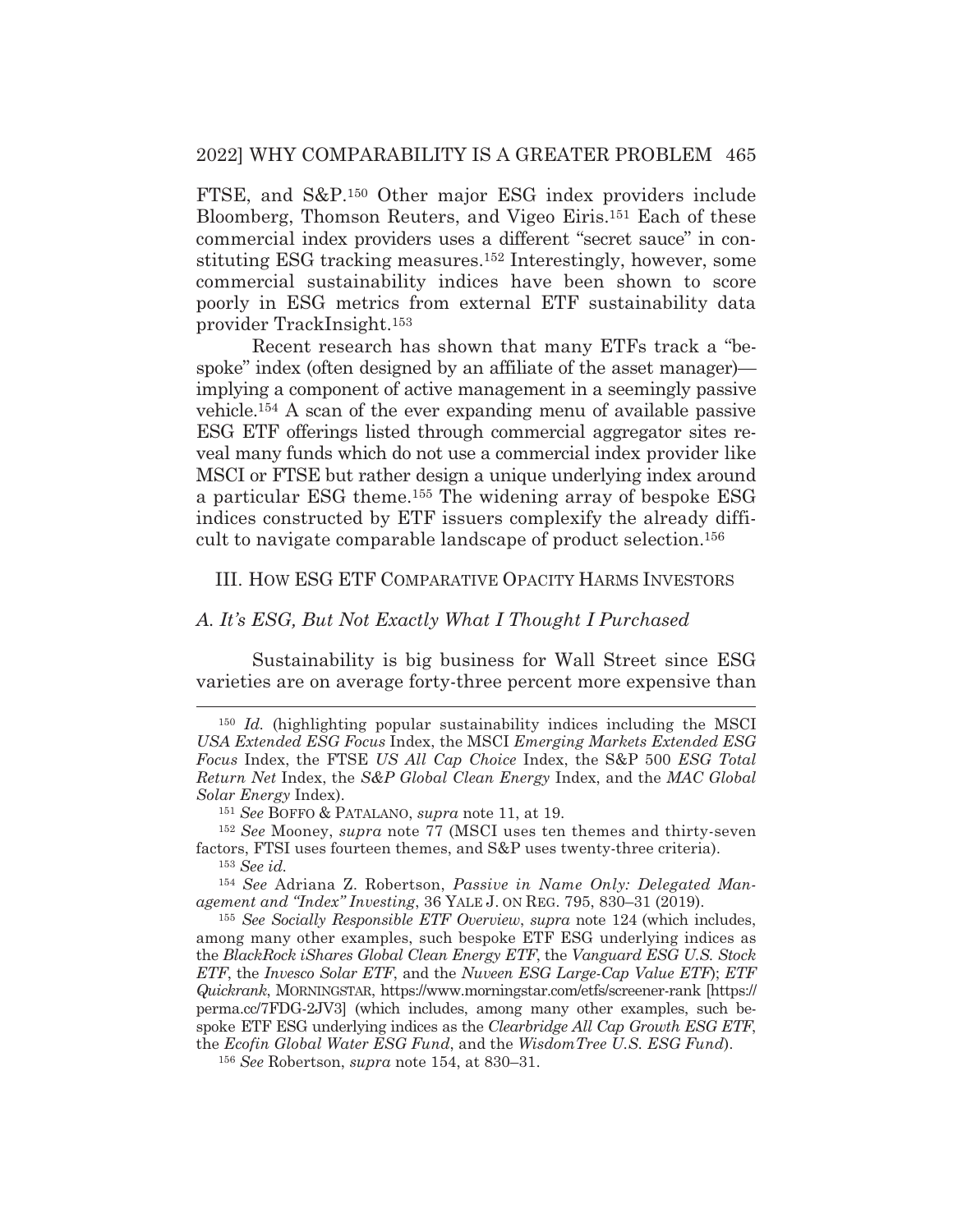FTSE, and S&P.150 Other major ESG index providers include Bloomberg, Thomson Reuters, and Vigeo Eiris.151 Each of these commercial index providers uses a different "secret sauce" in constituting ESG tracking measures.152 Interestingly, however, some commercial sustainability indices have been shown to score poorly in ESG metrics from external ETF sustainability data provider TrackInsight.153

 Recent research has shown that many ETFs track a "bespoke" index (often designed by an affiliate of the asset manager) implying a component of active management in a seemingly passive vehicle.154 A scan of the ever expanding menu of available passive ESG ETF offerings listed through commercial aggregator sites reveal many funds which do not use a commercial index provider like MSCI or FTSE but rather design a unique underlying index around a particular ESG theme.155 The widening array of bespoke ESG indices constructed by ETF issuers complexify the already difficult to navigate comparable landscape of product selection.156

#### III. HOW ESG ETF COMPARATIVE OPACITY HARMS INVESTORS

## *A. It's ESG, But Not Exactly What I Thought I Purchased*

Sustainability is big business for Wall Street since ESG varieties are on average forty-three percent more expensive than

<sup>154</sup> *See* Adriana Z. Robertson, *Passive in Name Only: Delegated Management and "Index" Investing*, 36 YALE J. ON REG. 795, 830–31 (2019).

<sup>155</sup> *See Socially Responsible ETF Overview*, *supra* note 124 (which includes, among many other examples, such bespoke ETF ESG underlying indices as the *BlackRock iShares Global Clean Energy ETF*, the *Vanguard ESG U.S. Stock ETF*, the *Invesco Solar ETF*, and the *Nuveen ESG Large-Cap Value ETF*); *ETF Quickrank*, MORNINGSTAR, https://www.morningstar.com/etfs/screener-rank [https:// perma.cc/7FDG-2JV3] (which includes, among many other examples, such bespoke ETF ESG underlying indices as the *Clearbridge All Cap Growth ESG ETF*, the *Ecofin Global Water ESG Fund*, and the *WisdomTree U.S. ESG Fund*).

<sup>150</sup> *Id.* (highlighting popular sustainability indices including the MSCI *USA Extended ESG Focus* Index, the MSCI *Emerging Markets Extended ESG Focus* Index, the FTSE *US All Cap Choice* Index, the S&P 500 *ESG Total Return Net* Index, the *S&P Global Clean Energy* Index, and the *MAC Global Solar Energy* Index).

<sup>151</sup> *See* BOFFO & PATALANO, *supra* note 11, at 19.

<sup>152</sup> *See* Mooney, *supra* note 77 (MSCI uses ten themes and thirty-seven factors, FTSI uses fourteen themes, and S&P uses twenty-three criteria).

<sup>153</sup> *See id.*

<sup>156</sup> *See* Robertson, *supra* note 154, at 830–31.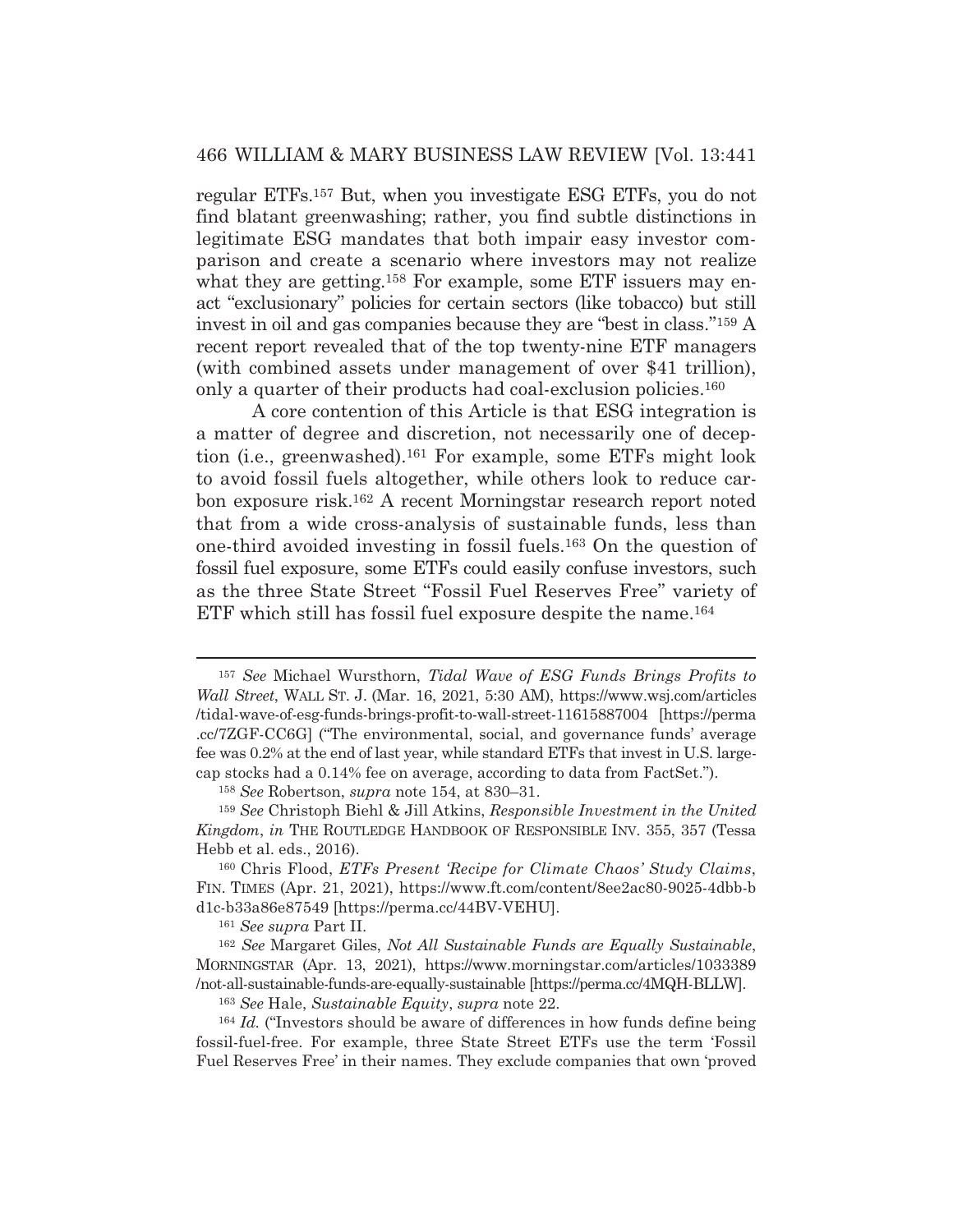regular ETFs.157 But, when you investigate ESG ETFs, you do not find blatant greenwashing; rather, you find subtle distinctions in legitimate ESG mandates that both impair easy investor comparison and create a scenario where investors may not realize what they are getting.<sup>158</sup> For example, some ETF issuers may enact "exclusionary" policies for certain sectors (like tobacco) but still invest in oil and gas companies because they are "best in class."159 A recent report revealed that of the top twenty-nine ETF managers (with combined assets under management of over \$41 trillion), only a quarter of their products had coal-exclusion policies.<sup>160</sup>

 A core contention of this Article is that ESG integration is a matter of degree and discretion, not necessarily one of deception (i.e., greenwashed).161 For example, some ETFs might look to avoid fossil fuels altogether, while others look to reduce carbon exposure risk.162 A recent Morningstar research report noted that from a wide cross-analysis of sustainable funds, less than one-third avoided investing in fossil fuels.163 On the question of fossil fuel exposure, some ETFs could easily confuse investors, such as the three State Street "Fossil Fuel Reserves Free" variety of ETF which still has fossil fuel exposure despite the name.164

<sup>161</sup> *See supra* Part II.

<sup>162</sup> *See* Margaret Giles, *Not All Sustainable Funds are Equally Sustainable*, MORNINGSTAR (Apr. 13, 2021), https://www.morningstar.com/articles/1033389 /not-all-sustainable-funds-are-equally-sustainable [https://perma.cc/4MQH-BLLW].

<sup>163</sup> *See* Hale, *Sustainable Equity*, *supra* note 22.

<sup>164</sup> *Id.* ("Investors should be aware of differences in how funds define being fossil-fuel-free. For example, three State Street ETFs use the term 'Fossil Fuel Reserves Free' in their names. They exclude companies that own 'proved

<sup>157</sup> *See* Michael Wursthorn, *Tidal Wave of ESG Funds Brings Profits to Wall Street*, WALL ST. J. (Mar. 16, 2021, 5:30 AM), https://www.wsj.com/articles /tidal-wave-of-esg-funds-brings-profit-to-wall-street-11615887004 [https://perma .cc/7ZGF-CC6G] ("The environmental, social, and governance funds' average fee was 0.2% at the end of last year, while standard ETFs that invest in U.S. largecap stocks had a 0.14% fee on average, according to data from FactSet.").

<sup>158</sup> *See* Robertson, *supra* note 154, at 830–31.

<sup>159</sup> *See* Christoph Biehl & Jill Atkins, *Responsible Investment in the United Kingdom*, *in* THE ROUTLEDGE HANDBOOK OF RESPONSIBLE INV. 355, 357 (Tessa Hebb et al. eds., 2016).

<sup>160</sup> Chris Flood, *ETFs Present 'Recipe for Climate Chaos' Study Claims*, FIN. TIMES (Apr. 21, 2021), https://www.ft.com/content/8ee2ac80-9025-4dbb-b d1c-b33a86e87549 [https://perma.cc/44BV-VEHU].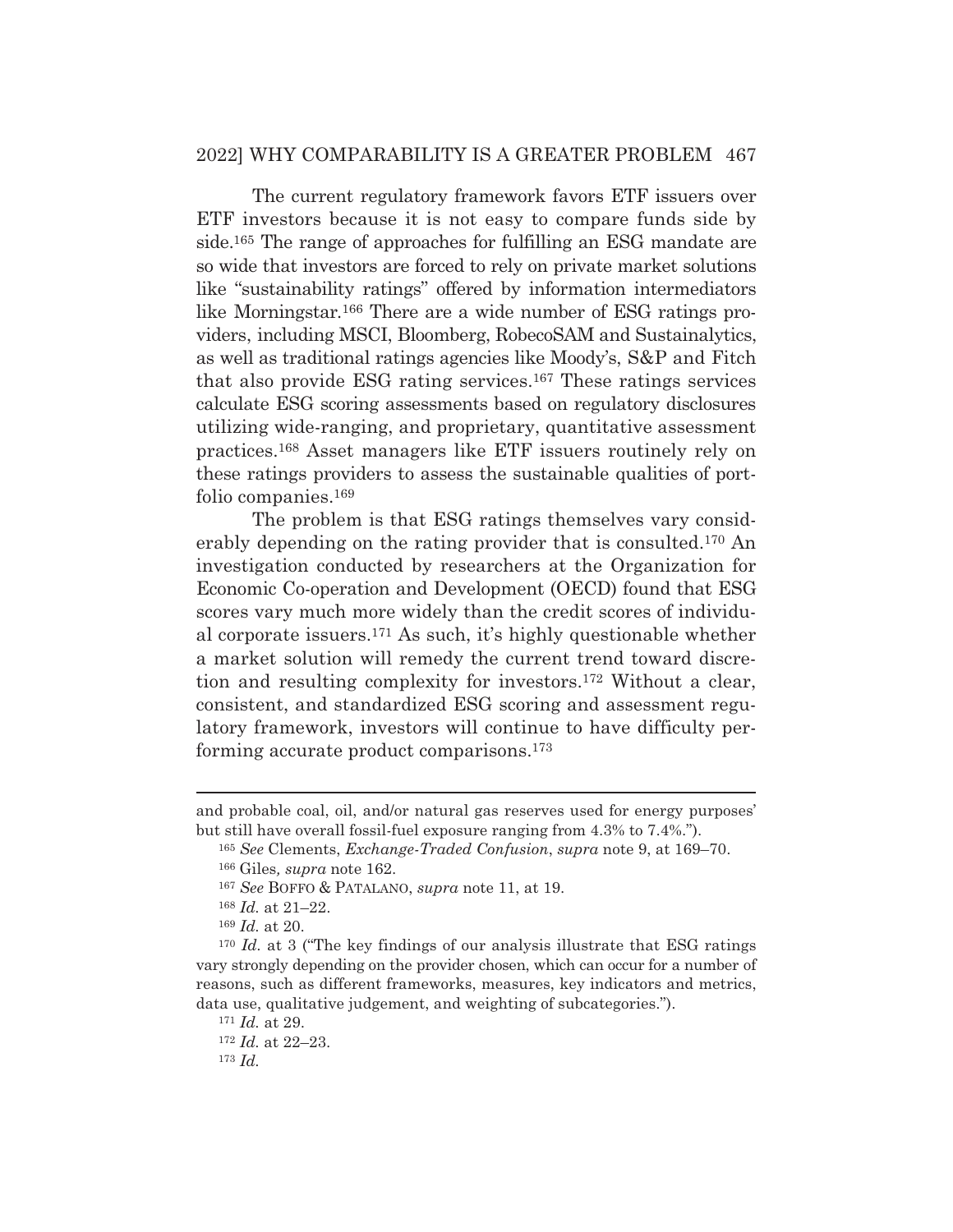## 2022] WHY COMPARABILITY IS A GREATER PROBLEM 467

 The current regulatory framework favors ETF issuers over ETF investors because it is not easy to compare funds side by side.165 The range of approaches for fulfilling an ESG mandate are so wide that investors are forced to rely on private market solutions like "sustainability ratings" offered by information intermediators like Morningstar*.*<sup>166</sup> There are a wide number of ESG ratings providers, including MSCI, Bloomberg, RobecoSAM and Sustainalytics, as well as traditional ratings agencies like Moody's, S&P and Fitch that also provide ESG rating services.167 These ratings services calculate ESG scoring assessments based on regulatory disclosures utilizing wide-ranging, and proprietary, quantitative assessment practices.168 Asset managers like ETF issuers routinely rely on these ratings providers to assess the sustainable qualities of portfolio companies.169

 The problem is that ESG ratings themselves vary considerably depending on the rating provider that is consulted.170 An investigation conducted by researchers at the Organization for Economic Co-operation and Development (OECD) found that ESG scores vary much more widely than the credit scores of individual corporate issuers.171 As such, it's highly questionable whether a market solution will remedy the current trend toward discretion and resulting complexity for investors.172 Without a clear, consistent, and standardized ESG scoring and assessment regulatory framework, investors will continue to have difficulty performing accurate product comparisons.173

<sup>173</sup> *Id.*

and probable coal, oil, and/or natural gas reserves used for energy purposes' but still have overall fossil-fuel exposure ranging from 4.3% to 7.4%.").

<sup>165</sup> *See* Clements, *Exchange-Traded Confusion*, *supra* note 9, at 169–70. 166 Giles*, supra* note 162.

<sup>167</sup> *See* BOFFO & PATALANO, *supra* note 11, at 19.

<sup>168</sup> *Id.* at 21–22.

<sup>169</sup> *Id.* at 20.

<sup>170</sup> *Id.* at 3 ("The key findings of our analysis illustrate that ESG ratings vary strongly depending on the provider chosen, which can occur for a number of reasons, such as different frameworks, measures, key indicators and metrics, data use, qualitative judgement, and weighting of subcategories.").

<sup>171</sup> *Id.* at 29.

<sup>172</sup> *Id.* at 22–23.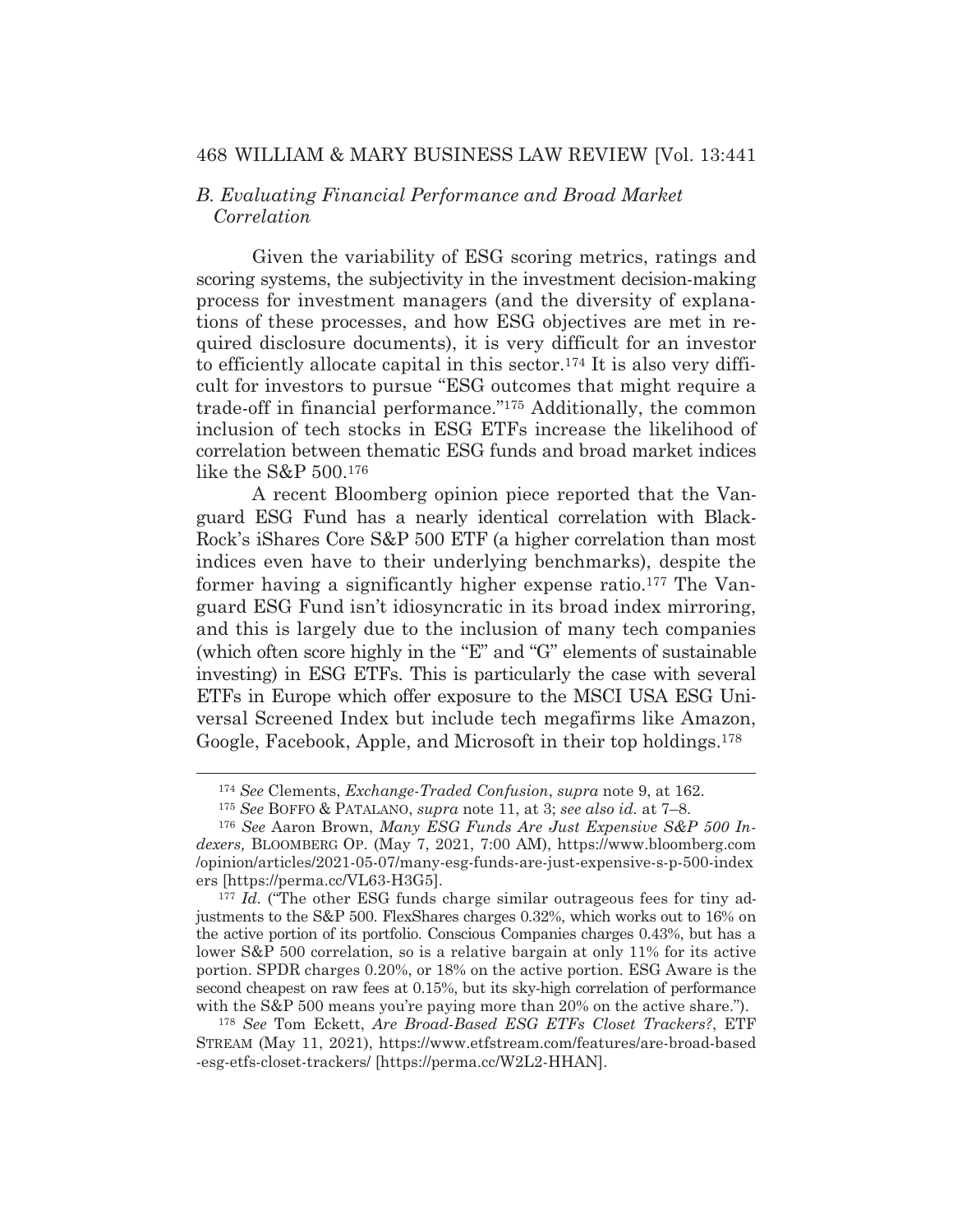## *B. Evaluating Financial Performance and Broad Market Correlation*

Given the variability of ESG scoring metrics, ratings and scoring systems, the subjectivity in the investment decision-making process for investment managers (and the diversity of explanations of these processes, and how ESG objectives are met in required disclosure documents), it is very difficult for an investor to efficiently allocate capital in this sector.174 It is also very difficult for investors to pursue "ESG outcomes that might require a trade-off in financial performance."175 Additionally, the common inclusion of tech stocks in ESG ETFs increase the likelihood of correlation between thematic ESG funds and broad market indices like the S&P 500.176

 A recent Bloomberg opinion piece reported that the Vanguard ESG Fund has a nearly identical correlation with Black-Rock's iShares Core S&P 500 ETF (a higher correlation than most indices even have to their underlying benchmarks), despite the former having a significantly higher expense ratio.177 The Vanguard ESG Fund isn't idiosyncratic in its broad index mirroring, and this is largely due to the inclusion of many tech companies (which often score highly in the "E" and "G" elements of sustainable investing) in ESG ETFs. This is particularly the case with several ETFs in Europe which offer exposure to the MSCI USA ESG Universal Screened Index but include tech megafirms like Amazon, Google, Facebook, Apple, and Microsoft in their top holdings.178

<sup>174</sup> *See* Clements, *Exchange-Traded Confusion*, *supra* note 9, at 162.

<sup>175</sup> *See* BOFFO & PATALANO, *supra* note 11, at 3; *see also id.* at 7–8.

<sup>176</sup> *See* Aaron Brown, *Many ESG Funds Are Just Expensive S&P 500 Indexers,* BLOOMBERG OP. (May 7, 2021, 7:00 AM), https://www.bloomberg.com /opinion/articles/2021-05-07/many-esg-funds-are-just-expensive-s-p-500-index ers [https://perma.cc/VL63-H3G5].

<sup>&</sup>lt;sup>177</sup> *Id.* ("The other ESG funds charge similar outrageous fees for tiny adjustments to the S&P 500. FlexShares charges 0.32%, which works out to 16% on the active portion of its portfolio. Conscious Companies charges 0.43%, but has a lower S&P 500 correlation, so is a relative bargain at only 11% for its active portion. SPDR charges 0.20%, or 18% on the active portion. ESG Aware is the second cheapest on raw fees at 0.15%, but its sky-high correlation of performance with the S&P 500 means you're paying more than 20% on the active share.").

<sup>178</sup> *See* Tom Eckett, *Are Broad-Based ESG ETFs Closet Trackers?*, ETF STREAM (May 11, 2021), https://www.etfstream.com/features/are-broad-based -esg-etfs-closet-trackers/ [https://perma.cc/W2L2-HHAN].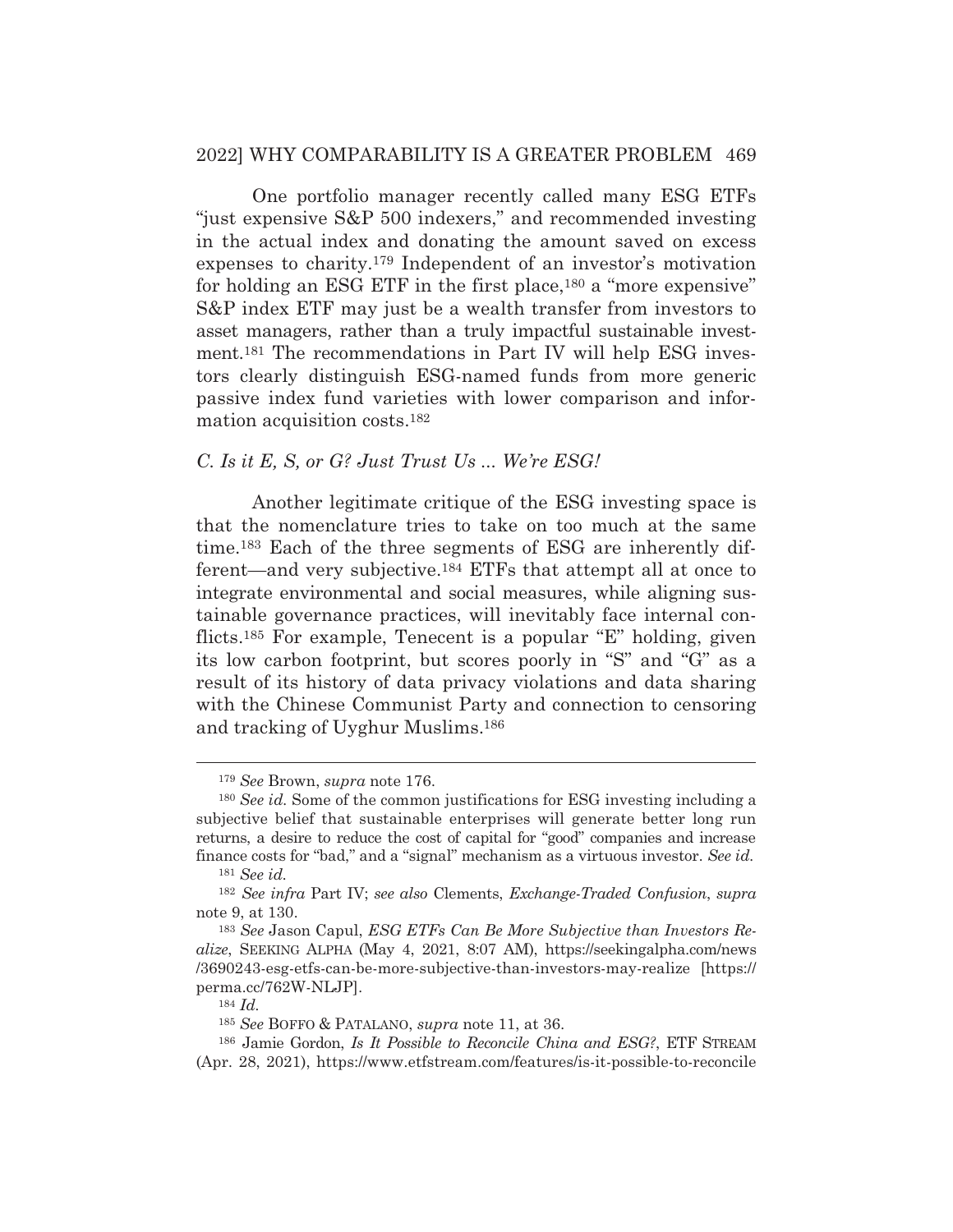#### 2022] WHY COMPARABILITY IS A GREATER PROBLEM 469

 One portfolio manager recently called many ESG ETFs "just expensive S&P 500 indexers," and recommended investing in the actual index and donating the amount saved on excess expenses to charity.179 Independent of an investor's motivation for holding an ESG ETF in the first place,<sup>180</sup> a "more expensive" S&P index ETF may just be a wealth transfer from investors to asset managers, rather than a truly impactful sustainable investment.181 The recommendations in Part IV will help ESG investors clearly distinguish ESG-named funds from more generic passive index fund varieties with lower comparison and information acquisition costs.182

## *C. Is it E, S, or G? Just Trust Us ... We're ESG!*

Another legitimate critique of the ESG investing space is that the nomenclature tries to take on too much at the same time.183 Each of the three segments of ESG are inherently different—and very subjective.184 ETFs that attempt all at once to integrate environmental and social measures, while aligning sustainable governance practices, will inevitably face internal conflicts.185 For example, Tenecent is a popular "E" holding, given its low carbon footprint, but scores poorly in "S" and "G" as a result of its history of data privacy violations and data sharing with the Chinese Communist Party and connection to censoring and tracking of Uyghur Muslims.186

<sup>179</sup> *See* Brown, *supra* note 176.

<sup>180</sup> *See id.* Some of the common justifications for ESG investing including a subjective belief that sustainable enterprises will generate better long run returns, a desire to reduce the cost of capital for "good" companies and increase finance costs for "bad," and a "signal" mechanism as a virtuous investor. *See id.* 

<sup>181</sup> *See id.*

<sup>182</sup> *See infra* Part IV; *see also* Clements, *Exchange-Traded Confusion*, *supra*  note 9, at 130.

<sup>183</sup> *See* Jason Capul, *ESG ETFs Can Be More Subjective than Investors Realize*, SEEKING ALPHA (May 4, 2021, 8:07 AM), https://seekingalpha.com/news /3690243-esg-etfs-can-be-more-subjective-than-investors-may-realize [https:// perma.cc/762W-NLJP].

<sup>184</sup> *Id.*

<sup>185</sup> *See* BOFFO & PATALANO, *supra* note 11, at 36.

<sup>186</sup> Jamie Gordon, *Is It Possible to Reconcile China and ESG?*, ETF STREAM (Apr. 28, 2021), https://www.etfstream.com/features/is-it-possible-to-reconcile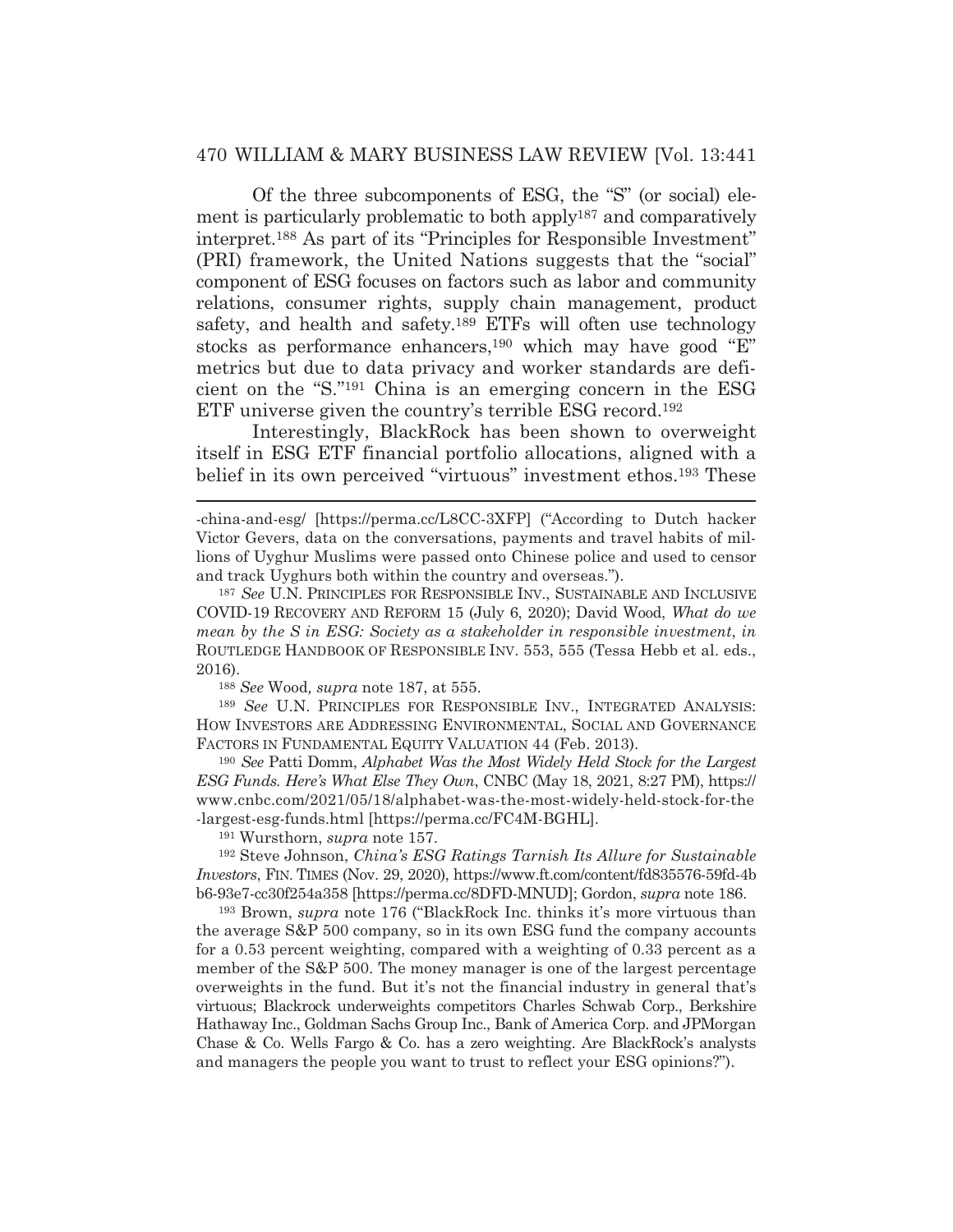Of the three subcomponents of ESG, the "S" (or social) element is particularly problematic to both apply187 and comparatively interpret.188 As part of its "Principles for Responsible Investment" (PRI) framework, the United Nations suggests that the "social" component of ESG focuses on factors such as labor and community relations, consumer rights, supply chain management, product safety, and health and safety.<sup>189</sup> ETFs will often use technology stocks as performance enhancers,190 which may have good "E" metrics but due to data privacy and worker standards are deficient on the "S."191 China is an emerging concern in the ESG ETF universe given the country's terrible ESG record.192

 Interestingly, BlackRock has been shown to overweight itself in ESG ETF financial portfolio allocations, aligned with a belief in its own perceived "virtuous" investment ethos.193 These

<sup>188</sup> *See* Wood*, supra* note 187, at 555.

<sup>189</sup> *See* U.N. PRINCIPLES FOR RESPONSIBLE INV., INTEGRATED ANALYSIS: HOW INVESTORS ARE ADDRESSING ENVIRONMENTAL, SOCIAL AND GOVERNANCE FACTORS IN FUNDAMENTAL EQUITY VALUATION 44 (Feb. 2013).

<sup>190</sup> *See* Patti Domm, *Alphabet Was the Most Widely Held Stock for the Largest ESG Funds. Here's What Else They Own*, CNBC (May 18, 2021, 8:27 PM), https:// www.cnbc.com/2021/05/18/alphabet-was-the-most-widely-held-stock-for-the -largest-esg-funds.html [https://perma.cc/FC4M-BGHL].

191 Wursthorn, *supra* note 157.

192 Steve Johnson, *China's ESG Ratings Tarnish Its Allure for Sustainable Investors*, FIN. TIMES (Nov. 29, 2020), https://www.ft.com/content/fd835576-59fd-4b b6-93e7-cc30f254a358 [https://perma.cc/8DFD-MNUD]; Gordon, *supra* note 186.

193 Brown, *supra* note 176 ("BlackRock Inc. thinks it's more virtuous than the average S&P 500 company, so in its own ESG fund the company accounts for a 0.53 percent weighting, compared with a weighting of 0.33 percent as a member of the S&P 500. The money manager is one of the largest percentage overweights in the fund. But it's not the financial industry in general that's virtuous; Blackrock underweights competitors Charles Schwab Corp., Berkshire Hathaway Inc., Goldman Sachs Group Inc., Bank of America Corp. and JPMorgan Chase & Co. Wells Fargo & Co. has a zero weighting. Are BlackRock's analysts and managers the people you want to trust to reflect your ESG opinions?").

<sup>-</sup>china-and-esg/ [https://perma.cc/L8CC-3XFP] ("According to Dutch hacker Victor Gevers, data on the conversations, payments and travel habits of millions of Uyghur Muslims were passed onto Chinese police and used to censor and track Uyghurs both within the country and overseas.").

<sup>187</sup> *See* U.N. PRINCIPLES FOR RESPONSIBLE INV., SUSTAINABLE AND INCLUSIVE COVID-19 RECOVERY AND REFORM 15 (July 6, 2020); David Wood, *What do we mean by the S in ESG: Society as a stakeholder in responsible investment*, *in* ROUTLEDGE HANDBOOK OF RESPONSIBLE INV. 553, 555 (Tessa Hebb et al. eds., 2016).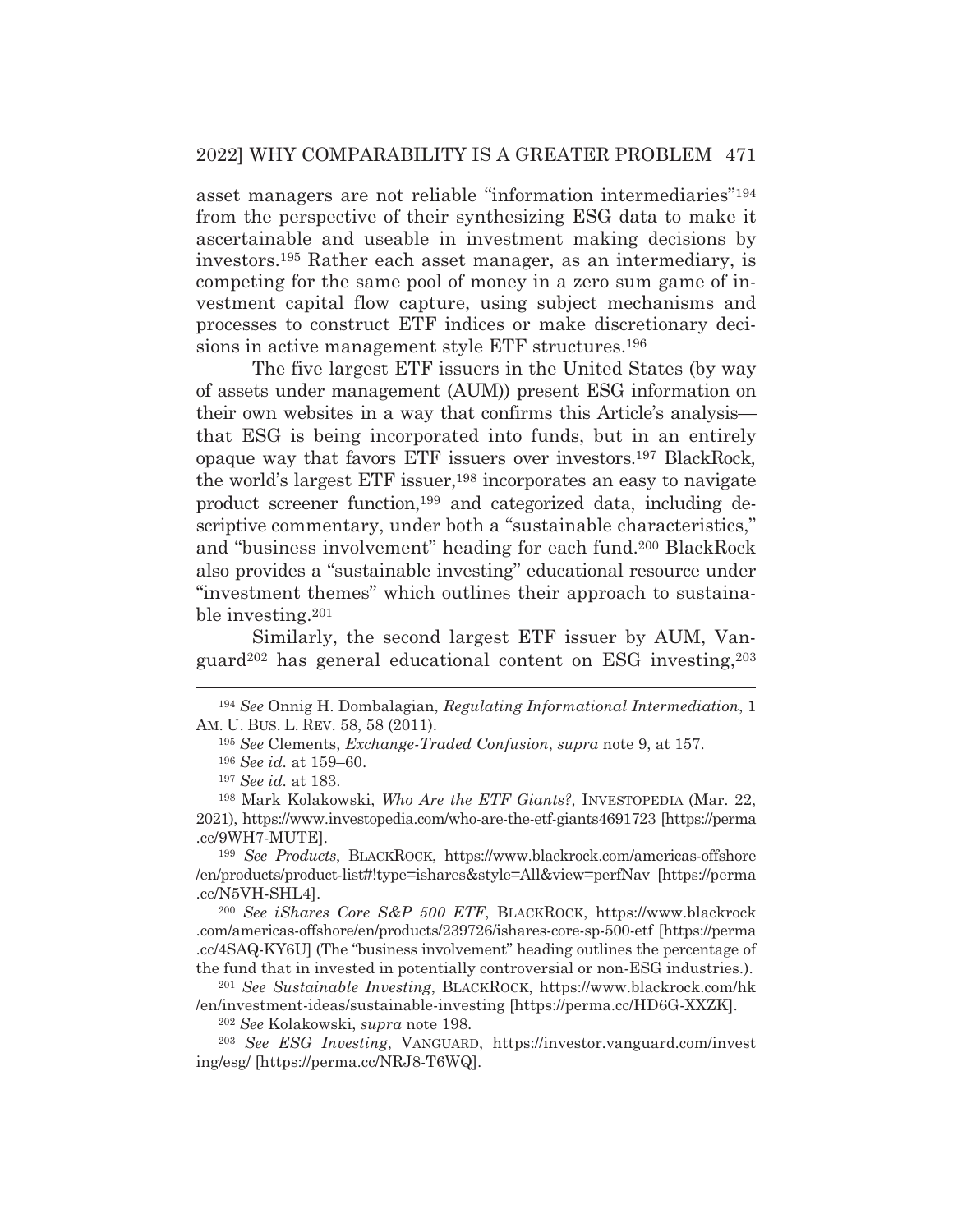asset managers are not reliable "information intermediaries"194 from the perspective of their synthesizing ESG data to make it ascertainable and useable in investment making decisions by investors.195 Rather each asset manager, as an intermediary, is competing for the same pool of money in a zero sum game of investment capital flow capture, using subject mechanisms and processes to construct ETF indices or make discretionary decisions in active management style ETF structures.196

 The five largest ETF issuers in the United States (by way of assets under management (AUM)) present ESG information on their own websites in a way that confirms this Article's analysis that ESG is being incorporated into funds, but in an entirely opaque way that favors ETF issuers over investors.197 BlackRock*,* the world's largest ETF issuer,<sup>198</sup> incorporates an easy to navigate product screener function,199 and categorized data, including descriptive commentary, under both a "sustainable characteristics," and "business involvement" heading for each fund.200 BlackRock also provides a "sustainable investing" educational resource under "investment themes" which outlines their approach to sustainable investing.201

 Similarly, the second largest ETF issuer by AUM, Vanguard<sup>202</sup> has general educational content on ESG investing,  $203$ 

<sup>199</sup> *See Products*, BLACKROCK, https://www.blackrock.com/americas-offshore /en/products/product-list#!type=ishares&style=All&view=perfNav [https://perma .cc/N5VH-SHL4].

<sup>200</sup> *See iShares Core S&P 500 ETF*, BLACKROCK, https://www.blackrock .com/americas-offshore/en/products/239726/ishares-core-sp-500-etf [https://perma .cc/4SAQ-KY6U] (The "business involvement" heading outlines the percentage of the fund that in invested in potentially controversial or non-ESG industries.).

<sup>201</sup> *See Sustainable Investing*, BLACKROCK, https://www.blackrock.com/hk /en/investment-ideas/sustainable-investing [https://perma.cc/HD6G-XXZK].

<sup>202</sup> *See* Kolakowski, *supra* note 198.

<sup>203</sup> *See ESG Investing*, VANGUARD, https://investor.vanguard.com/invest ing/esg/ [https://perma.cc/NRJ8-T6WQ].

<sup>194</sup> *See* Onnig H. Dombalagian, *Regulating Informational Intermediation*, 1 AM. U. BUS. L. REV. 58, 58 (2011).

<sup>195</sup> *See* Clements, *Exchange-Traded Confusion*, *supra* note 9, at 157.

<sup>196</sup> *See id.* at 159–60.

<sup>197</sup> *See id.* at 183.

<sup>198</sup> Mark Kolakowski, *Who Are the ETF Giants?,* INVESTOPEDIA (Mar. 22, 2021), https://www.investopedia.com/who-are-the-etf-giants4691723 [https://perma .cc/9WH7-MUTE].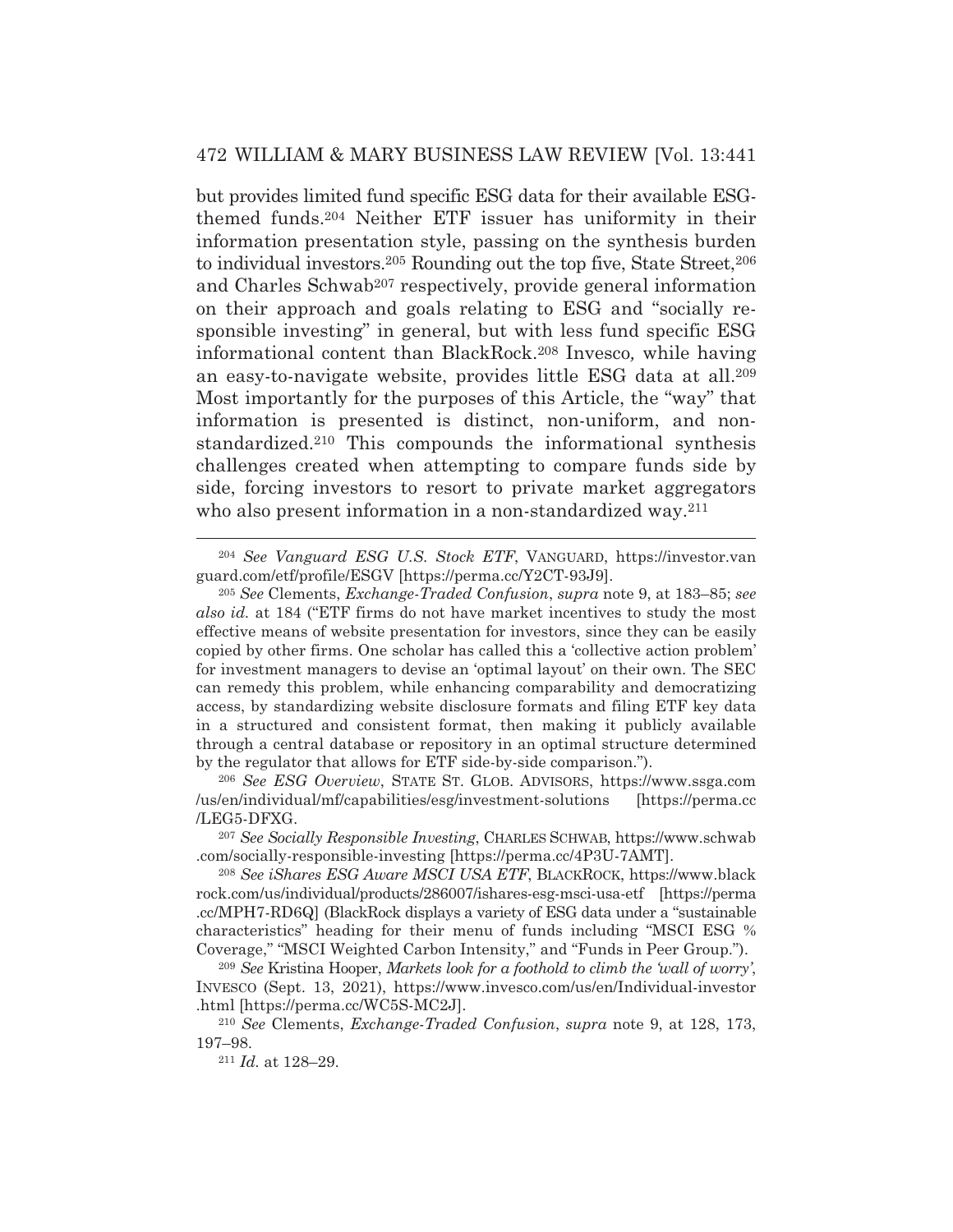but provides limited fund specific ESG data for their available ESGthemed funds.204 Neither ETF issuer has uniformity in their information presentation style, passing on the synthesis burden to individual investors.205 Rounding out the top five, State Street,206 and Charles Schwab<sup>207</sup> respectively, provide general information on their approach and goals relating to ESG and "socially responsible investing" in general, but with less fund specific ESG informational content than BlackRock.208 Invesco*,* while having an easy-to-navigate website, provides little ESG data at all.209 Most importantly for the purposes of this Article, the "way" that information is presented is distinct, non-uniform, and nonstandardized.210 This compounds the informational synthesis challenges created when attempting to compare funds side by side, forcing investors to resort to private market aggregators who also present information in a non-standardized way.<sup>211</sup>

<sup>204</sup> *See Vanguard ESG U.S. Stock ETF*, VANGUARD, https://investor.van guard.com/etf/profile/ESGV [https://perma.cc/Y2CT-93J9].

<sup>206</sup> *See ESG Overview*, STATE ST. GLOB. ADVISORS, https://www.ssga.com /us/en/individual/mf/capabilities/esg/investment-solutions [https://perma.cc /LEG5-DFXG.

<sup>207</sup> *See Socially Responsible Investing*, CHARLES SCHWAB, https://www.schwab .com/socially-responsible-investing [https://perma.cc/4P3U-7AMT].

<sup>208</sup> *See iShares ESG Aware MSCI USA ETF*, BLACKROCK, https://www.black rock.com/us/individual/products/286007/ishares-esg-msci-usa-etf [https://perma .cc/MPH7-RD6Q] (BlackRock displays a variety of ESG data under a "sustainable characteristics" heading for their menu of funds including "MSCI ESG % Coverage," "MSCI Weighted Carbon Intensity," and "Funds in Peer Group.").

<sup>209</sup> *See* Kristina Hooper, *Markets look for a foothold to climb the 'wall of worry'*, INVESCO (Sept. 13, 2021), https://www.invesco.com/us/en/Individual-investor .html [https://perma.cc/WC5S-MC2J].

<sup>210</sup> *See* Clements, *Exchange-Traded Confusion*, *supra* note 9, at 128, 173, 197–98. 211 *Id.* at 128–29.

<sup>205</sup> *See* Clements, *Exchange-Traded Confusion*, *supra* note 9, at 183–85; *see also id.* at 184 ("ETF firms do not have market incentives to study the most effective means of website presentation for investors, since they can be easily copied by other firms. One scholar has called this a 'collective action problem' for investment managers to devise an 'optimal layout' on their own. The SEC can remedy this problem, while enhancing comparability and democratizing access, by standardizing website disclosure formats and filing ETF key data in a structured and consistent format, then making it publicly available through a central database or repository in an optimal structure determined by the regulator that allows for ETF side-by-side comparison.").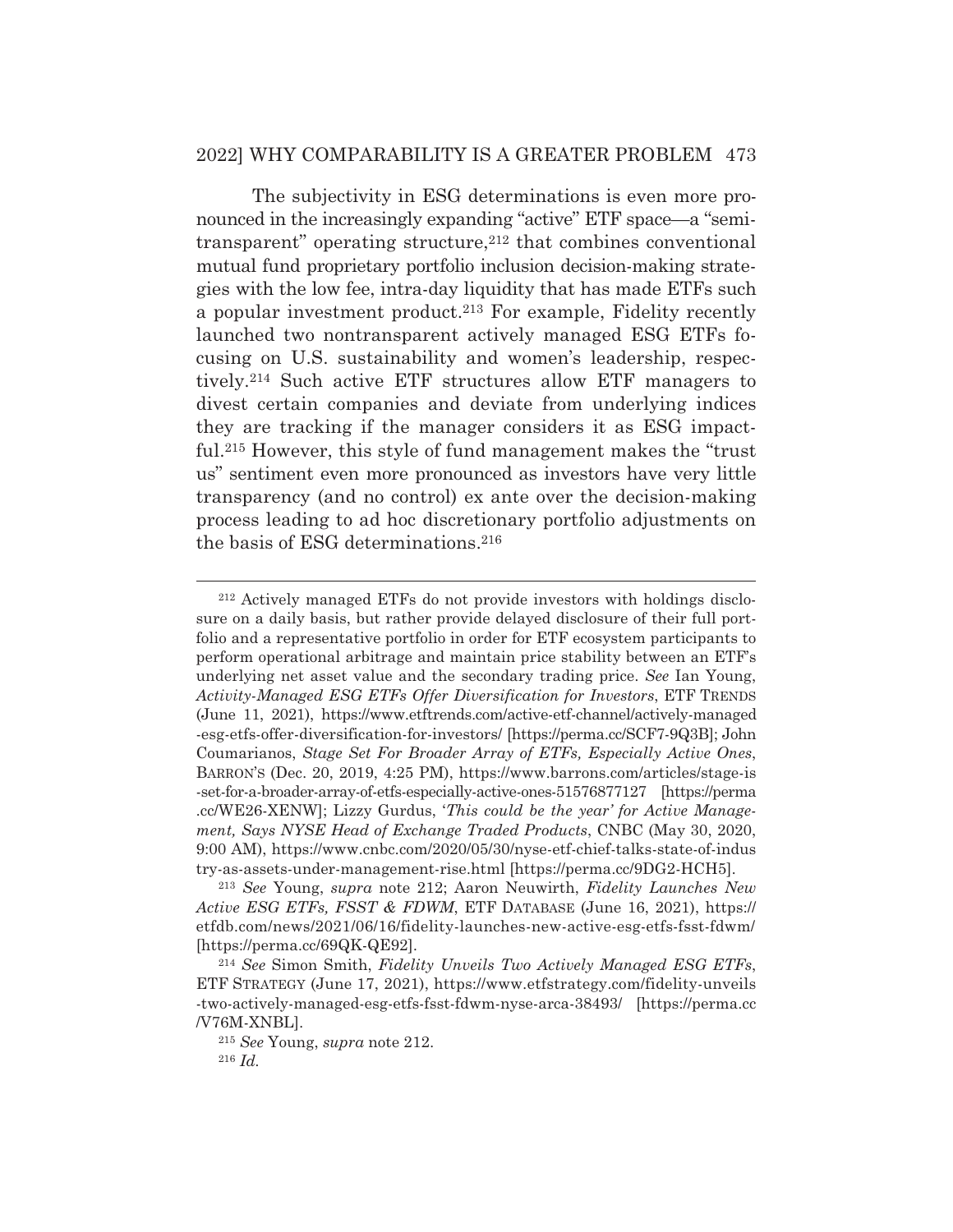## 2022] WHY COMPARABILITY IS A GREATER PROBLEM 473

 The subjectivity in ESG determinations is even more pronounced in the increasingly expanding "active" ETF space*—*a "semitransparent" operating structure, $212$  that combines conventional mutual fund proprietary portfolio inclusion decision-making strategies with the low fee, intra-day liquidity that has made ETFs such a popular investment product.213 For example, Fidelity recently launched two nontransparent actively managed ESG ETFs focusing on U.S. sustainability and women's leadership, respectively.214 Such active ETF structures allow ETF managers to divest certain companies and deviate from underlying indices they are tracking if the manager considers it as ESG impactful.215 However, this style of fund management makes the "trust us" sentiment even more pronounced as investors have very little transparency (and no control) ex ante over the decision-making process leading to ad hoc discretionary portfolio adjustments on the basis of ESG determinations.216

<sup>212</sup> Actively managed ETFs do not provide investors with holdings disclosure on a daily basis, but rather provide delayed disclosure of their full portfolio and a representative portfolio in order for ETF ecosystem participants to perform operational arbitrage and maintain price stability between an ETF's underlying net asset value and the secondary trading price. *See* Ian Young, *Activity-Managed ESG ETFs Offer Diversification for Investors*, ETF TRENDS (June 11, 2021), https://www.etftrends.com/active-etf-channel/actively-managed -esg-etfs-offer-diversification-for-investors/ [https://perma.cc/SCF7-9Q3B]; John Coumarianos, *Stage Set For Broader Array of ETFs, Especially Active Ones*, BARRON'S (Dec. 20, 2019, 4:25 PM), https://www.barrons.com/articles/stage-is -set-for-a-broader-array-of-etfs-especially-active-ones-51576877127 [https://perma .cc/WE26-XENW]; Lizzy Gurdus, '*This could be the year' for Active Management, Says NYSE Head of Exchange Traded Products*, CNBC (May 30, 2020, 9:00 AM), https://www.cnbc.com/2020/05/30/nyse-etf-chief-talks-state-of-indus try-as-assets-under-management-rise.html [https://perma.cc/9DG2-HCH5].

<sup>213</sup> *See* Young, *supra* note 212; Aaron Neuwirth, *Fidelity Launches New Active ESG ETFs, FSST & FDWM*, ETF DATABASE (June 16, 2021), https:// etfdb.com/news/2021/06/16/fidelity-launches-new-active-esg-etfs-fsst-fdwm/ [https://perma.cc/69QK-QE92]. 214 *See* Simon Smith, *Fidelity Unveils Two Actively Managed ESG ETFs*,

ETF STRATEGY (June 17, 2021), https://www.etfstrategy.com/fidelity-unveils -two-actively-managed-esg-etfs-fsst-fdwm-nyse-arca-38493/ [https://perma.cc /V76M-XNBL].

<sup>215</sup> *See* Young, *supra* note 212. <sup>216</sup> *Id.*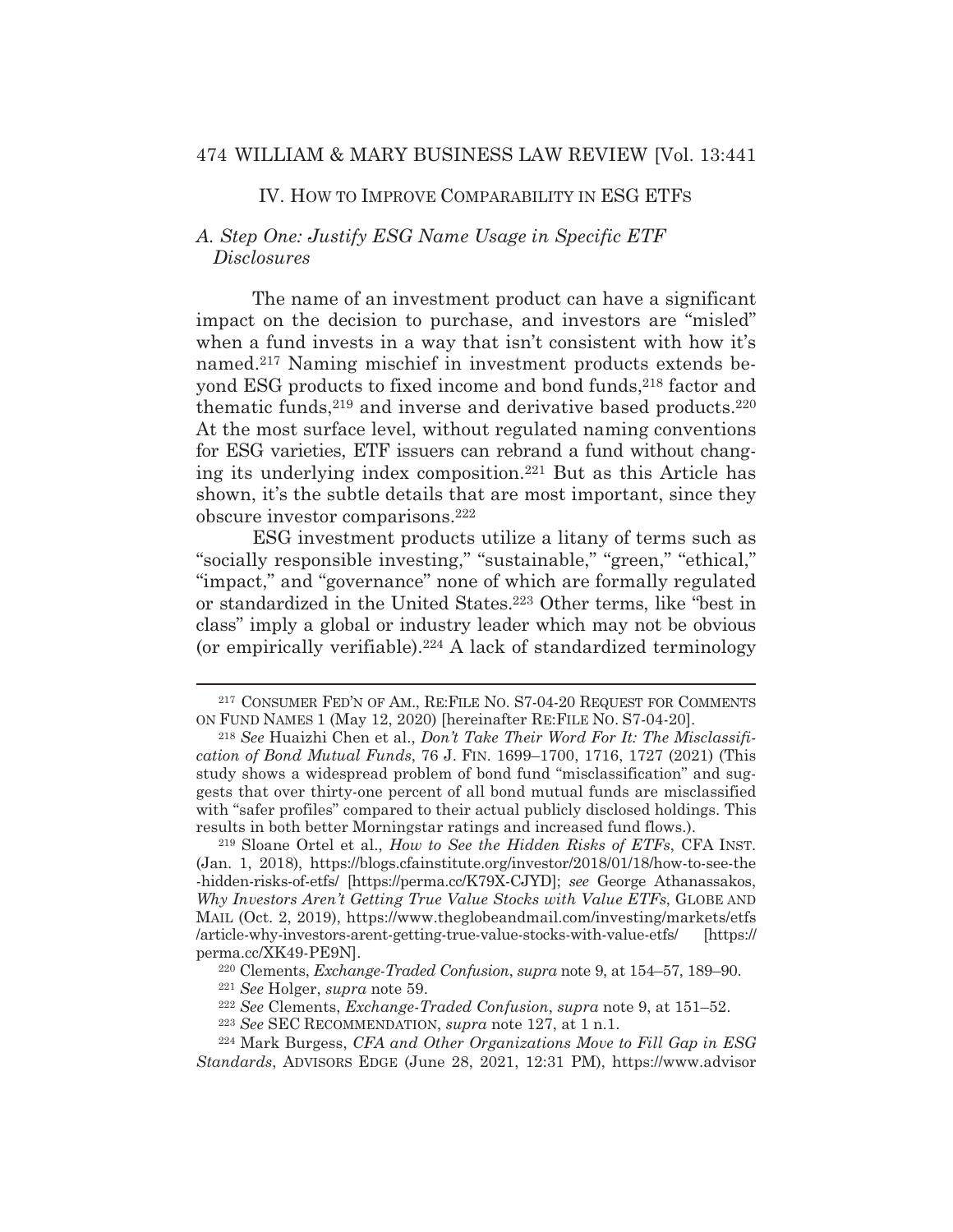## IV. HOW TO IMPROVE COMPARABILITY IN ESG ETFS

## *A. Step One: Justify ESG Name Usage in Specific ETF Disclosures*

The name of an investment product can have a significant impact on the decision to purchase, and investors are "misled" when a fund invests in a way that isn't consistent with how it's named.217 Naming mischief in investment products extends beyond ESG products to fixed income and bond funds, 218 factor and thematic funds,<sup>219</sup> and inverse and derivative based products.<sup>220</sup> At the most surface level, without regulated naming conventions for ESG varieties, ETF issuers can rebrand a fund without changing its underlying index composition.221 But as this Article has shown, it's the subtle details that are most important, since they obscure investor comparisons.222

 ESG investment products utilize a litany of terms such as "socially responsible investing," "sustainable," "green," "ethical," "impact," and "governance" none of which are formally regulated or standardized in the United States.223 Other terms, like "best in class" imply a global or industry leader which may not be obvious (or empirically verifiable).224 A lack of standardized terminology

<sup>217</sup> CONSUMER FED'N OF AM., RE:FILE NO. S7-04-20 REQUEST FOR COMMENTS ON FUND NAMES 1 (May 12, 2020) [hereinafter RE:FILE NO. S7-04-20].

<sup>218</sup> *See* Huaizhi Chen et al., *Don't Take Their Word For It: The Misclassification of Bond Mutual Funds*, 76 J. FIN. 1699–1700, 1716, 1727 (2021) (This study shows a widespread problem of bond fund "misclassification" and suggests that over thirty-one percent of all bond mutual funds are misclassified with "safer profiles" compared to their actual publicly disclosed holdings. This results in both better Morningstar ratings and increased fund flows.).

<sup>219</sup> Sloane Ortel et al., *How to See the Hidden Risks of ETFs*, CFA INST. (Jan. 1, 2018), https://blogs.cfainstitute.org/investor/2018/01/18/how-to-see-the -hidden-risks-of-etfs/ [https://perma.cc/K79X-CJYD]; *see* George Athanassakos, *Why Investors Aren't Getting True Value Stocks with Value ETFs*, GLOBE AND MAIL (Oct. 2, 2019), https://www.theglobeandmail.com/investing/markets/etfs /article-why-investors-arent-getting-true-value-stocks-with-value-etfs/ [https:// perma.cc/XK49-PE9N].

<sup>220</sup> Clements, *Exchange-Traded Confusion*, *supra* note 9, at 154–57, 189–90. 221 *See* Holger, *supra* note 59. 222 *See* Clements, *Exchange-Traded Confusion*, *supra* note 9, at 151–52.

<sup>223</sup> *See* SEC RECOMMENDATION, *supra* note 127, at 1 n.1.

<sup>224</sup> Mark Burgess, *CFA and Other Organizations Move to Fill Gap in ESG Standards*, ADVISORS EDGE (June 28, 2021, 12:31 PM), https://www.advisor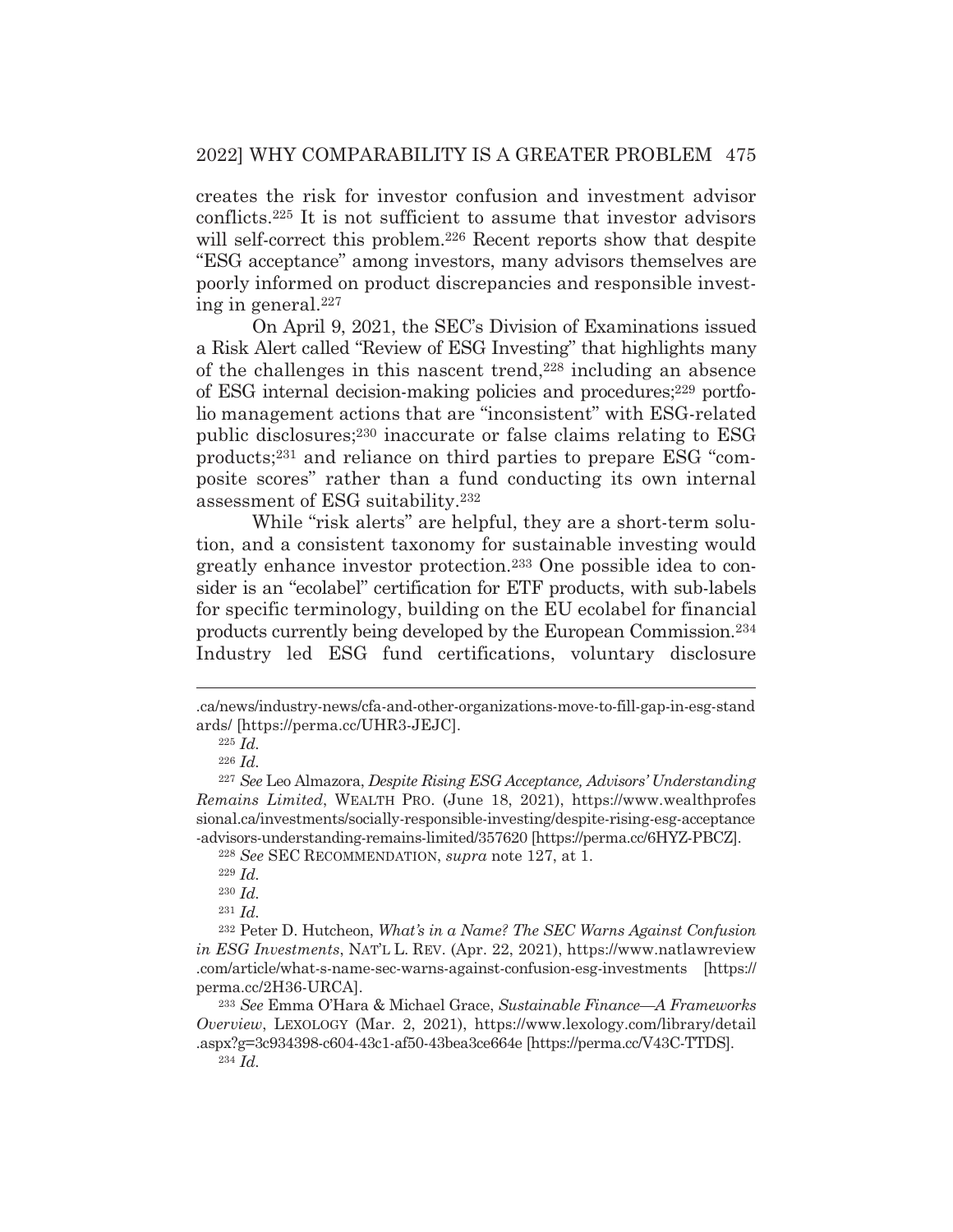creates the risk for investor confusion and investment advisor conflicts.225 It is not sufficient to assume that investor advisors will self-correct this problem.<sup>226</sup> Recent reports show that despite "ESG acceptance" among investors, many advisors themselves are poorly informed on product discrepancies and responsible investing in general.227

 On April 9, 2021, the SEC's Division of Examinations issued a Risk Alert called "Review of ESG Investing" that highlights many of the challenges in this nascent trend,228 including an absence of ESG internal decision-making policies and procedures;229 portfolio management actions that are "inconsistent" with ESG-related public disclosures;230 inaccurate or false claims relating to ESG products;231 and reliance on third parties to prepare ESG "composite scores" rather than a fund conducting its own internal assessment of ESG suitability.232

 While "risk alerts" are helpful, they are a short-term solution, and a consistent taxonomy for sustainable investing would greatly enhance investor protection.233 One possible idea to consider is an "ecolabel" certification for ETF products, with sub-labels for specific terminology, building on the EU ecolabel for financial products currently being developed by the European Commission.234 Industry led ESG fund certifications, voluntary disclosure

<sup>.</sup>ca/news/industry-news/cfa-and-other-organizations-move-to-fill-gap-in-esg-stand ards/ [https://perma.cc/UHR3-JEJC].

<sup>225</sup> *Id.*

<sup>226</sup> *Id.*

<sup>227</sup> *See* Leo Almazora, *Despite Rising ESG Acceptance, Advisors' Understanding Remains Limited*, WEALTH PRO. (June 18, 2021), https://www.wealthprofes sional.ca/investments/socially-responsible-investing/despite-rising-esg-acceptance -advisors-understanding-remains-limited/357620 [https://perma.cc/6HYZ-PBCZ].

<sup>228</sup> *See* SEC RECOMMENDATION, *supra* note 127, at 1.

<sup>229</sup> *Id.*

<sup>230</sup> *Id.*

<sup>231</sup> *Id.*

<sup>232</sup> Peter D. Hutcheon, *What's in a Name? The SEC Warns Against Confusion in ESG Investments*, NAT'L L. REV. (Apr. 22, 2021), https://www.natlawreview .com/article/what-s-name-sec-warns-against-confusion-esg-investments [https:// perma.cc/2H36-URCA].

<sup>233</sup> *See* Emma O'Hara & Michael Grace, *Sustainable Finance—A Frameworks Overview*, LEXOLOGY (Mar. 2, 2021), https://www.lexology.com/library/detail .aspx?g=3c934398-c604-43c1-af50-43bea3ce664e [https://perma.cc/V43C-TTDS].

<sup>234</sup> *Id.*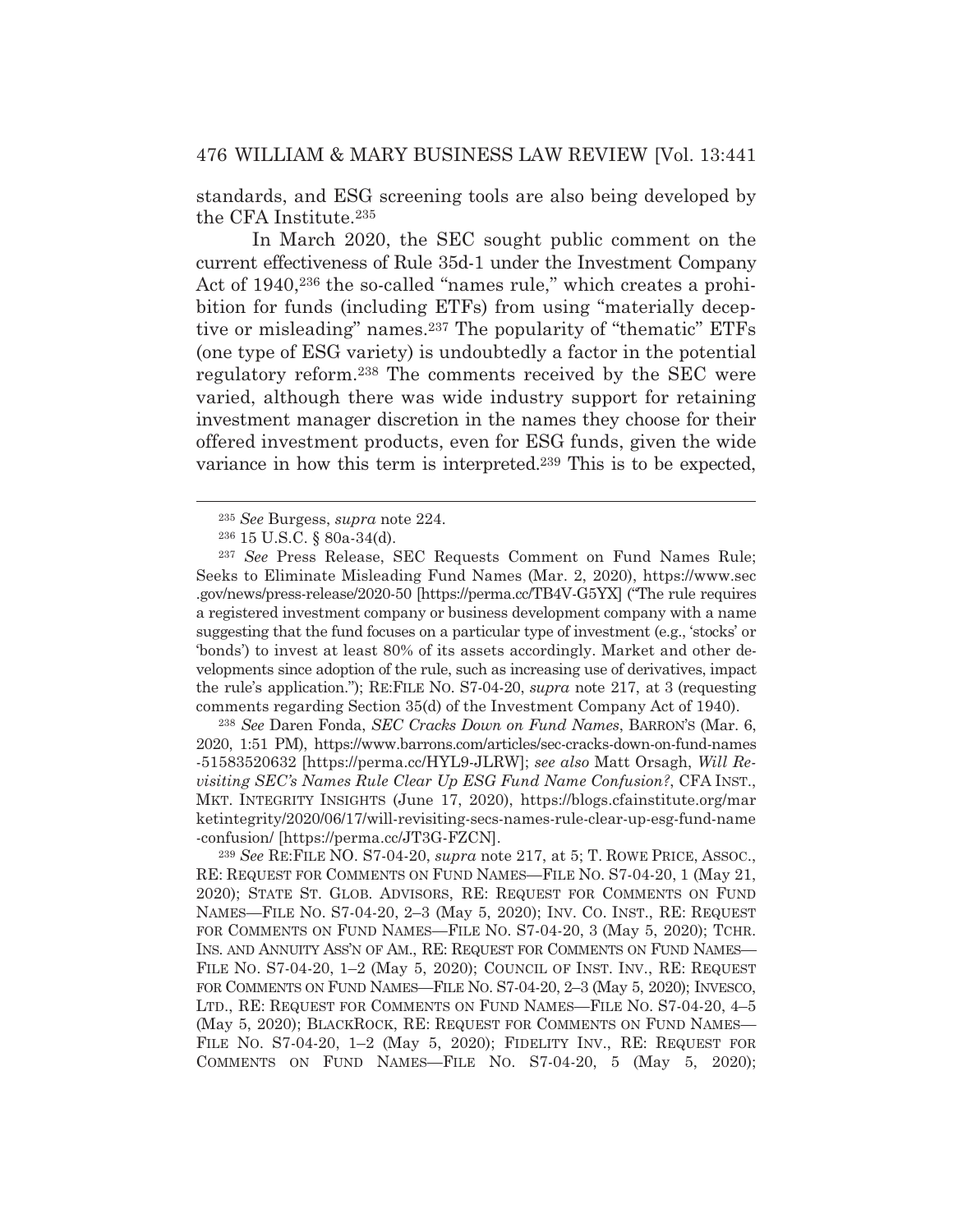standards, and ESG screening tools are also being developed by the CFA Institute.235

 In March 2020, the SEC sought public comment on the current effectiveness of Rule 35d-1 under the Investment Company Act of 1940,<sup>236</sup> the so-called "names rule," which creates a prohibition for funds (including ETFs) from using "materially deceptive or misleading" names.237 The popularity of "thematic" ETFs (one type of ESG variety) is undoubtedly a factor in the potential regulatory reform.238 The comments received by the SEC were varied, although there was wide industry support for retaining investment manager discretion in the names they choose for their offered investment products, even for ESG funds, given the wide variance in how this term is interpreted.239 This is to be expected,

<sup>238</sup> *See* Daren Fonda, *SEC Cracks Down on Fund Names*, BARRON'S (Mar. 6, 2020, 1:51 PM), https://www.barrons.com/articles/sec-cracks-down-on-fund-names -51583520632 [https://perma.cc/HYL9-JLRW]; *see also* Matt Orsagh, *Will Revisiting SEC's Names Rule Clear Up ESG Fund Name Confusion?*, CFA INST., MKT. INTEGRITY INSIGHTS (June 17, 2020), https://blogs.cfainstitute.org/mar ketintegrity/2020/06/17/will-revisiting-secs-names-rule-clear-up-esg-fund-name -confusion/ [https://perma.cc/JT3G-FZCN].

<sup>239</sup> *See* RE:FILE NO. S7-04-20, *supra* note 217, at 5; T. ROWE PRICE, ASSOC., RE: REQUEST FOR COMMENTS ON FUND NAMES—FILE NO. S7-04-20, 1 (May 21, 2020); STATE ST. GLOB. ADVISORS, RE: REQUEST FOR COMMENTS ON FUND NAMES—FILE NO. S7-04-20, 2–3 (May 5, 2020); INV. CO. INST., RE: REQUEST FOR COMMENTS ON FUND NAMES—FILE NO. S7-04-20, 3 (May 5, 2020); TCHR. INS. AND ANNUITY ASS'N OF AM., RE: REQUEST FOR COMMENTS ON FUND NAMES— FILE NO. S7-04-20, 1–2 (May 5, 2020); COUNCIL OF INST. INV., RE: REQUEST FOR COMMENTS ON FUND NAMES—FILE NO. S7-04-20, 2–3 (May 5, 2020); INVESCO, LTD., RE: REQUEST FOR COMMENTS ON FUND NAMES—FILE NO. S7-04-20, 4–5 (May 5, 2020); BLACKROCK, RE: REQUEST FOR COMMENTS ON FUND NAMES— FILE NO. S7-04-20, 1–2 (May 5, 2020); FIDELITY INV., RE: REQUEST FOR COMMENTS ON FUND NAMES—FILE NO. S7-04-20, 5 (May 5, 2020);

<sup>235</sup> *See* Burgess, *supra* note 224.

<sup>236 15</sup> U.S.C. § 80a-34(d).

<sup>237</sup> *See* Press Release, SEC Requests Comment on Fund Names Rule; Seeks to Eliminate Misleading Fund Names (Mar. 2, 2020), https://www.sec .gov/news/press-release/2020-50 [https://perma.cc/TB4V-G5YX] ("The rule requires a registered investment company or business development company with a name suggesting that the fund focuses on a particular type of investment (e.g., 'stocks' or 'bonds') to invest at least 80% of its assets accordingly. Market and other developments since adoption of the rule, such as increasing use of derivatives, impact the rule's application."); RE:FILE NO. S7-04-20, *supra* note 217, at 3 (requesting comments regarding Section 35(d) of the Investment Company Act of 1940).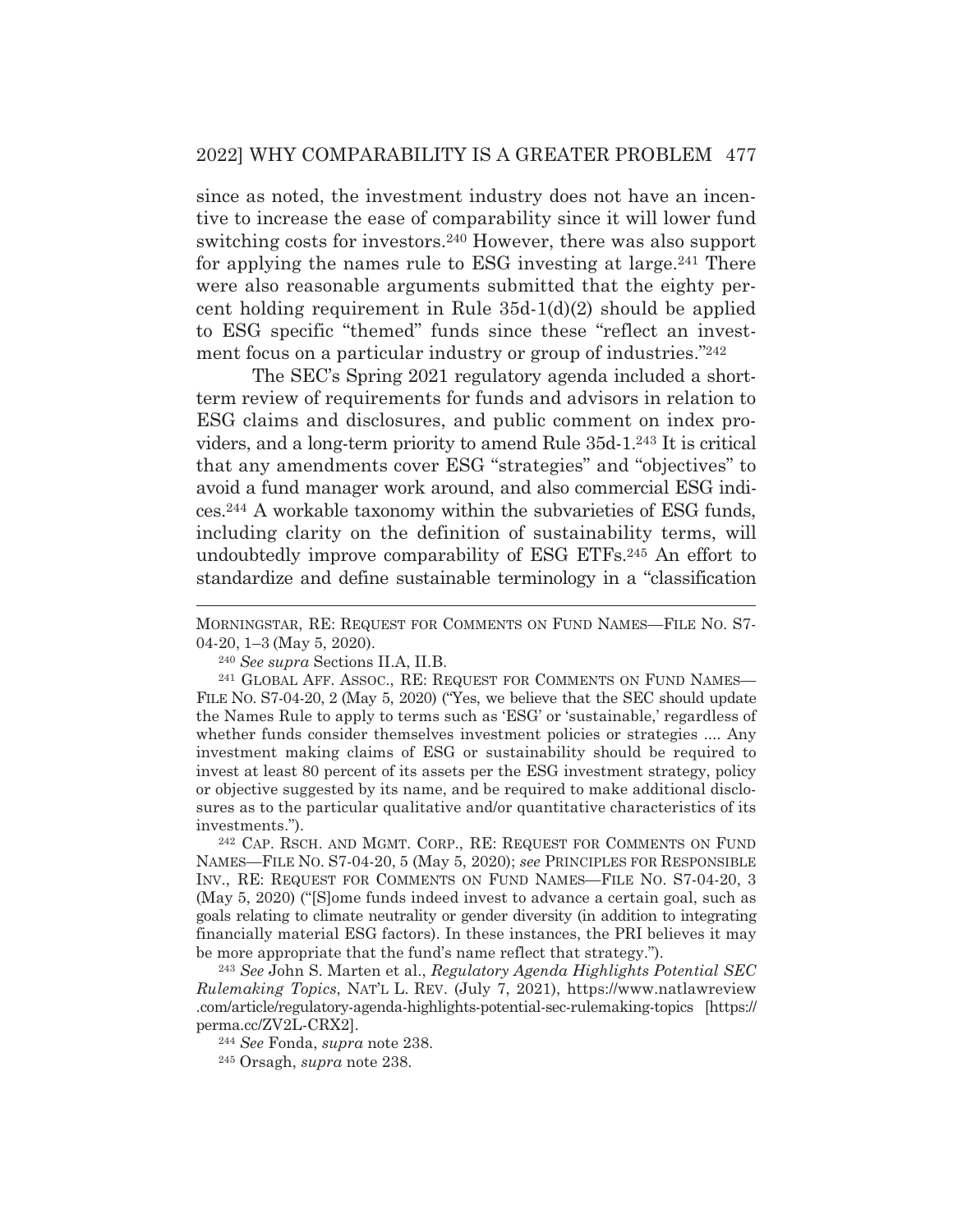since as noted, the investment industry does not have an incentive to increase the ease of comparability since it will lower fund switching costs for investors.240 However, there was also support for applying the names rule to ESG investing at large.241 There were also reasonable arguments submitted that the eighty percent holding requirement in Rule 35d-1(d)(2) should be applied to ESG specific "themed" funds since these "reflect an investment focus on a particular industry or group of industries."242

 The SEC's Spring 2021 regulatory agenda included a shortterm review of requirements for funds and advisors in relation to ESG claims and disclosures, and public comment on index providers, and a long-term priority to amend Rule 35d-1.243 It is critical that any amendments cover ESG "strategies" and "objectives" to avoid a fund manager work around, and also commercial ESG indices.244 A workable taxonomy within the subvarieties of ESG funds, including clarity on the definition of sustainability terms, will undoubtedly improve comparability of ESG ETFs.245 An effort to standardize and define sustainable terminology in a "classification

242 CAP. RSCH. AND MGMT. CORP., RE: REQUEST FOR COMMENTS ON FUND NAMES—FILE NO. S7-04-20, 5 (May 5, 2020); *see* PRINCIPLES FOR RESPONSIBLE INV., RE: REQUEST FOR COMMENTS ON FUND NAMES—FILE NO. S7-04-20, 3 (May 5, 2020) ("[S]ome funds indeed invest to advance a certain goal, such as goals relating to climate neutrality or gender diversity (in addition to integrating financially material ESG factors). In these instances, the PRI believes it may be more appropriate that the fund's name reflect that strategy.").

<sup>243</sup> *See* John S. Marten et al., *Regulatory Agenda Highlights Potential SEC Rulemaking Topics*, NAT'L L. REV. (July 7, 2021), https://www.natlawreview .com/article/regulatory-agenda-highlights-potential-sec-rulemaking-topics [https:// perma.cc/ZV2L-CRX2]. 244 *See* Fonda, *supra* note 238.

245 Orsagh, *supra* note 238.

MORNINGSTAR, RE: REQUEST FOR COMMENTS ON FUND NAMES—FILE NO. S7- 04-20, 1–3 (May 5, 2020).

<sup>&</sup>lt;sup>240</sup> *See supra* Sections II.A, II.B.<br><sup>241</sup> GLOBAL AFF. ASSOC., RE: REQUEST FOR COMMENTS ON FUND NAMES— FILE NO. S7-04-20, 2 (May 5, 2020) ("Yes, we believe that the SEC should update the Names Rule to apply to terms such as 'ESG' or 'sustainable,' regardless of whether funds consider themselves investment policies or strategies .... Any investment making claims of ESG or sustainability should be required to invest at least 80 percent of its assets per the ESG investment strategy, policy or objective suggested by its name, and be required to make additional disclosures as to the particular qualitative and/or quantitative characteristics of its investments.").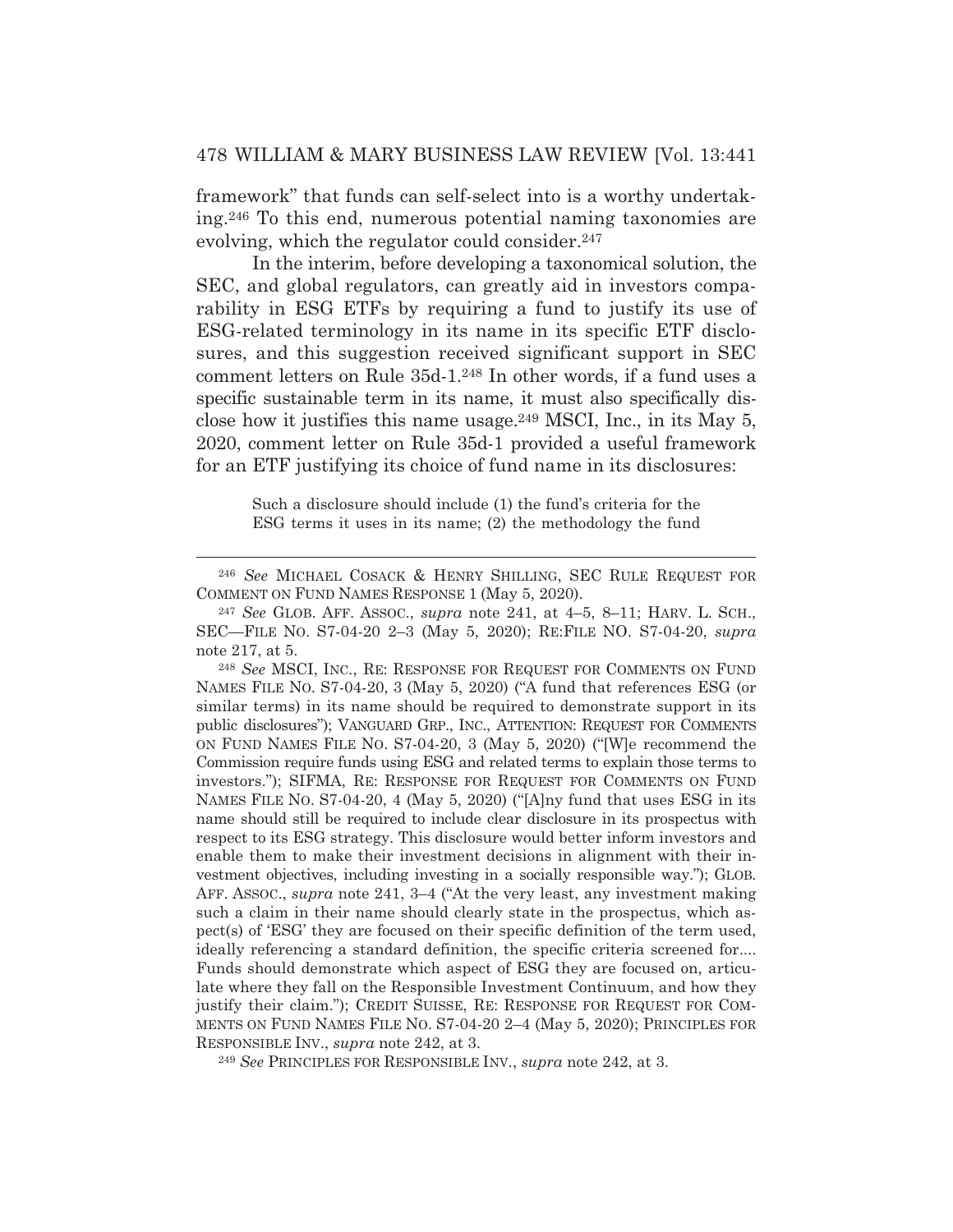framework" that funds can self-select into is a worthy undertaking.246 To this end, numerous potential naming taxonomies are evolving, which the regulator could consider.<sup>247</sup>

 In the interim, before developing a taxonomical solution, the SEC, and global regulators, can greatly aid in investors comparability in ESG ETFs by requiring a fund to justify its use of ESG-related terminology in its name in its specific ETF disclosures, and this suggestion received significant support in SEC comment letters on Rule 35d-1.248 In other words, if a fund uses a specific sustainable term in its name, it must also specifically disclose how it justifies this name usage.249 MSCI, Inc., in its May 5, 2020, comment letter on Rule 35d-1 provided a useful framework for an ETF justifying its choice of fund name in its disclosures:

Such a disclosure should include (1) the fund's criteria for the ESG terms it uses in its name; (2) the methodology the fund

<sup>248</sup> *See* MSCI, INC., RE: RESPONSE FOR REQUEST FOR COMMENTS ON FUND NAMES FILE NO. S7-04-20, 3 (May 5, 2020) ("A fund that references ESG (or similar terms) in its name should be required to demonstrate support in its public disclosures"); VANGUARD GRP., INC., ATTENTION: REQUEST FOR COMMENTS ON FUND NAMES FILE NO. S7-04-20, 3 (May 5, 2020) ("[W]e recommend the Commission require funds using ESG and related terms to explain those terms to investors."); SIFMA, RE: RESPONSE FOR REQUEST FOR COMMENTS ON FUND NAMES FILE NO. S7-04-20, 4 (May 5, 2020) ("[A]ny fund that uses ESG in its name should still be required to include clear disclosure in its prospectus with respect to its ESG strategy. This disclosure would better inform investors and enable them to make their investment decisions in alignment with their investment objectives, including investing in a socially responsible way."); GLOB. AFF. ASSOC., *supra* note 241, 3–4 ("At the very least, any investment making such a claim in their name should clearly state in the prospectus, which aspect(s) of 'ESG' they are focused on their specific definition of the term used, ideally referencing a standard definition, the specific criteria screened for.... Funds should demonstrate which aspect of ESG they are focused on, articulate where they fall on the Responsible Investment Continuum, and how they justify their claim."); CREDIT SUISSE, RE: RESPONSE FOR REQUEST FOR COM-MENTS ON FUND NAMES FILE NO. S7-04-20 2–4 (May 5, 2020); PRINCIPLES FOR RESPONSIBLE INV., *supra* note 242, at 3.

<sup>249</sup> *See* PRINCIPLES FOR RESPONSIBLE INV., *supra* note 242, at 3.

<sup>246</sup> *See* MICHAEL COSACK & HENRY SHILLING, SEC RULE REQUEST FOR COMMENT ON FUND NAMES RESPONSE 1 (May 5, 2020).

<sup>247</sup> *See* GLOB. AFF. ASSOC., *supra* note 241, at 4–5, 8–11; HARV. L. SCH., SEC—FILE NO. S7-04-20 2–3 (May 5, 2020); RE:FILE NO. S7-04-20, *supra* note 217, at 5.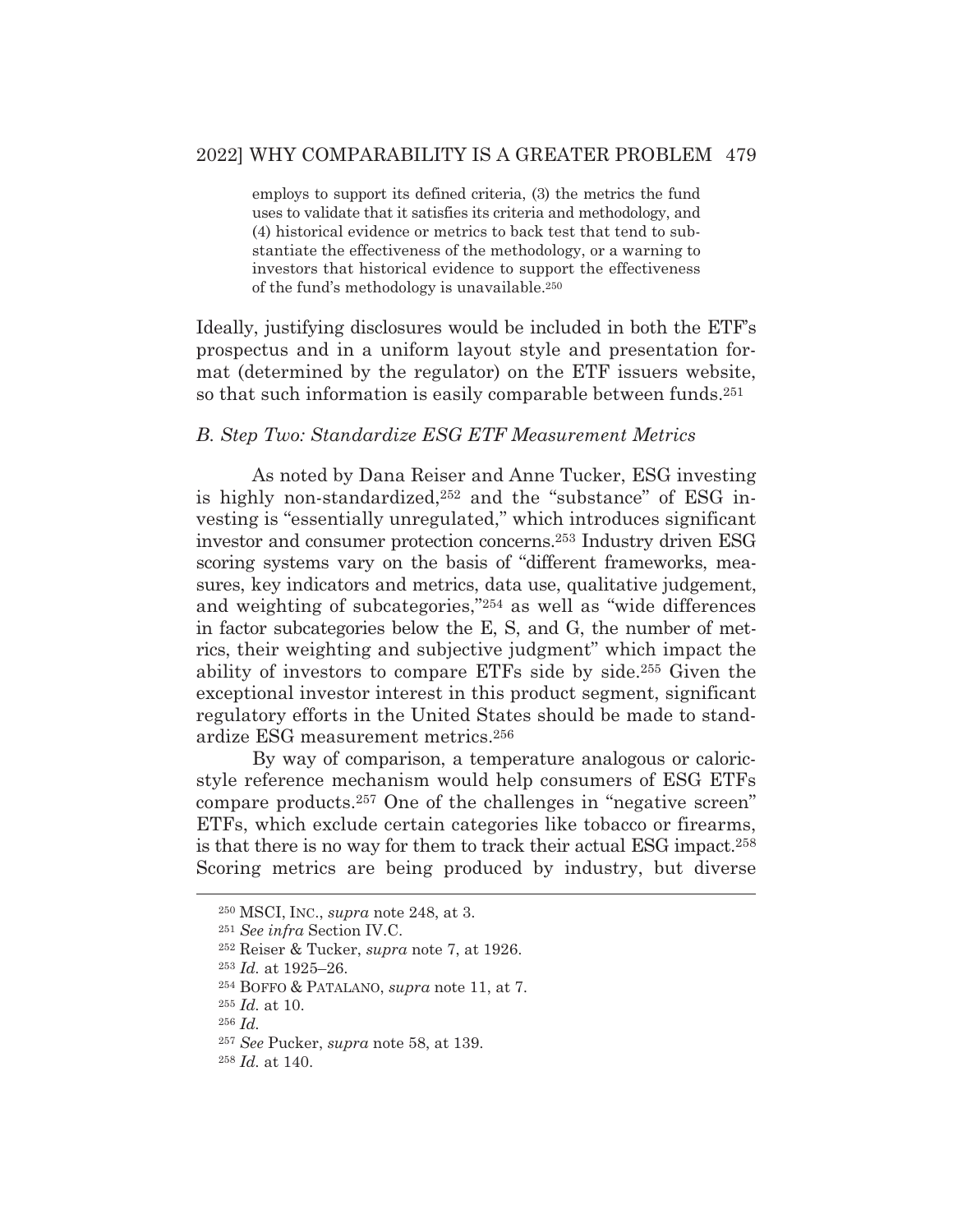employs to support its defined criteria, (3) the metrics the fund uses to validate that it satisfies its criteria and methodology, and (4) historical evidence or metrics to back test that tend to substantiate the effectiveness of the methodology, or a warning to investors that historical evidence to support the effectiveness of the fund's methodology is unavailable.250

Ideally, justifying disclosures would be included in both the ETF's prospectus and in a uniform layout style and presentation format (determined by the regulator) on the ETF issuers website, so that such information is easily comparable between funds.<sup>251</sup>

## *B. Step Two: Standardize ESG ETF Measurement Metrics*

As noted by Dana Reiser and Anne Tucker, ESG investing is highly non-standardized,252 and the "substance" of ESG investing is "essentially unregulated," which introduces significant investor and consumer protection concerns.253 Industry driven ESG scoring systems vary on the basis of "different frameworks, measures, key indicators and metrics, data use, qualitative judgement, and weighting of subcategories,"254 as well as "wide differences in factor subcategories below the E, S, and G, the number of metrics, their weighting and subjective judgment" which impact the ability of investors to compare ETFs side by side.255 Given the exceptional investor interest in this product segment, significant regulatory efforts in the United States should be made to standardize ESG measurement metrics.256

 By way of comparison, a temperature analogous or caloricstyle reference mechanism would help consumers of ESG ETFs compare products.257 One of the challenges in "negative screen" ETFs, which exclude certain categories like tobacco or firearms, is that there is no way for them to track their actual ESG impact.258 Scoring metrics are being produced by industry, but diverse

<sup>250</sup> MSCI, INC., *supra* note 248, at 3.

<sup>251</sup> *See infra* Section IV.C.

<sup>252</sup> Reiser & Tucker, *supra* note 7, at 1926.

<sup>253</sup> *Id.* at 1925–26.

<sup>254</sup> BOFFO & PATALANO, *supra* note 11, at 7.

<sup>255</sup> *Id.* at 10.

<sup>256</sup> *Id.*

<sup>257</sup> *See* Pucker, *supra* note 58, at 139.

<sup>258</sup> *Id.* at 140.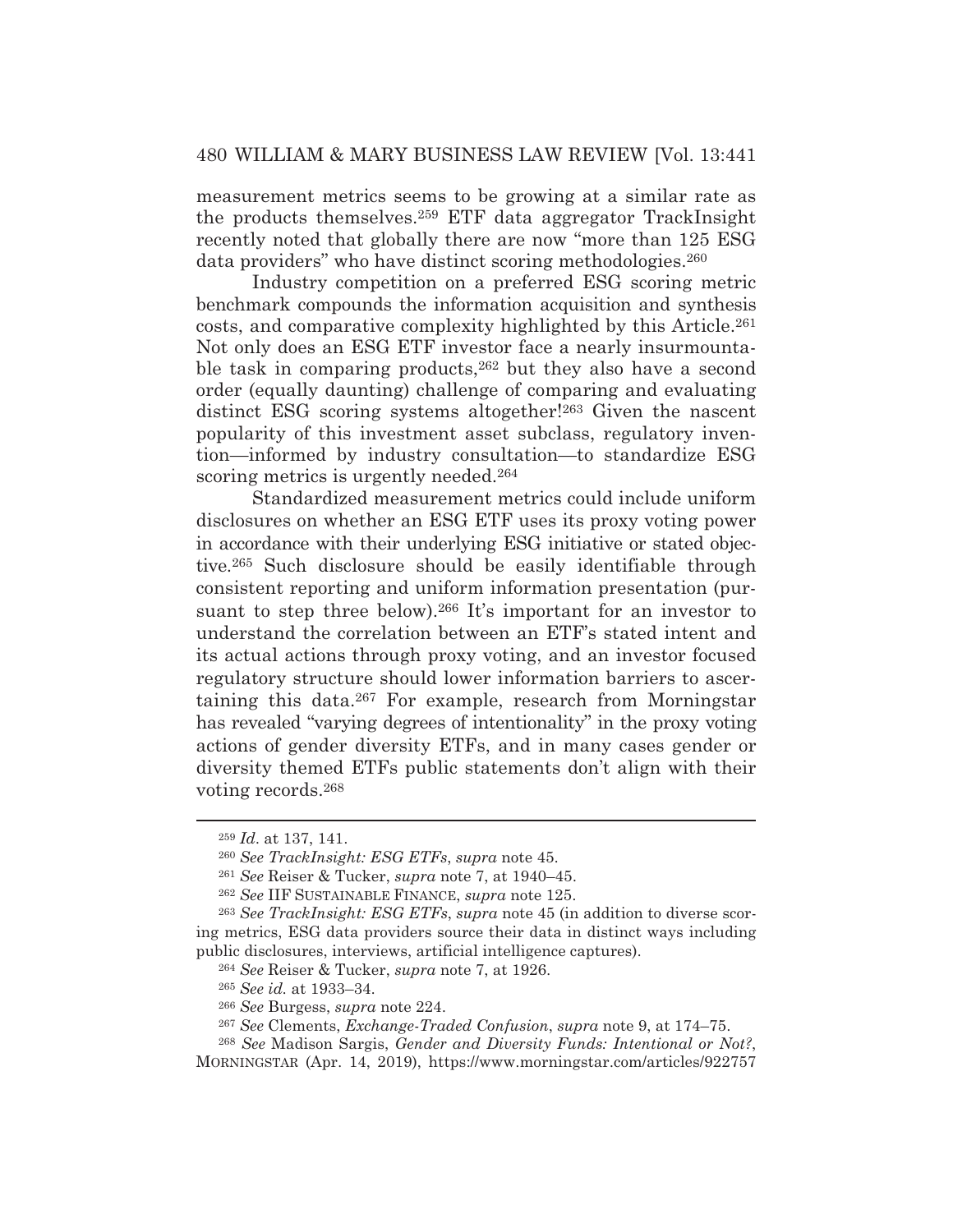measurement metrics seems to be growing at a similar rate as the products themselves.259 ETF data aggregator TrackInsight recently noted that globally there are now "more than 125 ESG data providers" who have distinct scoring methodologies.260

 Industry competition on a preferred ESG scoring metric benchmark compounds the information acquisition and synthesis costs, and comparative complexity highlighted by this Article.261 Not only does an ESG ETF investor face a nearly insurmountable task in comparing products,<sup>262</sup> but they also have a second order (equally daunting) challenge of comparing and evaluating distinct ESG scoring systems altogether!<sup>263</sup> Given the nascent popularity of this investment asset subclass, regulatory invention—informed by industry consultation—to standardize ESG scoring metrics is urgently needed.<sup>264</sup>

 Standardized measurement metrics could include uniform disclosures on whether an ESG ETF uses its proxy voting power in accordance with their underlying ESG initiative or stated objective.265 Such disclosure should be easily identifiable through consistent reporting and uniform information presentation (pursuant to step three below).<sup>266</sup> It's important for an investor to understand the correlation between an ETF's stated intent and its actual actions through proxy voting, and an investor focused regulatory structure should lower information barriers to ascertaining this data.267 For example, research from Morningstar has revealed "varying degrees of intentionality" in the proxy voting actions of gender diversity ETFs, and in many cases gender or diversity themed ETFs public statements don't align with their voting records.268

<sup>259</sup> *Id*. at 137, 141.

<sup>260</sup> *See TrackInsight: ESG ETFs*, *supra* note 45.

<sup>261</sup> *See* Reiser & Tucker, *supra* note 7, at 1940–45.

<sup>262</sup> *See* IIF SUSTAINABLE FINANCE, *supra* note 125.

<sup>263</sup> *See TrackInsight: ESG ETFs*, *supra* note 45 (in addition to diverse scoring metrics, ESG data providers source their data in distinct ways including public disclosures, interviews, artificial intelligence captures).

<sup>264</sup> *See* Reiser & Tucker, *supra* note 7, at 1926.

<sup>265</sup> *See id.* at 1933–34.

<sup>266</sup> *See* Burgess, *supra* note 224.

<sup>267</sup> *See* Clements, *Exchange-Traded Confusion*, *supra* note 9, at 174–75.

<sup>268</sup> *See* Madison Sargis, *Gender and Diversity Funds: Intentional or Not?*, MORNINGSTAR (Apr. 14, 2019), https://www.morningstar.com/articles/922757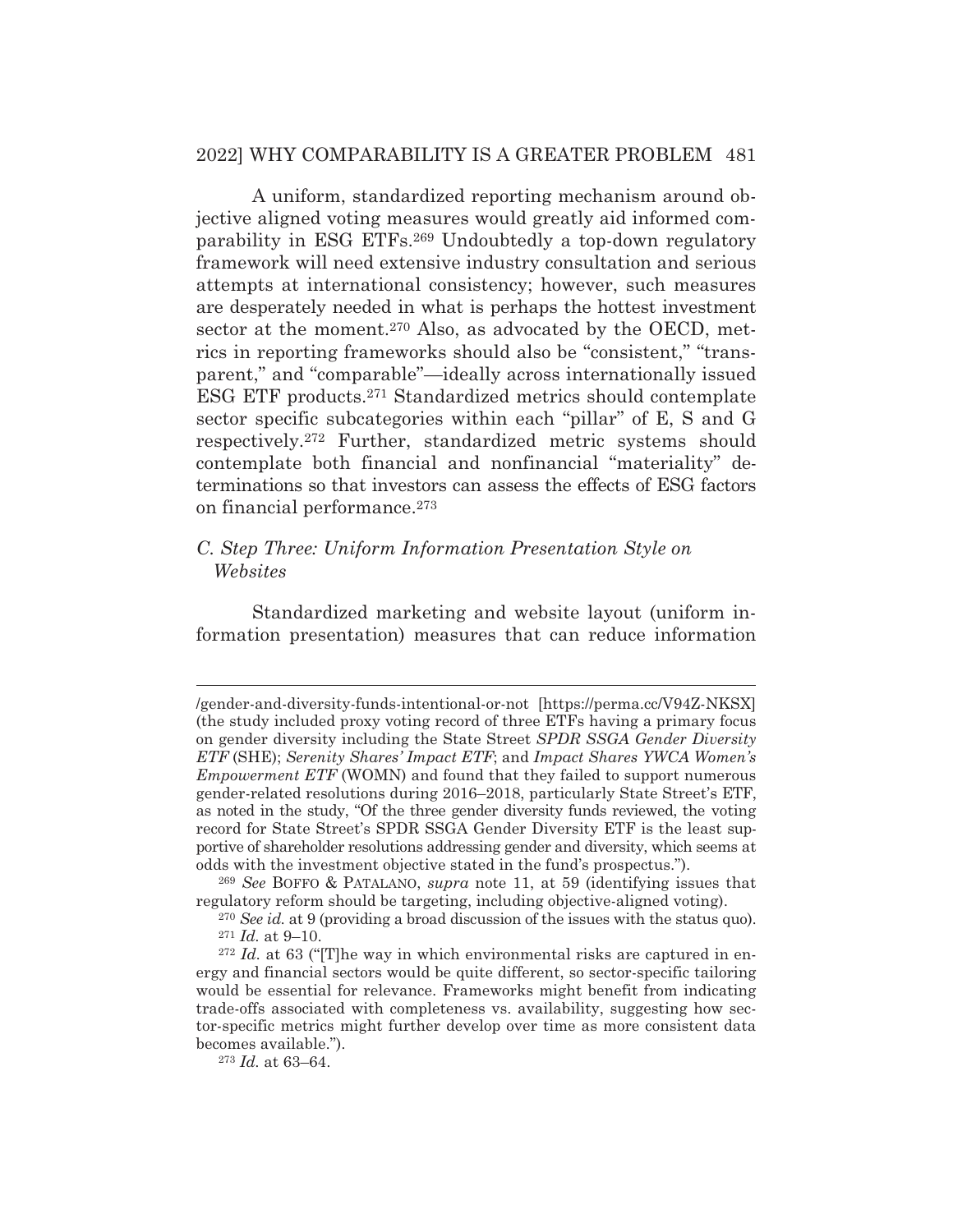## 2022] WHY COMPARABILITY IS A GREATER PROBLEM 481

 A uniform, standardized reporting mechanism around objective aligned voting measures would greatly aid informed comparability in ESG ETFs.269 Undoubtedly a top-down regulatory framework will need extensive industry consultation and serious attempts at international consistency; however, such measures are desperately needed in what is perhaps the hottest investment sector at the moment.<sup>270</sup> Also, as advocated by the OECD, metrics in reporting frameworks should also be "consistent," "transparent," and "comparable"*—*ideally across internationally issued ESG ETF products.271 Standardized metrics should contemplate sector specific subcategories within each "pillar" of E, S and G respectively.272 Further, standardized metric systems should contemplate both financial and nonfinancial "materiality" determinations so that investors can assess the effects of ESG factors on financial performance.273

## *C. Step Three: Uniform Information Presentation Style on Websites*

 Standardized marketing and website layout (uniform information presentation) measures that can reduce information

<sup>/</sup>gender-and-diversity-funds-intentional-or-not [https://perma.cc/V94Z-NKSX] (the study included proxy voting record of three ETFs having a primary focus on gender diversity including the State Street *SPDR SSGA Gender Diversity ETF* (SHE); *Serenity Shares' Impact ETF*; and *Impact Shares YWCA Women's Empowerment ETF* (WOMN) and found that they failed to support numerous gender-related resolutions during 2016–2018, particularly State Street's ETF, as noted in the study, "Of the three gender diversity funds reviewed, the voting record for State Street's SPDR SSGA Gender Diversity ETF is the least supportive of shareholder resolutions addressing gender and diversity, which seems at odds with the investment objective stated in the fund's prospectus.").

<sup>269</sup> *See* BOFFO & PATALANO, *supra* note 11, at 59 (identifying issues that regulatory reform should be targeting, including objective-aligned voting).

<sup>270</sup> *See id.* at 9 (providing a broad discussion of the issues with the status quo).  $271$  *Id.* at 9–10.

<sup>272</sup> *Id.* at 63 ("[T]he way in which environmental risks are captured in energy and financial sectors would be quite different, so sector-specific tailoring would be essential for relevance. Frameworks might benefit from indicating trade-offs associated with completeness vs. availability, suggesting how sector-specific metrics might further develop over time as more consistent data becomes available.").

<sup>273</sup> *Id.* at 63–64.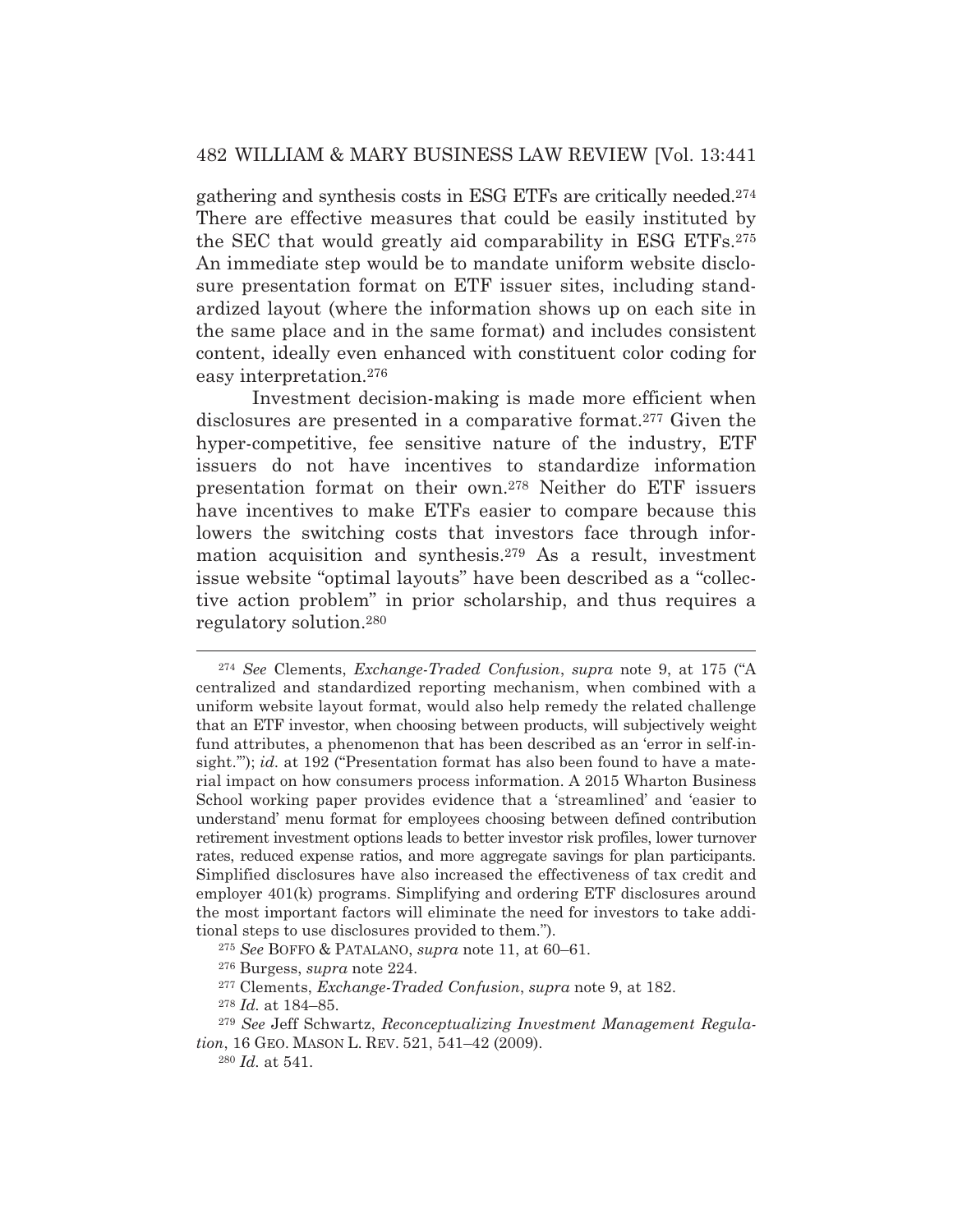gathering and synthesis costs in ESG ETFs are critically needed.274 There are effective measures that could be easily instituted by the SEC that would greatly aid comparability in ESG ETFs.275 An immediate step would be to mandate uniform website disclosure presentation format on ETF issuer sites, including standardized layout (where the information shows up on each site in the same place and in the same format) and includes consistent content, ideally even enhanced with constituent color coding for easy interpretation.276

 Investment decision-making is made more efficient when disclosures are presented in a comparative format.277 Given the hyper-competitive, fee sensitive nature of the industry, ETF issuers do not have incentives to standardize information presentation format on their own.278 Neither do ETF issuers have incentives to make ETFs easier to compare because this lowers the switching costs that investors face through information acquisition and synthesis.279 As a result, investment issue website "optimal layouts" have been described as a "collective action problem" in prior scholarship, and thus requires a regulatory solution.280

<sup>274</sup> *See* Clements, *Exchange-Traded Confusion*, *supra* note 9, at 175 ("A centralized and standardized reporting mechanism, when combined with a uniform website layout format, would also help remedy the related challenge that an ETF investor, when choosing between products, will subjectively weight fund attributes, a phenomenon that has been described as an 'error in self-insight.""); *id.* at 192 ("Presentation format has also been found to have a material impact on how consumers process information. A 2015 Wharton Business School working paper provides evidence that a 'streamlined' and 'easier to understand' menu format for employees choosing between defined contribution retirement investment options leads to better investor risk profiles, lower turnover rates, reduced expense ratios, and more aggregate savings for plan participants. Simplified disclosures have also increased the effectiveness of tax credit and employer 401(k) programs. Simplifying and ordering ETF disclosures around the most important factors will eliminate the need for investors to take additional steps to use disclosures provided to them.").

<sup>275</sup> *See* BOFFO & PATALANO, *supra* note 11, at 60–61.

<sup>276</sup> Burgess, *supra* note 224.

<sup>277</sup> Clements, *Exchange-Traded Confusion*, *supra* note 9, at 182.

<sup>278</sup> *Id.* at 184–85.

<sup>279</sup> *See* Jeff Schwartz, *Reconceptualizing Investment Management Regulation*, 16 GEO. MASON L. REV. 521, 541–42 (2009).

<sup>280</sup> *Id.* at 541.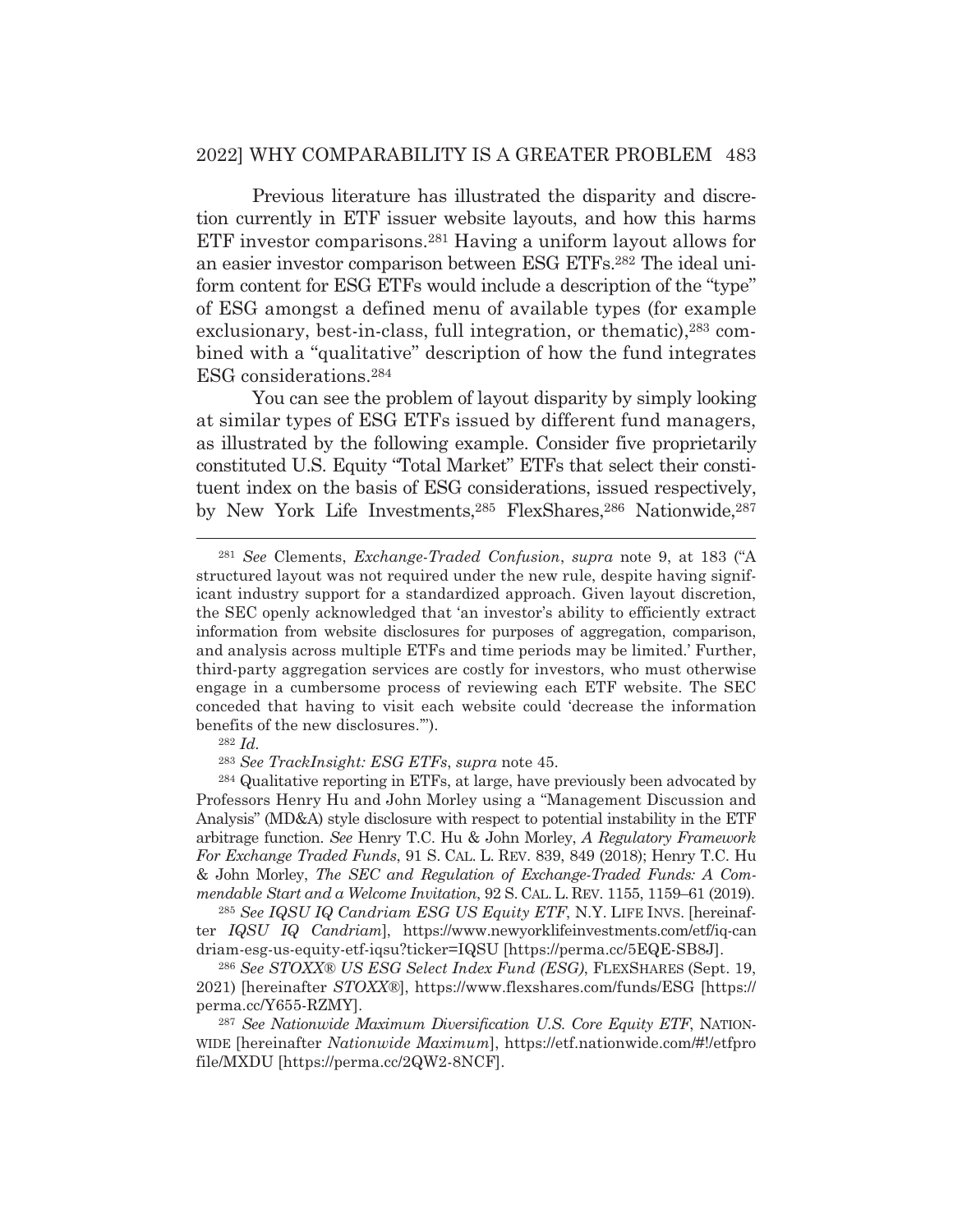#### 2022] WHY COMPARABILITY IS A GREATER PROBLEM 483

 Previous literature has illustrated the disparity and discretion currently in ETF issuer website layouts, and how this harms ETF investor comparisons.281 Having a uniform layout allows for an easier investor comparison between ESG ETFs.282 The ideal uniform content for ESG ETFs would include a description of the "type" of ESG amongst a defined menu of available types (for example exclusionary, best-in-class, full integration, or thematic), <sup>283</sup> combined with a "qualitative" description of how the fund integrates ESG considerations.284

 You can see the problem of layout disparity by simply looking at similar types of ESG ETFs issued by different fund managers, as illustrated by the following example. Consider five proprietarily constituted U.S. Equity "Total Market" ETFs that select their constituent index on the basis of ESG considerations, issued respectively, by New York Life Investments, 285 FlexShares, 286 Nationwide, 287

#### <sup>282</sup> *Id.*

<sup>283</sup> *See TrackInsight: ESG ETFs*, *supra* note 45.

284 Qualitative reporting in ETFs, at large, have previously been advocated by Professors Henry Hu and John Morley using a "Management Discussion and Analysis" (MD&A) style disclosure with respect to potential instability in the ETF arbitrage function. *See* Henry T.C. Hu & John Morley, *A Regulatory Framework For Exchange Traded Funds*, 91 S. CAL. L. REV. 839, 849 (2018); Henry T.C. Hu & John Morley, *The SEC and Regulation of Exchange-Traded Funds: A Commendable Start and a Welcome Invitation*, 92 S. CAL. L. REV. 1155, 1159–61 (2019).

<sup>285</sup> *See IQSU IQ Candriam ESG US Equity ETF*, N.Y. LIFE INVS. [hereinafter *IQSU IQ Candriam*], https://www.newyorklifeinvestments.com/etf/iq-can driam-esg-us-equity-etf-iqsu?ticker=IQSU [https://perma.cc/5EQE-SB8J].

<sup>286</sup> *See STOXX® US ESG Select Index Fund (ESG)*, FLEXSHARES (Sept. 19, 2021) [hereinafter *STOXX®*], https://www.flexshares.com/funds/ESG [https:// perma.cc/Y655-RZMY].

<sup>287</sup> *See Nationwide Maximum Diversification U.S. Core Equity ETF*, NATION-WIDE [hereinafter *Nationwide Maximum*], https://etf.nationwide.com/#!/etfpro file/MXDU [https://perma.cc/2QW2-8NCF].

<sup>281</sup> *See* Clements, *Exchange-Traded Confusion*, *supra* note 9, at 183 ("A structured layout was not required under the new rule, despite having significant industry support for a standardized approach. Given layout discretion, the SEC openly acknowledged that 'an investor's ability to efficiently extract information from website disclosures for purposes of aggregation, comparison, and analysis across multiple ETFs and time periods may be limited.' Further, third-party aggregation services are costly for investors, who must otherwise engage in a cumbersome process of reviewing each ETF website. The SEC conceded that having to visit each website could 'decrease the information benefits of the new disclosures.'").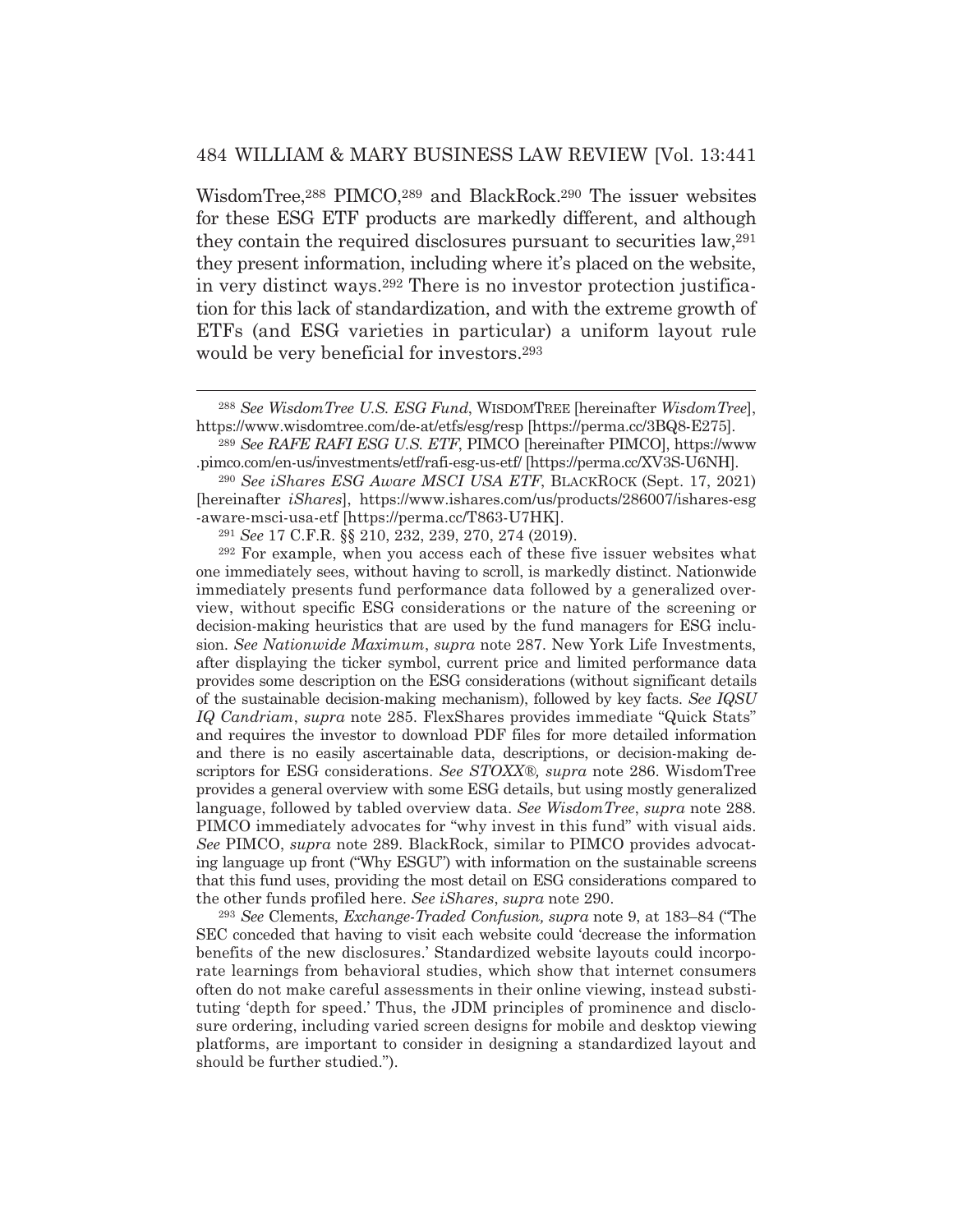WisdomTree,288 PIMCO,289 and BlackRock.290 The issuer websites for these ESG ETF products are markedly different, and although they contain the required disclosures pursuant to securities law,291 they present information, including where it's placed on the website, in very distinct ways.292 There is no investor protection justification for this lack of standardization, and with the extreme growth of ETFs (and ESG varieties in particular) a uniform layout rule would be very beneficial for investors.293

292 For example, when you access each of these five issuer websites what one immediately sees, without having to scroll, is markedly distinct. Nationwide immediately presents fund performance data followed by a generalized overview, without specific ESG considerations or the nature of the screening or decision-making heuristics that are used by the fund managers for ESG inclusion. *See Nationwide Maximum*, *supra* note 287. New York Life Investments, after displaying the ticker symbol, current price and limited performance data provides some description on the ESG considerations (without significant details of the sustainable decision-making mechanism), followed by key facts. *See IQSU IQ Candriam*, *supra* note 285. FlexShares provides immediate "Quick Stats" and requires the investor to download PDF files for more detailed information and there is no easily ascertainable data, descriptions, or decision-making descriptors for ESG considerations. *See STOXX®, supra* note 286. WisdomTree provides a general overview with some ESG details, but using mostly generalized language, followed by tabled overview data. *See WisdomTree*, *supra* note 288. PIMCO immediately advocates for "why invest in this fund" with visual aids. *See* PIMCO, *supra* note 289. BlackRock, similar to PIMCO provides advocating language up front ("Why ESGU") with information on the sustainable screens that this fund uses, providing the most detail on ESG considerations compared to the other funds profiled here. *See iShares*, *supra* note 290.

<sup>293</sup> *See* Clements, *Exchange-Traded Confusion, supra* note 9, at 183–84 ("The SEC conceded that having to visit each website could 'decrease the information benefits of the new disclosures.' Standardized website layouts could incorporate learnings from behavioral studies, which show that internet consumers often do not make careful assessments in their online viewing, instead substituting 'depth for speed.' Thus, the JDM principles of prominence and disclosure ordering, including varied screen designs for mobile and desktop viewing platforms, are important to consider in designing a standardized layout and should be further studied.").

<sup>288</sup> *See WisdomTree U.S. ESG Fund*, WISDOMTREE [hereinafter *WisdomTree*], https://www.wisdomtree.com/de-at/etfs/esg/resp [https://perma.cc/3BQ8-E275].

<sup>289</sup> *See RAFE RAFI ESG U.S. ETF*, PIMCO [hereinafter PIMCO], https://www .pimco.com/en-us/investments/etf/rafi-esg-us-etf/ [https://perma.cc/XV3S-U6NH].

<sup>290</sup> *See iShares ESG Aware MSCI USA ETF*, BLACKROCK (Sept. 17, 2021) [hereinafter *iShares*], https://www.ishares.com/us/products/286007/ishares-esg -aware-msci-usa-etf [https://perma.cc/T863-U7HK].

<sup>291</sup> *See* 17 C.F.R. §§ 210, 232, 239, 270, 274 (2019).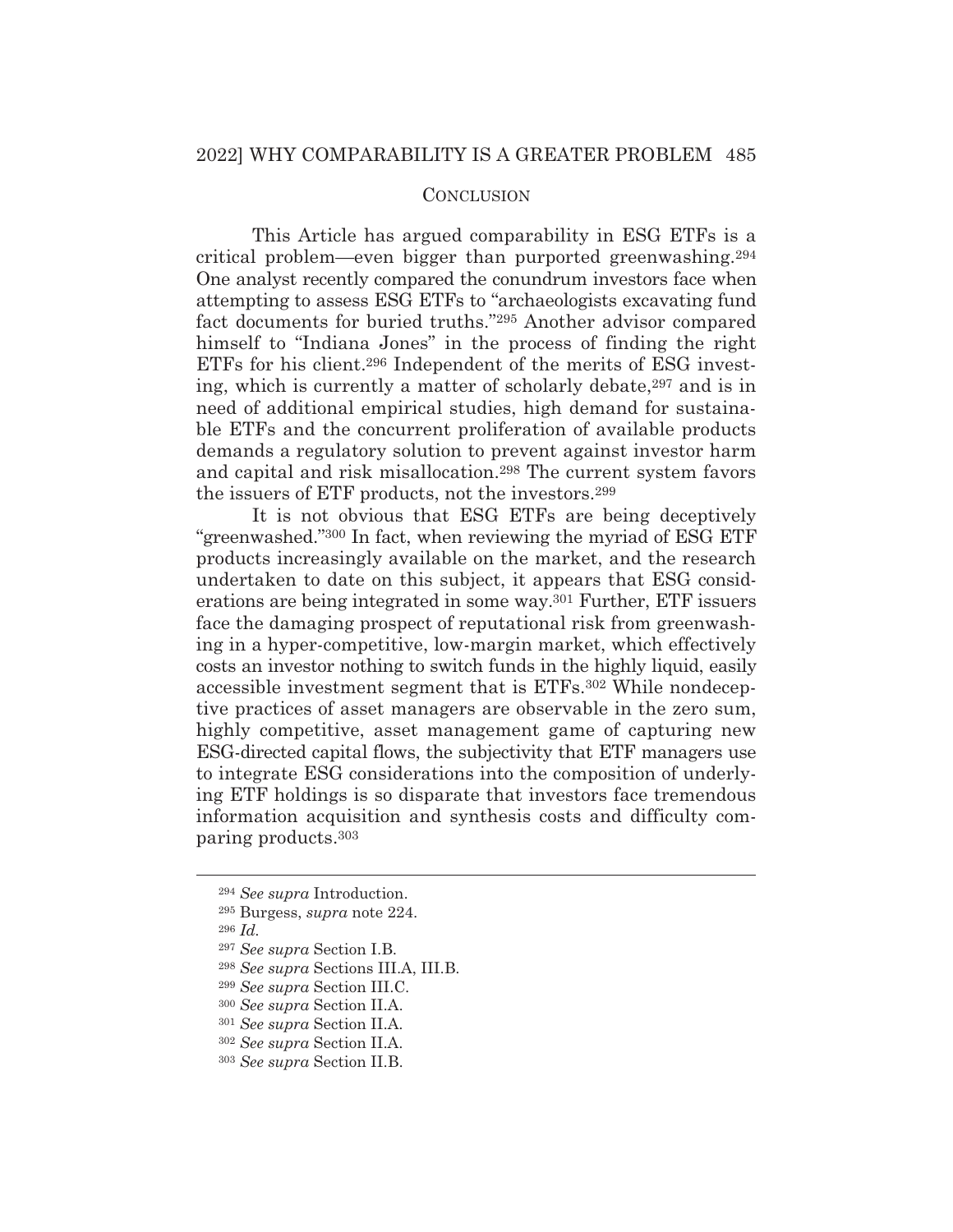## **CONCLUSION**

 This Article has argued comparability in ESG ETFs is a critical problem—even bigger than purported greenwashing.294 One analyst recently compared the conundrum investors face when attempting to assess ESG ETFs to "archaeologists excavating fund fact documents for buried truths."295 Another advisor compared himself to "Indiana Jones" in the process of finding the right ETFs for his client.296 Independent of the merits of ESG investing, which is currently a matter of scholarly debate,<sup>297</sup> and is in need of additional empirical studies, high demand for sustainable ETFs and the concurrent proliferation of available products demands a regulatory solution to prevent against investor harm and capital and risk misallocation.298 The current system favors the issuers of ETF products, not the investors.299

 It is not obvious that ESG ETFs are being deceptively "greenwashed."300 In fact, when reviewing the myriad of ESG ETF products increasingly available on the market, and the research undertaken to date on this subject, it appears that ESG considerations are being integrated in some way.301 Further, ETF issuers face the damaging prospect of reputational risk from greenwashing in a hyper-competitive, low-margin market, which effectively costs an investor nothing to switch funds in the highly liquid, easily accessible investment segment that is ETFs.302 While nondeceptive practices of asset managers are observable in the zero sum, highly competitive, asset management game of capturing new ESG-directed capital flows, the subjectivity that ETF managers use to integrate ESG considerations into the composition of underlying ETF holdings is so disparate that investors face tremendous information acquisition and synthesis costs and difficulty comparing products.303

<sup>294</sup> *See supra* Introduction.

<sup>295</sup> Burgess, *supra* note 224.

<sup>296</sup> *Id.*

<sup>297</sup> *See supra* Section I.B.

<sup>298</sup> *See supra* Sections III.A, III.B.

<sup>299</sup> *See supra* Section III.C.

<sup>300</sup> *See supra* Section II.A.

<sup>301</sup> *See supra* Section II.A.

<sup>302</sup> *See supra* Section II.A.

<sup>303</sup> *See supra* Section II.B.